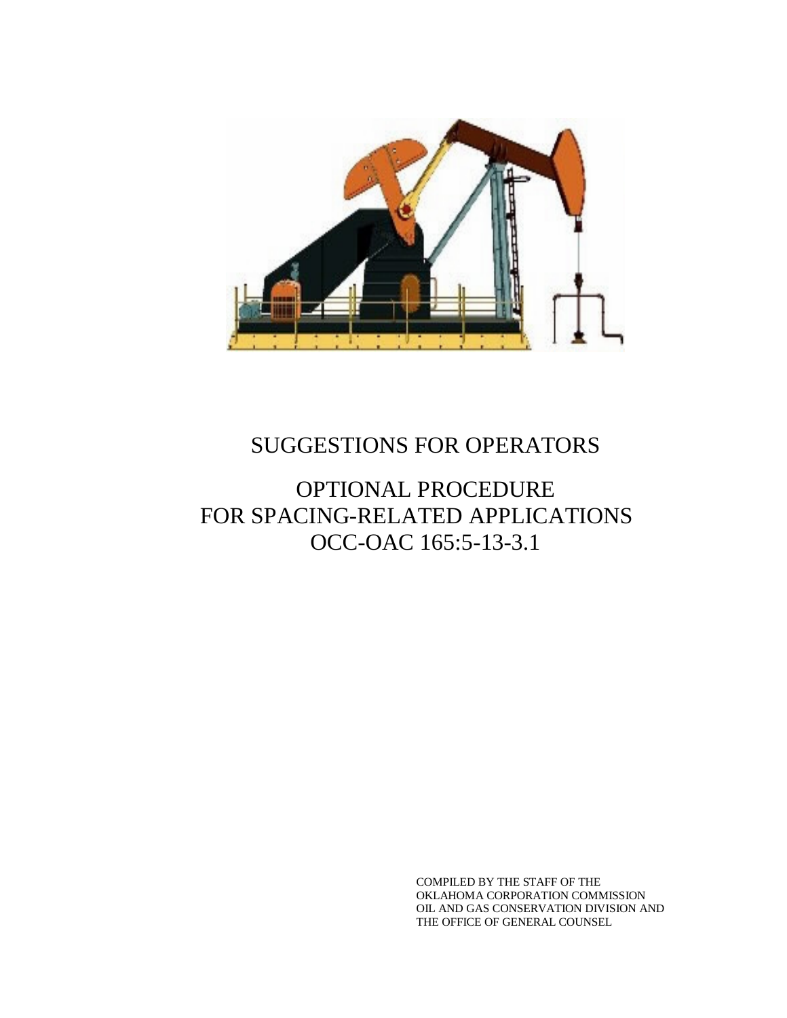

## SUGGESTIONS FOR OPERATORS

### OPTIONAL PROCEDURE FOR SPACING-RELATED APPLICATIONS OCC-OAC 165:5-13-3.1

COMPILED BY THE STAFF OF THE OKLAHOMA CORPORATION COMMISSION OIL AND GAS CONSERVATION DIVISION AND THE OFFICE OF GENERAL COUNSEL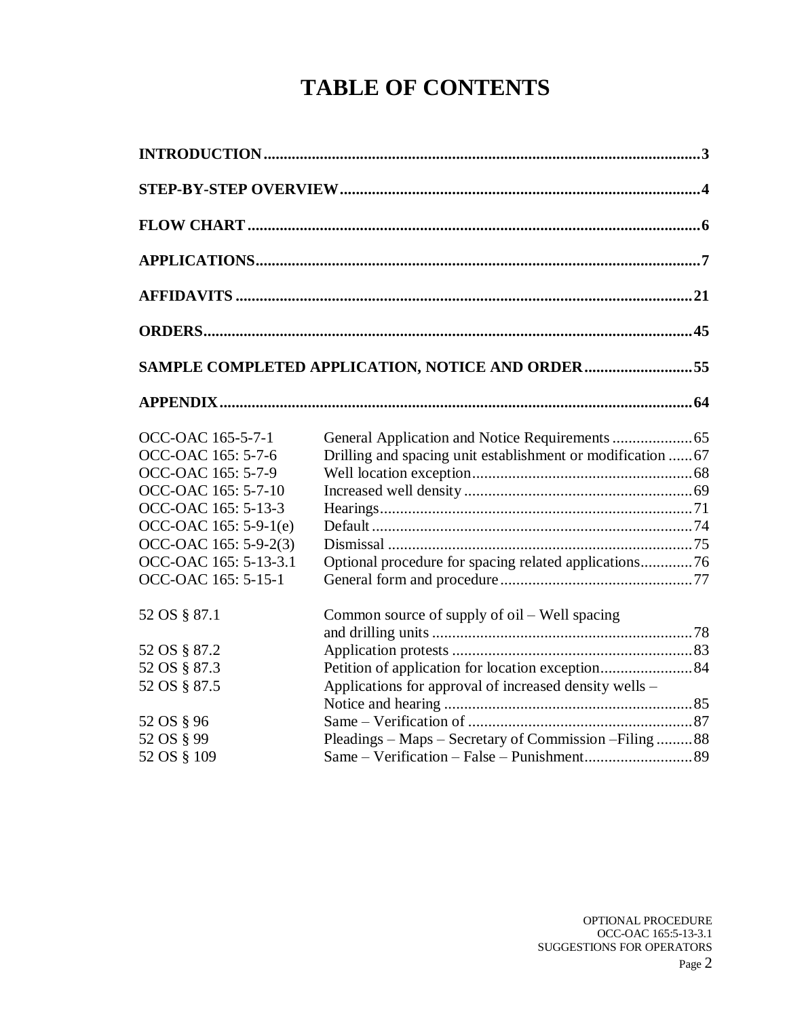# **TABLE OF CONTENTS**

|                       | SAMPLE COMPLETED APPLICATION, NOTICE AND ORDER55            |  |
|-----------------------|-------------------------------------------------------------|--|
|                       |                                                             |  |
| OCC-OAC 165-5-7-1     |                                                             |  |
| OCC-OAC 165: 5-7-6    | Drilling and spacing unit establishment or modification  67 |  |
| OCC-OAC 165: 5-7-9    |                                                             |  |
| OCC-OAC 165: 5-7-10   |                                                             |  |
| OCC-OAC 165: 5-13-3   |                                                             |  |
| OCC-OAC 165: 5-9-1(e) |                                                             |  |
| OCC-OAC 165: 5-9-2(3) |                                                             |  |
| OCC-OAC 165: 5-13-3.1 | Optional procedure for spacing related applications76       |  |
| OCC-OAC 165: 5-15-1   |                                                             |  |
| 52 OS § 87.1          | Common source of supply of oil – Well spacing               |  |
| 52 OS § 87.2          |                                                             |  |
|                       |                                                             |  |
| 52 OS § 87.3          |                                                             |  |
| 52 OS § 87.5          | Applications for approval of increased density wells –      |  |
|                       |                                                             |  |
| 52 OS § 96            |                                                             |  |
| 52 OS § 99            | Pleadings – Maps – Secretary of Commission – Filing  88     |  |
| 52 OS § 109           |                                                             |  |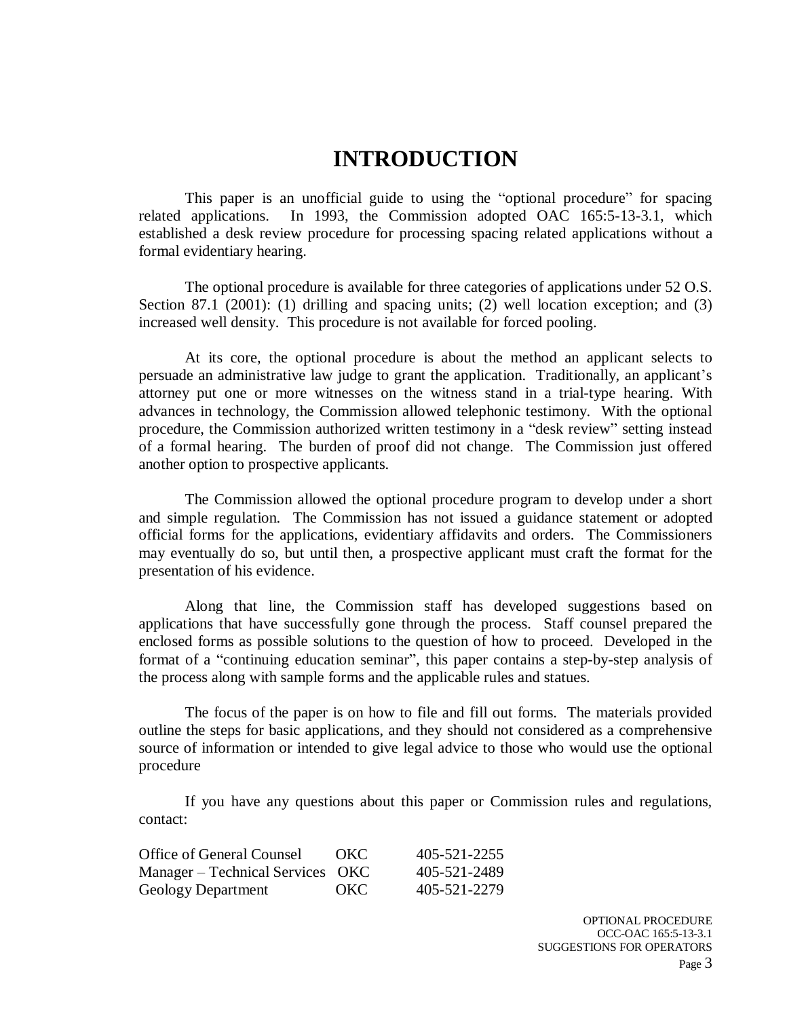### **INTRODUCTION**

This paper is an unofficial guide to using the "optional procedure" for spacing related applications. In 1993, the Commission adopted OAC 165:5-13-3.1, which established a desk review procedure for processing spacing related applications without a formal evidentiary hearing.

The optional procedure is available for three categories of applications under 52 O.S. Section 87.1 (2001): (1) drilling and spacing units; (2) well location exception; and (3) increased well density. This procedure is not available for forced pooling.

At its core, the optional procedure is about the method an applicant selects to persuade an administrative law judge to grant the application. Traditionally, an applicant's attorney put one or more witnesses on the witness stand in a trial-type hearing. With advances in technology, the Commission allowed telephonic testimony. With the optional procedure, the Commission authorized written testimony in a "desk review" setting instead of a formal hearing. The burden of proof did not change. The Commission just offered another option to prospective applicants.

The Commission allowed the optional procedure program to develop under a short and simple regulation. The Commission has not issued a guidance statement or adopted official forms for the applications, evidentiary affidavits and orders. The Commissioners may eventually do so, but until then, a prospective applicant must craft the format for the presentation of his evidence.

Along that line, the Commission staff has developed suggestions based on applications that have successfully gone through the process. Staff counsel prepared the enclosed forms as possible solutions to the question of how to proceed. Developed in the format of a "continuing education seminar", this paper contains a step-by-step analysis of the process along with sample forms and the applicable rules and statues.

The focus of the paper is on how to file and fill out forms. The materials provided outline the steps for basic applications, and they should not considered as a comprehensive source of information or intended to give legal advice to those who would use the optional procedure

If you have any questions about this paper or Commission rules and regulations, contact:

| <b>Office of General Counsel</b> | <b>OKC</b> | 405-521-2255 |
|----------------------------------|------------|--------------|
| Manager – Technical Services OKC |            | 405-521-2489 |
| Geology Department               | <b>OKC</b> | 405-521-2279 |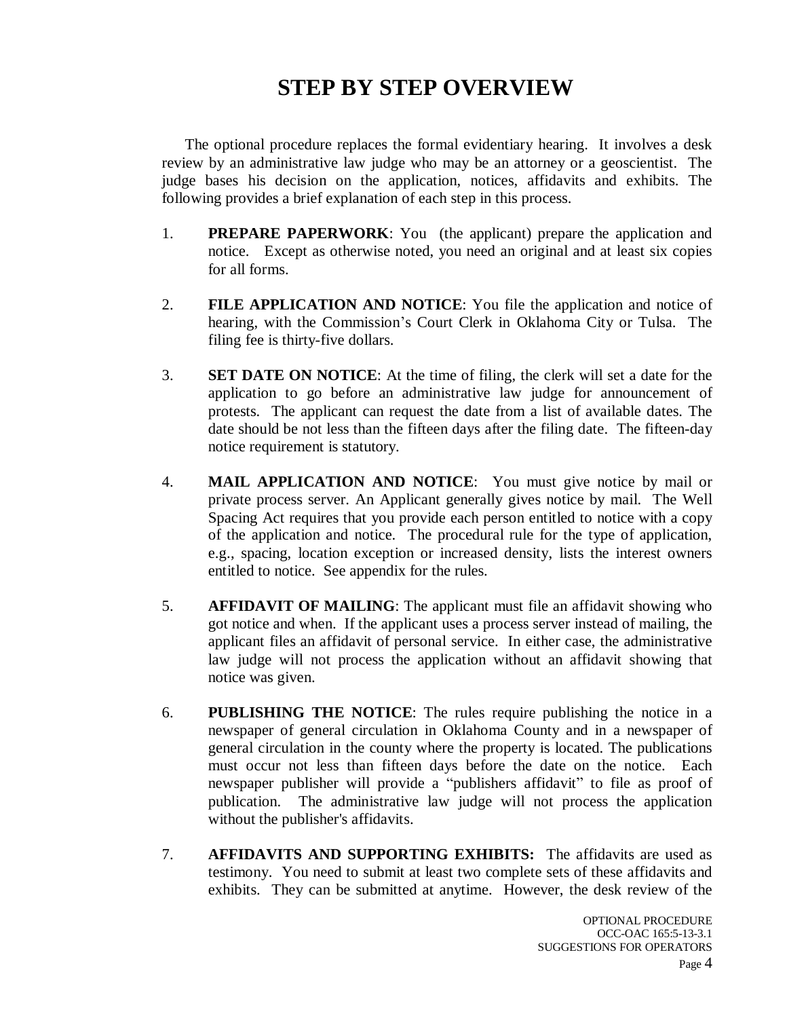## **STEP BY STEP OVERVIEW**

The optional procedure replaces the formal evidentiary hearing. It involves a desk review by an administrative law judge who may be an attorney or a geoscientist. The judge bases his decision on the application, notices, affidavits and exhibits. The following provides a brief explanation of each step in this process.

- 1. **PREPARE PAPERWORK**: You (the applicant) prepare the application and notice. Except as otherwise noted, you need an original and at least six copies for all forms.
- 2. **FILE APPLICATION AND NOTICE**: You file the application and notice of hearing, with the Commission's Court Clerk in Oklahoma City or Tulsa. The filing fee is thirty-five dollars.
- 3. **SET DATE ON NOTICE**: At the time of filing, the clerk will set a date for the application to go before an administrative law judge for announcement of protests. The applicant can request the date from a list of available dates. The date should be not less than the fifteen days after the filing date. The fifteen-day notice requirement is statutory.
- 4. **MAIL APPLICATION AND NOTICE**: You must give notice by mail or private process server. An Applicant generally gives notice by mail. The Well Spacing Act requires that you provide each person entitled to notice with a copy of the application and notice. The procedural rule for the type of application, e.g., spacing, location exception or increased density, lists the interest owners entitled to notice. See appendix for the rules.
- 5. **AFFIDAVIT OF MAILING**: The applicant must file an affidavit showing who got notice and when. If the applicant uses a process server instead of mailing, the applicant files an affidavit of personal service. In either case, the administrative law judge will not process the application without an affidavit showing that notice was given.
- 6. **PUBLISHING THE NOTICE**: The rules require publishing the notice in a newspaper of general circulation in Oklahoma County and in a newspaper of general circulation in the county where the property is located. The publications must occur not less than fifteen days before the date on the notice. Each newspaper publisher will provide a "publishers affidavit" to file as proof of publication. The administrative law judge will not process the application without the publisher's affidavits.
- 7. **AFFIDAVITS AND SUPPORTING EXHIBITS:** The affidavits are used as testimony. You need to submit at least two complete sets of these affidavits and exhibits. They can be submitted at anytime. However, the desk review of the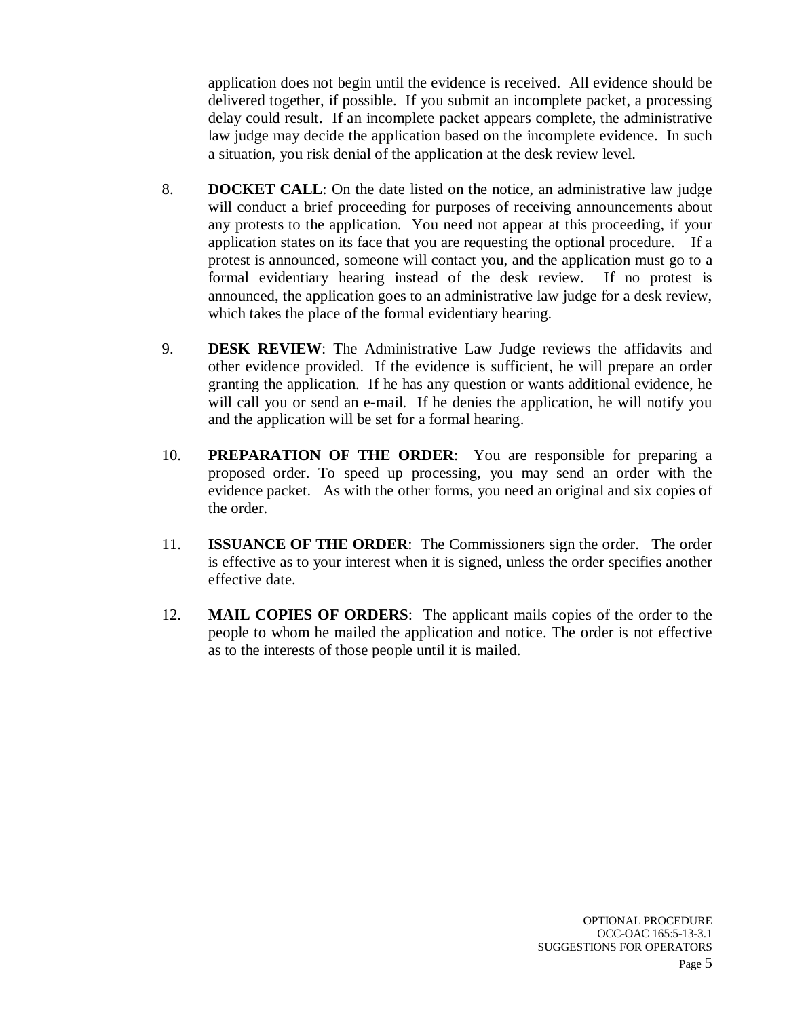application does not begin until the evidence is received. All evidence should be delivered together, if possible. If you submit an incomplete packet, a processing delay could result. If an incomplete packet appears complete, the administrative law judge may decide the application based on the incomplete evidence. In such a situation, you risk denial of the application at the desk review level.

- 8. **DOCKET CALL**: On the date listed on the notice, an administrative law judge will conduct a brief proceeding for purposes of receiving announcements about any protests to the application. You need not appear at this proceeding, if your application states on its face that you are requesting the optional procedure. If a protest is announced, someone will contact you, and the application must go to a formal evidentiary hearing instead of the desk review. If no protest is announced, the application goes to an administrative law judge for a desk review, which takes the place of the formal evidentiary hearing.
- 9. **DESK REVIEW**: The Administrative Law Judge reviews the affidavits and other evidence provided. If the evidence is sufficient, he will prepare an order granting the application. If he has any question or wants additional evidence, he will call you or send an e-mail. If he denies the application, he will notify you and the application will be set for a formal hearing.
- 10. **PREPARATION OF THE ORDER**: You are responsible for preparing a proposed order. To speed up processing, you may send an order with the evidence packet. As with the other forms, you need an original and six copies of the order.
- 11. **ISSUANCE OF THE ORDER**: The Commissioners sign the order. The order is effective as to your interest when it is signed, unless the order specifies another effective date.
- 12. **MAIL COPIES OF ORDERS**: The applicant mails copies of the order to the people to whom he mailed the application and notice. The order is not effective as to the interests of those people until it is mailed.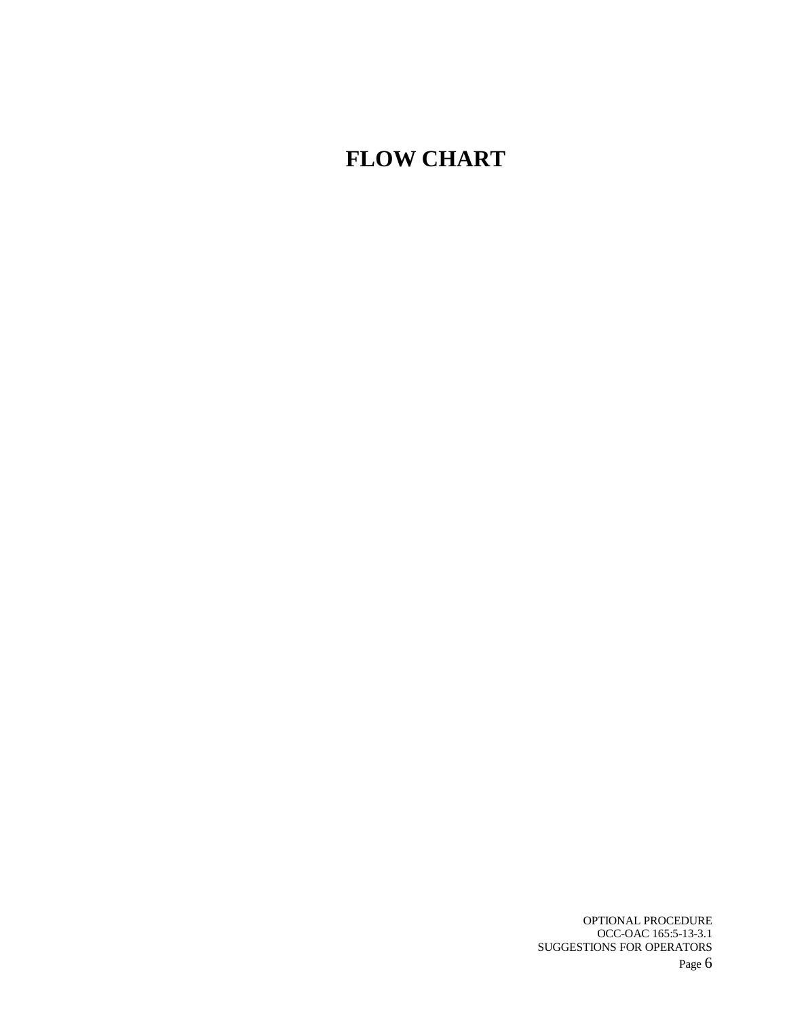# **FLOW CHART**

OPTIONAL PROCEDURE OCC-OAC 165:5-13-3.1 SUGGESTIONS FOR OPERATORS Page 6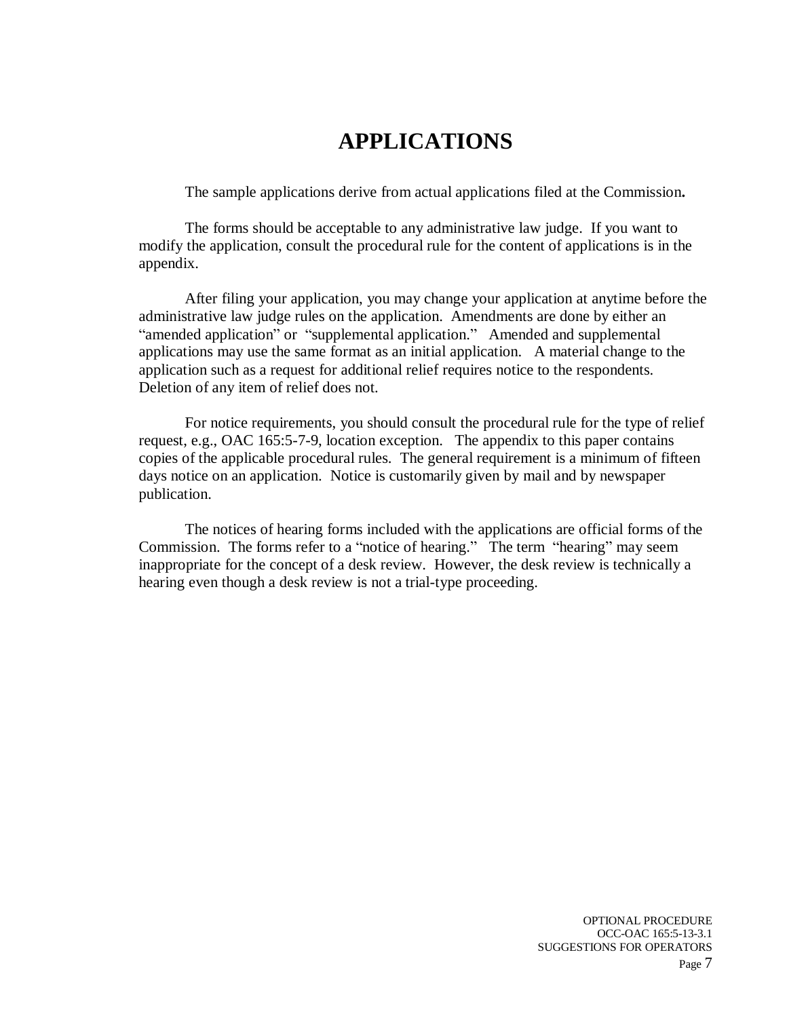### **APPLICATIONS**

The sample applications derive from actual applications filed at the Commission**.** 

The forms should be acceptable to any administrative law judge. If you want to modify the application, consult the procedural rule for the content of applications is in the appendix.

After filing your application, you may change your application at anytime before the administrative law judge rules on the application. Amendments are done by either an "amended application" or "supplemental application." Amended and supplemental applications may use the same format as an initial application. A material change to the application such as a request for additional relief requires notice to the respondents. Deletion of any item of relief does not.

For notice requirements, you should consult the procedural rule for the type of relief request, e.g., OAC 165:5-7-9, location exception. The appendix to this paper contains copies of the applicable procedural rules. The general requirement is a minimum of fifteen days notice on an application. Notice is customarily given by mail and by newspaper publication.

The notices of hearing forms included with the applications are official forms of the Commission. The forms refer to a "notice of hearing." The term "hearing" may seem inappropriate for the concept of a desk review. However, the desk review is technically a hearing even though a desk review is not a trial-type proceeding.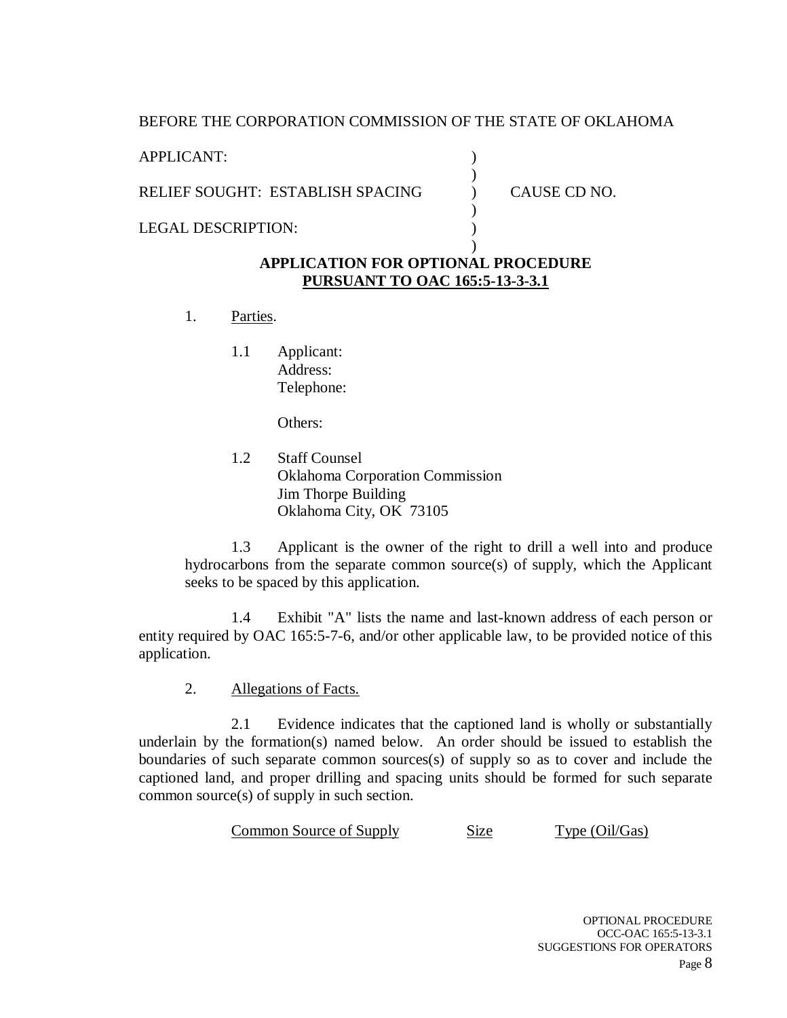#### BEFORE THE CORPORATION COMMISSION OF THE STATE OF OKLAHOMA

APPLICANT:

RELIEF SOUGHT: ESTABLISH SPACING

LEGAL DESCRIPTION:

CAUSE CD NO.

### **APPLICATION FOR OPTIONAL PROCEDURE PURSUANT TO OAC 165:5-13-3-3.1**

) ) ) ) )  $\lambda$ 

- 1. Parties.
	- 1.1 Applicant: Address: Telephone:

Others:

1.2 Staff Counsel Oklahoma Corporation Commission Jim Thorpe Building Oklahoma City, OK 73105

1.3 Applicant is the owner of the right to drill a well into and produce hydrocarbons from the separate common source(s) of supply, which the Applicant seeks to be spaced by this application.

1.4 Exhibit "A" lists the name and last-known address of each person or entity required by OAC 165:5-7-6, and/or other applicable law, to be provided notice of this application.

2. Allegations of Facts.

2.1 Evidence indicates that the captioned land is wholly or substantially underlain by the formation(s) named below. An order should be issued to establish the boundaries of such separate common sources(s) of supply so as to cover and include the captioned land, and proper drilling and spacing units should be formed for such separate common source(s) of supply in such section.

Common Source of Supply Size Type (Oil/Gas)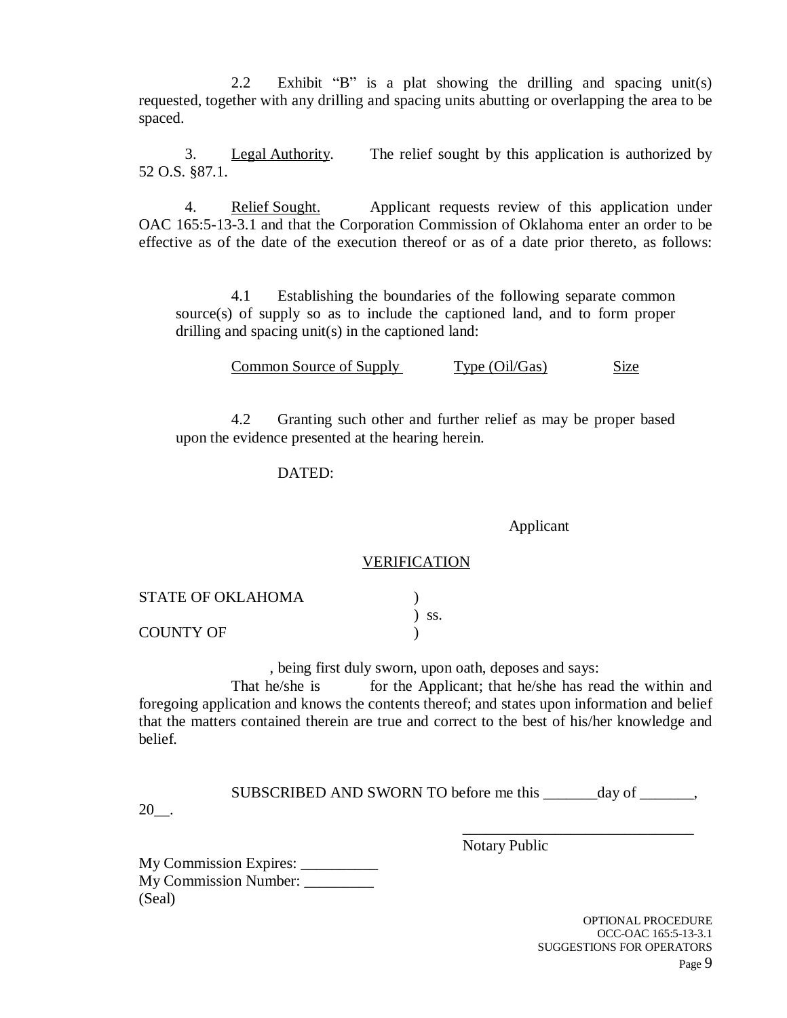2.2 Exhibit "B" is a plat showing the drilling and spacing unit(s) requested, together with any drilling and spacing units abutting or overlapping the area to be spaced.

3. Legal Authority. The relief sought by this application is authorized by 52 O.S. §87.1.

4. Relief Sought. Applicant requests review of this application under OAC 165:5-13-3.1 and that the Corporation Commission of Oklahoma enter an order to be effective as of the date of the execution thereof or as of a date prior thereto, as follows:

4.1 Establishing the boundaries of the following separate common source(s) of supply so as to include the captioned land, and to form proper drilling and spacing unit(s) in the captioned land:

Common Source of Supply Type (Oil/Gas) Size

4.2 Granting such other and further relief as may be proper based upon the evidence presented at the hearing herein.

#### DATED:

Applicant

#### VERIFICATION

| <b>STATE OF OKLAHOMA</b> |            |
|--------------------------|------------|
|                          | $\sum$ SS. |
| COUNTY OF                |            |

, being first duly sworn, upon oath, deposes and says:

That he/she is for the Applicant; that he/she has read the within and foregoing application and knows the contents thereof; and states upon information and belief that the matters contained therein are true and correct to the best of his/her knowledge and belief.

SUBSCRIBED AND SWORN TO before me this day of  $\qquad \qquad$ ,

Notary Public

20\_\_.

My Commission Expires: \_\_\_\_\_\_\_\_\_\_ My Commission Number: \_\_\_\_\_\_\_\_\_ (Seal)

> OPTIONAL PROCEDURE OCC-OAC 165:5-13-3.1 SUGGESTIONS FOR OPERATORS Page 9

\_\_\_\_\_\_\_\_\_\_\_\_\_\_\_\_\_\_\_\_\_\_\_\_\_\_\_\_\_\_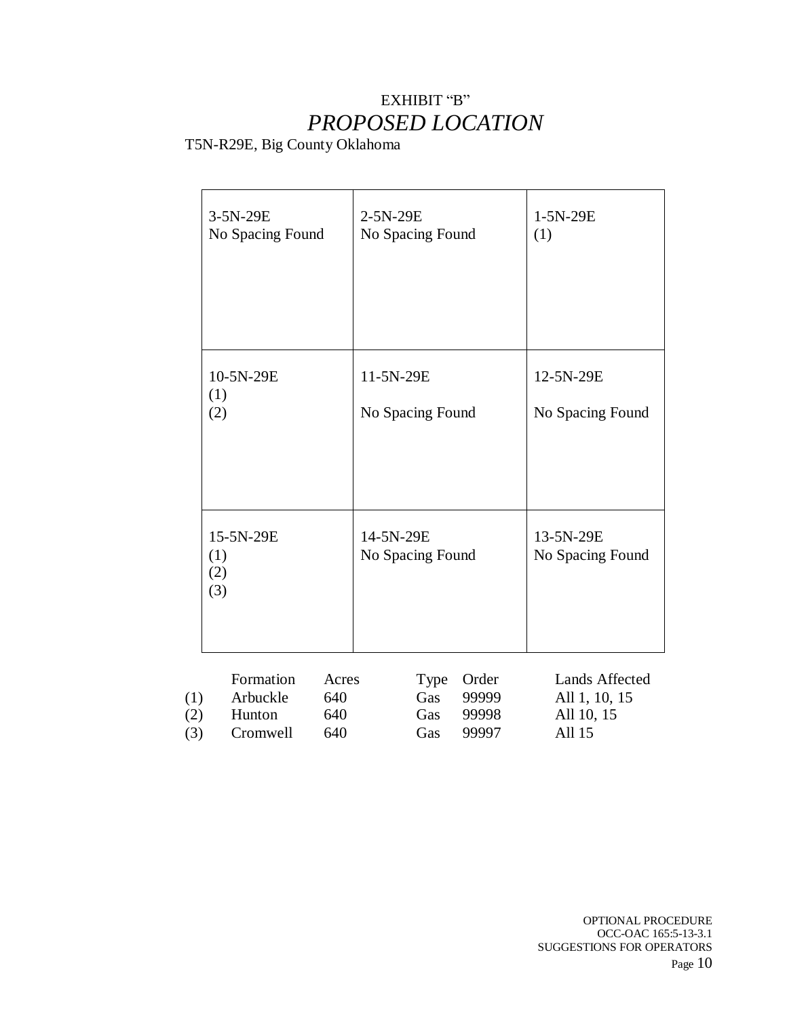### EXHIBIT "B" *PROPOSED LOCATION*

### T5N-R29E, Big County Oklahoma

|                   | 3-5N-29E<br>No Spacing Found                |                            | 2-5N-29E<br>No Spacing Found  |                           |                                  | 1-5N-29E<br>(1)                                         |
|-------------------|---------------------------------------------|----------------------------|-------------------------------|---------------------------|----------------------------------|---------------------------------------------------------|
|                   | 10-5N-29E<br>(1)<br>(2)                     |                            | 11-5N-29E<br>No Spacing Found |                           |                                  | 12-5N-29E<br>No Spacing Found                           |
|                   | 15-5N-29E<br>(1)<br>(2)<br>(3)              |                            | 14-5N-29E<br>No Spacing Found |                           |                                  | 13-5N-29E<br>No Spacing Found                           |
| (1)<br>(2)<br>(3) | Formation<br>Arbuckle<br>Hunton<br>Cromwell | Acres<br>640<br>640<br>640 |                               | Type<br>Gas<br>Gas<br>Gas | Order<br>99999<br>99998<br>99997 | Lands Affected<br>All 1, 10, 15<br>All 10, 15<br>All 15 |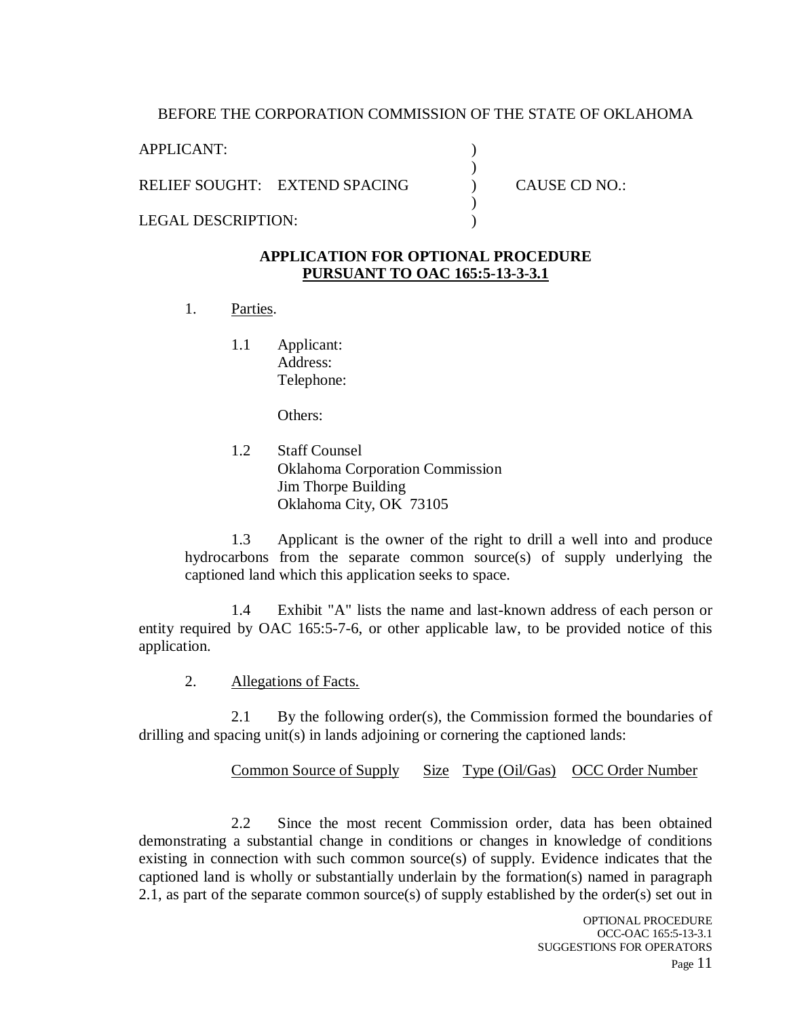#### BEFORE THE CORPORATION COMMISSION OF THE STATE OF OKLAHOMA

) ) ) ) )

APPLICANT:

RELIEF SOUGHT: EXTEND SPACING

LEGAL DESCRIPTION:

CAUSE CD NO.:

#### **APPLICATION FOR OPTIONAL PROCEDURE PURSUANT TO OAC 165:5-13-3-3.1**

- 1. Parties.
	- 1.1 Applicant: Address: Telephone:

Others:

1.2 Staff Counsel Oklahoma Corporation Commission Jim Thorpe Building Oklahoma City, OK 73105

1.3 Applicant is the owner of the right to drill a well into and produce hydrocarbons from the separate common source(s) of supply underlying the captioned land which this application seeks to space.

1.4 Exhibit "A" lists the name and last-known address of each person or entity required by OAC 165:5-7-6, or other applicable law, to be provided notice of this application.

2. Allegations of Facts.

2.1 By the following order(s), the Commission formed the boundaries of drilling and spacing unit(s) in lands adjoining or cornering the captioned lands:

Common Source of Supply Size Type (Oil/Gas) OCC Order Number

2.2 Since the most recent Commission order, data has been obtained demonstrating a substantial change in conditions or changes in knowledge of conditions existing in connection with such common source(s) of supply. Evidence indicates that the captioned land is wholly or substantially underlain by the formation(s) named in paragraph 2.1, as part of the separate common source(s) of supply established by the order(s) set out in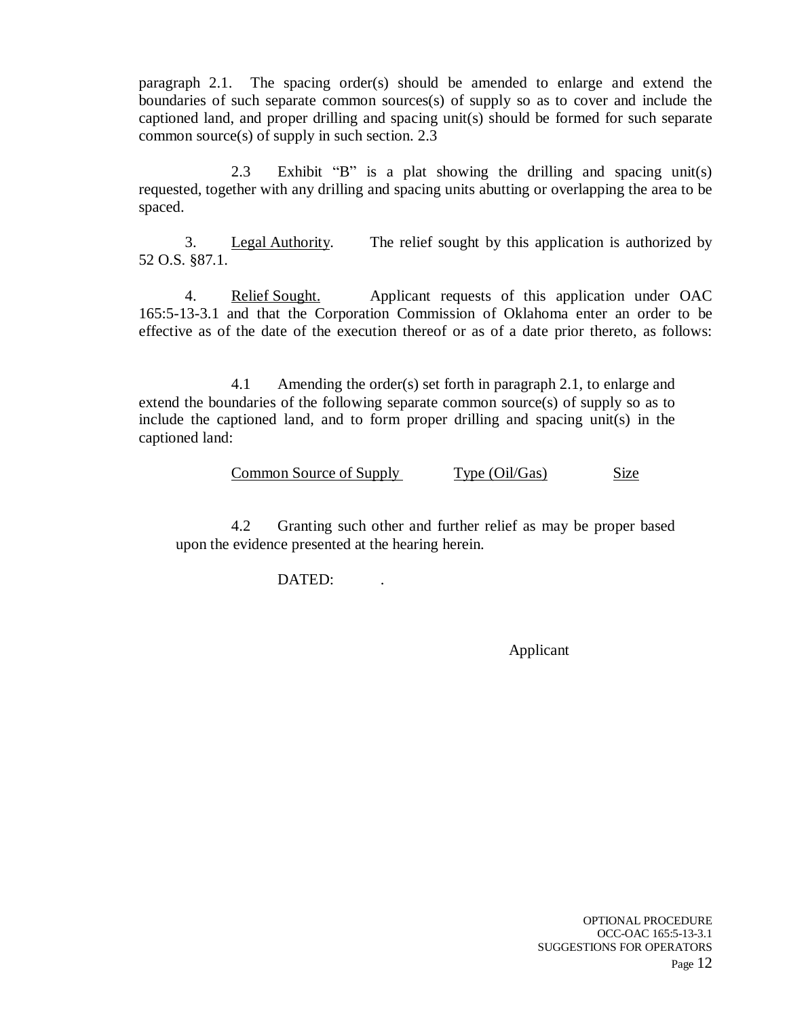paragraph 2.1. The spacing order(s) should be amended to enlarge and extend the boundaries of such separate common sources(s) of supply so as to cover and include the captioned land, and proper drilling and spacing unit(s) should be formed for such separate common source(s) of supply in such section. 2.3

2.3 Exhibit "B" is a plat showing the drilling and spacing unit(s) requested, together with any drilling and spacing units abutting or overlapping the area to be spaced.

3. Legal Authority. The relief sought by this application is authorized by 52 O.S. §87.1.

4. Relief Sought. Applicant requests of this application under OAC 165:5-13-3.1 and that the Corporation Commission of Oklahoma enter an order to be effective as of the date of the execution thereof or as of a date prior thereto, as follows:

4.1 Amending the order(s) set forth in paragraph 2.1, to enlarge and extend the boundaries of the following separate common source(s) of supply so as to include the captioned land, and to form proper drilling and spacing unit(s) in the captioned land:

Common Source of Supply Type (Oil/Gas) Size

4.2 Granting such other and further relief as may be proper based upon the evidence presented at the hearing herein.

DATED: .

Applicant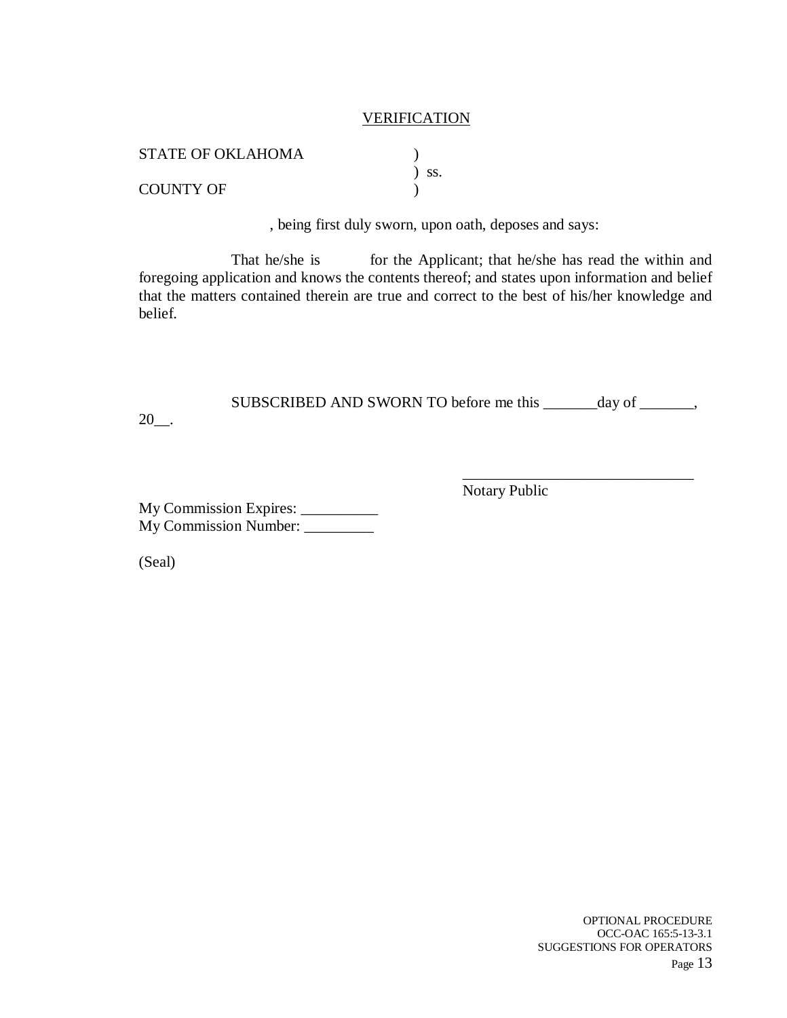#### **VERIFICATION**

| <b>STATE OF OKLAHOMA</b> |            |
|--------------------------|------------|
|                          | $\sum$ SS. |
| <b>COUNTY OF</b>         |            |

, being first duly sworn, upon oath, deposes and says:

That he/she is for the Applicant; that he/she has read the within and foregoing application and knows the contents thereof; and states upon information and belief that the matters contained therein are true and correct to the best of his/her knowledge and belief.

SUBSCRIBED AND SWORN TO before me this \_\_\_\_\_\_\_day of \_\_\_\_\_\_\_,

 $20$ \_\_.

Notary Public

\_\_\_\_\_\_\_\_\_\_\_\_\_\_\_\_\_\_\_\_\_\_\_\_\_\_\_\_\_\_

My Commission Expires: \_\_\_\_\_\_\_\_\_\_ My Commission Number:

(Seal)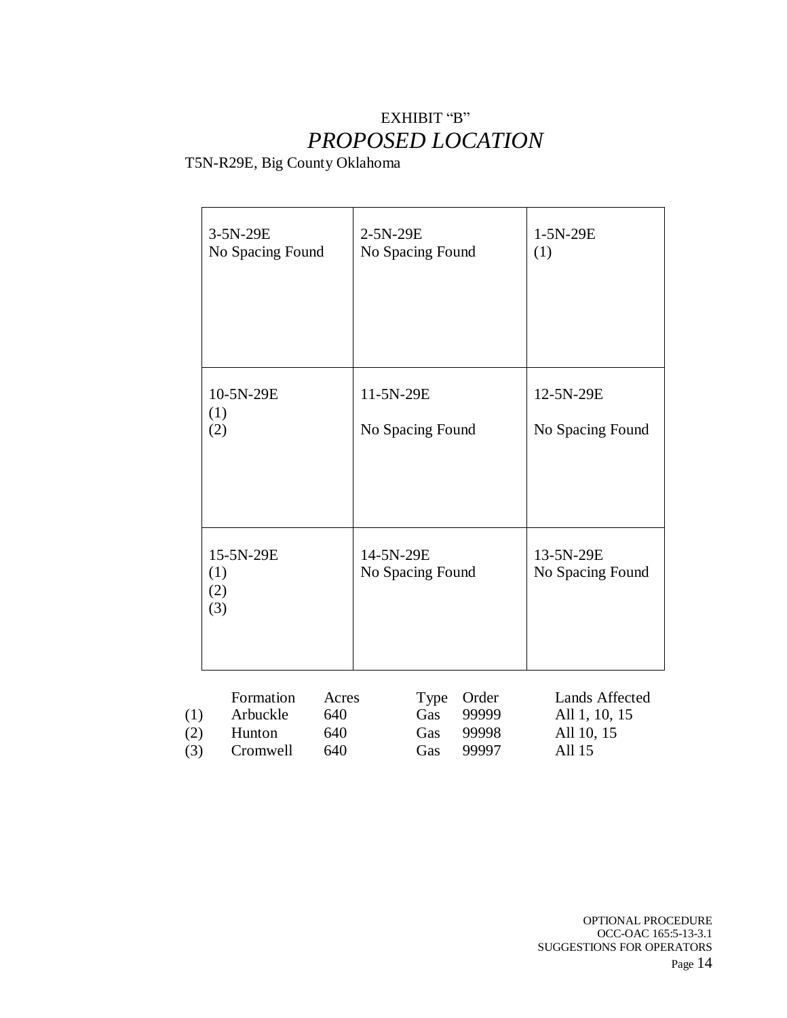### EXHIBIT "B" *PROPOSED LOCATION*

T5N-R29E, Big County Oklahoma

|                   | 3-5N-29E<br>No Spacing Found                |                            | 2-5N-29E<br>No Spacing Found  |                                  | 1-5N-29E<br>(1)                                         |
|-------------------|---------------------------------------------|----------------------------|-------------------------------|----------------------------------|---------------------------------------------------------|
|                   | 10-5N-29E<br>(1)<br>(2)                     |                            | 11-5N-29E<br>No Spacing Found |                                  | 12-5N-29E<br>No Spacing Found                           |
|                   | 15-5N-29E<br>(1)<br>(2)<br>(3)              |                            | 14-5N-29E<br>No Spacing Found |                                  | 13-5N-29E<br>No Spacing Found                           |
| (1)<br>(2)<br>(3) | Formation<br>Arbuckle<br>Hunton<br>Cromwell | Acres<br>640<br>640<br>640 | Type<br>Gas<br>Gas<br>Gas     | Order<br>99999<br>99998<br>99997 | Lands Affected<br>All 1, 10, 15<br>All 10, 15<br>All 15 |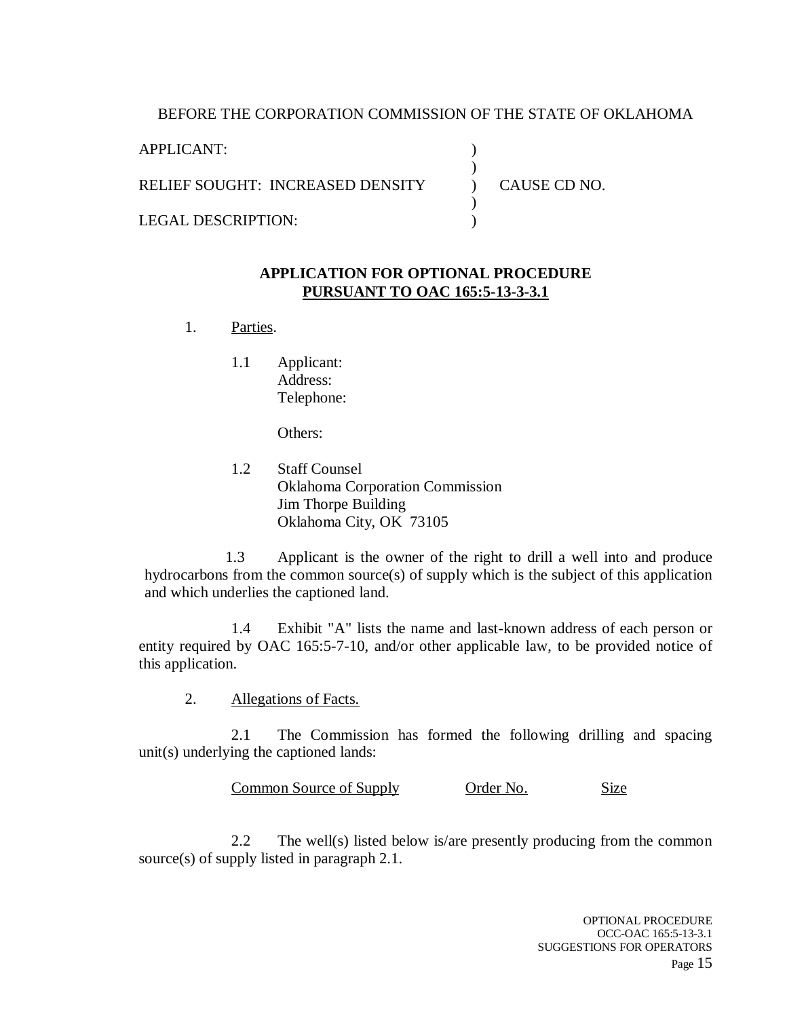#### BEFORE THE CORPORATION COMMISSION OF THE STATE OF OKLAHOMA

) )  $\overline{)}$ )  $\lambda$ 

APPLICANT:

RELIEF SOUGHT: INCREASED DENSITY

LEGAL DESCRIPTION:

CAUSE CD NO.

#### **APPLICATION FOR OPTIONAL PROCEDURE PURSUANT TO OAC 165:5-13-3-3.1**

- 1. Parties.
	- 1.1 Applicant: Address: Telephone:

Others:

1.2 Staff Counsel Oklahoma Corporation Commission Jim Thorpe Building Oklahoma City, OK 73105

1.3 Applicant is the owner of the right to drill a well into and produce hydrocarbons from the common source(s) of supply which is the subject of this application and which underlies the captioned land.

1.4 Exhibit "A" lists the name and last-known address of each person or entity required by OAC 165:5-7-10, and/or other applicable law, to be provided notice of this application.

2. Allegations of Facts.

2.1 The Commission has formed the following drilling and spacing unit(s) underlying the captioned lands:

Common Source of Supply Order No. Size

2.2 The well(s) listed below is/are presently producing from the common source(s) of supply listed in paragraph 2.1.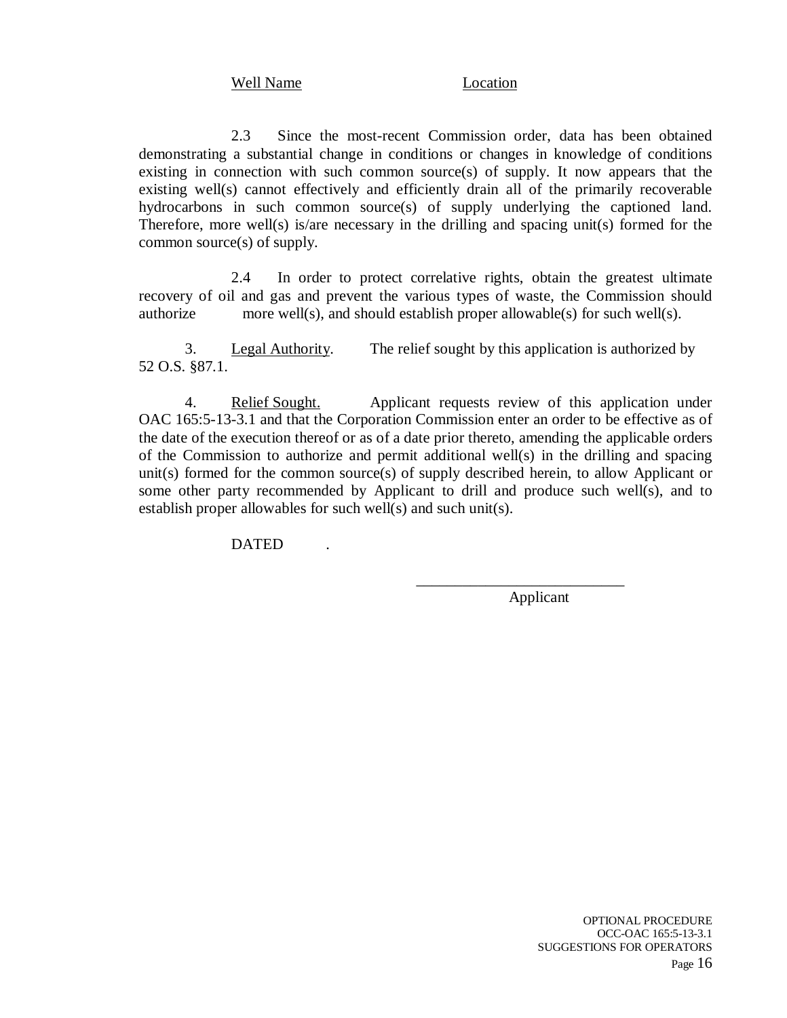#### Well Name Location

2.3 Since the most-recent Commission order, data has been obtained demonstrating a substantial change in conditions or changes in knowledge of conditions existing in connection with such common source(s) of supply. It now appears that the existing well(s) cannot effectively and efficiently drain all of the primarily recoverable hydrocarbons in such common source(s) of supply underlying the captioned land. Therefore, more well(s) is/are necessary in the drilling and spacing unit(s) formed for the common source(s) of supply.

2.4 In order to protect correlative rights, obtain the greatest ultimate recovery of oil and gas and prevent the various types of waste, the Commission should authorize more well(s), and should establish proper allowable(s) for such well(s).

3. Legal Authority. The relief sought by this application is authorized by 52 O.S. §87.1.

4. Relief Sought. Applicant requests review of this application under OAC 165:5-13-3.1 and that the Corporation Commission enter an order to be effective as of the date of the execution thereof or as of a date prior thereto, amending the applicable orders of the Commission to authorize and permit additional well(s) in the drilling and spacing unit(s) formed for the common source(s) of supply described herein, to allow Applicant or some other party recommended by Applicant to drill and produce such well(s), and to establish proper allowables for such well(s) and such unit(s).

**DATED** 

Applicant

\_\_\_\_\_\_\_\_\_\_\_\_\_\_\_\_\_\_\_\_\_\_\_\_\_\_\_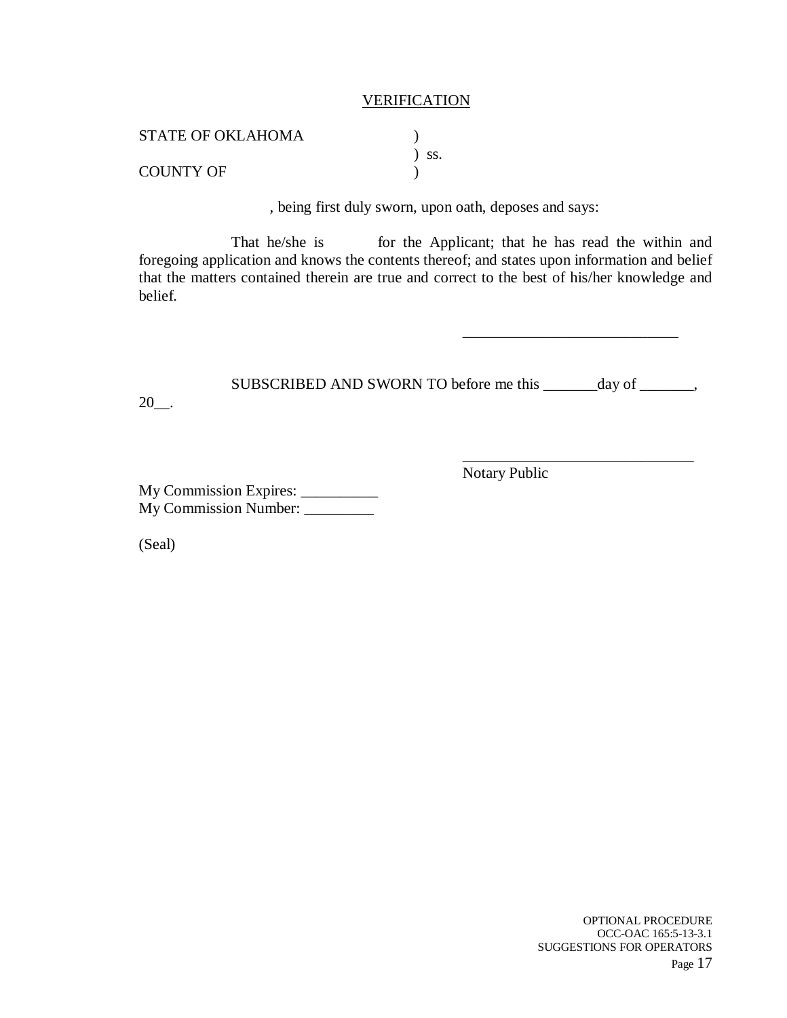#### **VERIFICATION**

| STATE OF OKLAHOMA |            |
|-------------------|------------|
|                   | $\sum$ SS. |
| <b>COUNTY OF</b>  |            |

, being first duly sworn, upon oath, deposes and says:

That he/she is for the Applicant; that he has read the within and foregoing application and knows the contents thereof; and states upon information and belief that the matters contained therein are true and correct to the best of his/her knowledge and belief.

\_\_\_\_\_\_\_\_\_\_\_\_\_\_\_\_\_\_\_\_\_\_\_\_\_\_\_\_

\_\_\_\_\_\_\_\_\_\_\_\_\_\_\_\_\_\_\_\_\_\_\_\_\_\_\_\_\_\_

Notary Public

SUBSCRIBED AND SWORN TO before me this \_\_\_\_\_\_\_day of \_\_\_\_\_\_\_,  $20$ .

My Commission Expires: \_\_\_\_\_\_\_\_\_\_ My Commission Number: \_\_\_\_\_\_\_\_\_

(Seal)

OPTIONAL PROCEDURE OCC-OAC 165:5-13-3.1 SUGGESTIONS FOR OPERATORS Page 17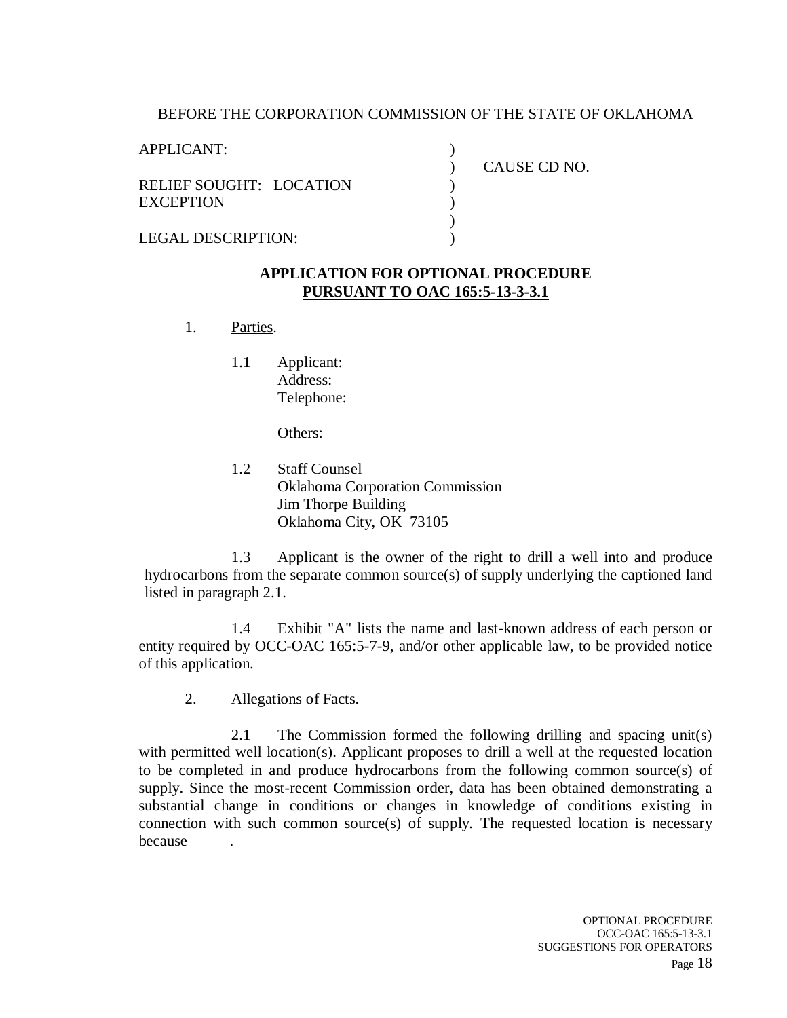#### BEFORE THE CORPORATION COMMISSION OF THE STATE OF OKLAHOMA

) ) ) ) ) )

APPLICANT:

RELIEF SOUGHT: LOCATION **EXCEPTION** 

CAUSE CD NO.

LEGAL DESCRIPTION:

#### **APPLICATION FOR OPTIONAL PROCEDURE PURSUANT TO OAC 165:5-13-3-3.1**

- 1. Parties.
	- 1.1 Applicant: Address: Telephone:

Others:

1.2 Staff Counsel Oklahoma Corporation Commission Jim Thorpe Building Oklahoma City, OK 73105

1.3 Applicant is the owner of the right to drill a well into and produce hydrocarbons from the separate common source(s) of supply underlying the captioned land listed in paragraph 2.1.

1.4 Exhibit "A" lists the name and last-known address of each person or entity required by OCC-OAC 165:5-7-9, and/or other applicable law, to be provided notice of this application.

2. Allegations of Facts.

2.1 The Commission formed the following drilling and spacing unit(s) with permitted well location(s). Applicant proposes to drill a well at the requested location to be completed in and produce hydrocarbons from the following common source(s) of supply. Since the most-recent Commission order, data has been obtained demonstrating a substantial change in conditions or changes in knowledge of conditions existing in connection with such common source(s) of supply. The requested location is necessary because .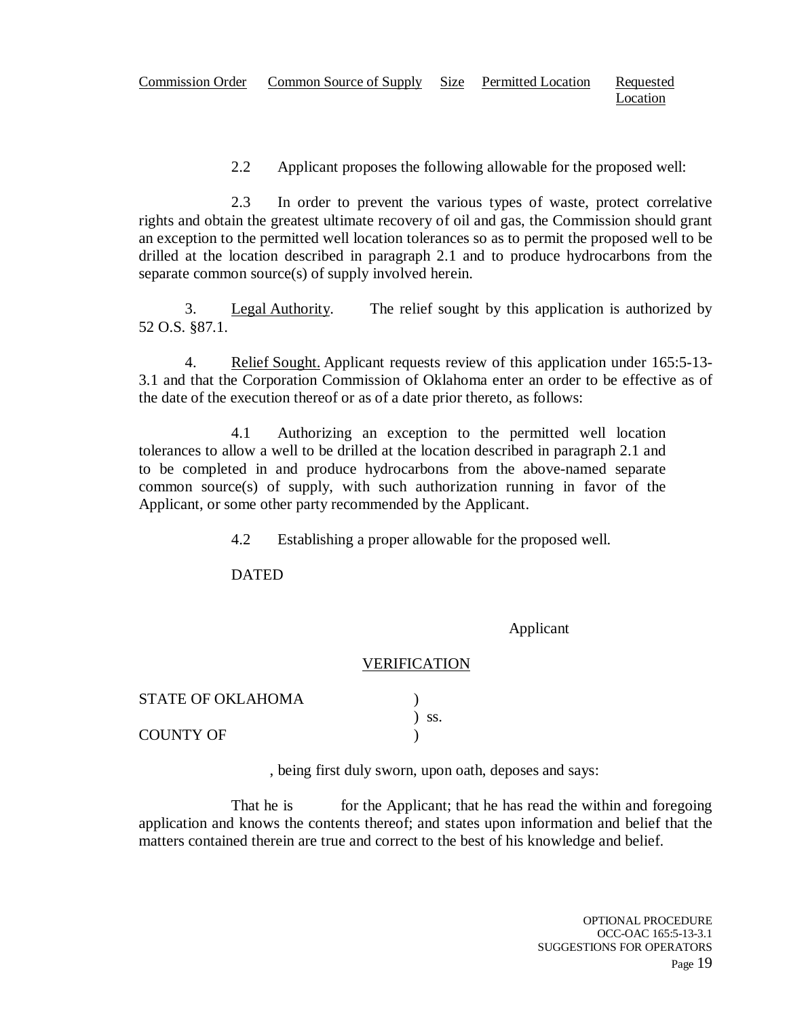2.2 Applicant proposes the following allowable for the proposed well:

2.3 In order to prevent the various types of waste, protect correlative rights and obtain the greatest ultimate recovery of oil and gas, the Commission should grant an exception to the permitted well location tolerances so as to permit the proposed well to be drilled at the location described in paragraph 2.1 and to produce hydrocarbons from the separate common source(s) of supply involved herein.

3. Legal Authority. The relief sought by this application is authorized by 52 O.S. §87.1.

4. Relief Sought. Applicant requests review of this application under 165:5-13- 3.1 and that the Corporation Commission of Oklahoma enter an order to be effective as of the date of the execution thereof or as of a date prior thereto, as follows:

4.1 Authorizing an exception to the permitted well location tolerances to allow a well to be drilled at the location described in paragraph 2.1 and to be completed in and produce hydrocarbons from the above-named separate common source(s) of supply, with such authorization running in favor of the Applicant, or some other party recommended by the Applicant.

4.2 Establishing a proper allowable for the proposed well.

DATED

Applicant

#### VERIFICATION

| STATE OF OKLAHOMA |            |
|-------------------|------------|
|                   | $\sum$ SS. |
| COUNTY OF         |            |

, being first duly sworn, upon oath, deposes and says:

That he is for the Applicant; that he has read the within and foregoing application and knows the contents thereof; and states upon information and belief that the matters contained therein are true and correct to the best of his knowledge and belief.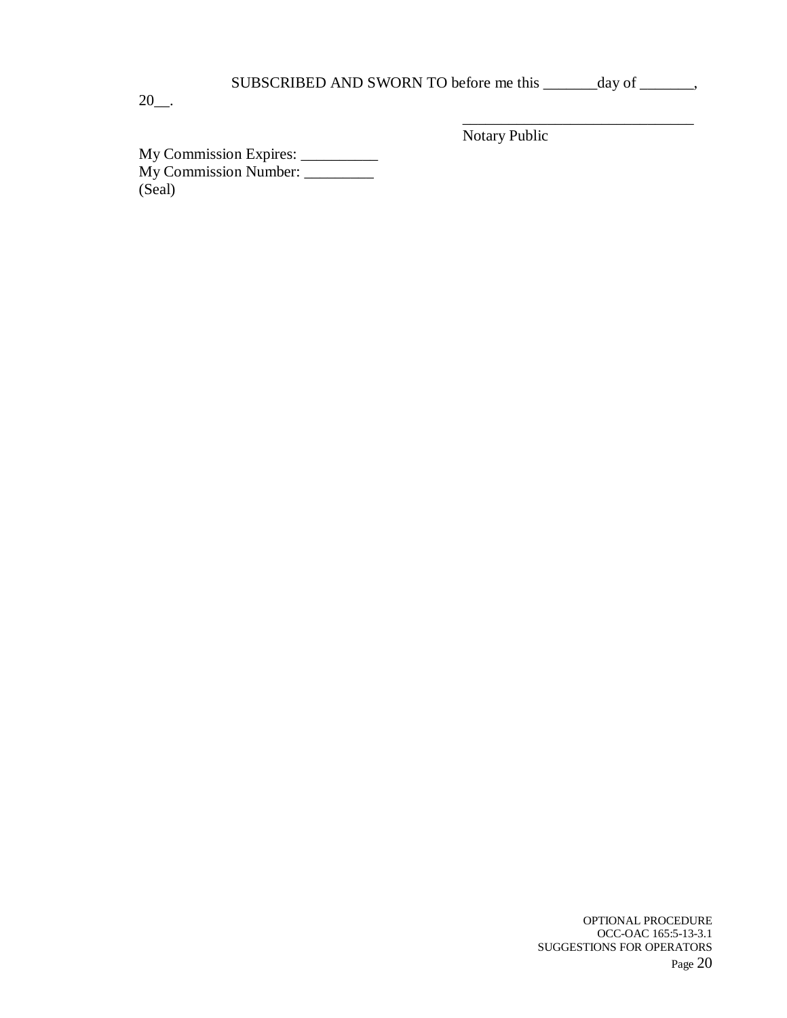| SUBSCRIBED AND SWORN TO before me this |  |  |  |  | day of |  |
|----------------------------------------|--|--|--|--|--------|--|
|----------------------------------------|--|--|--|--|--------|--|

20\_\_.

\_\_\_\_\_\_\_\_\_\_\_\_\_\_\_\_\_\_\_\_\_\_\_\_\_\_\_\_\_\_ Notary Public

My Commission Expires: \_\_\_\_\_\_\_\_\_\_ My Commission Number: \_\_\_\_\_\_\_\_\_ (Seal)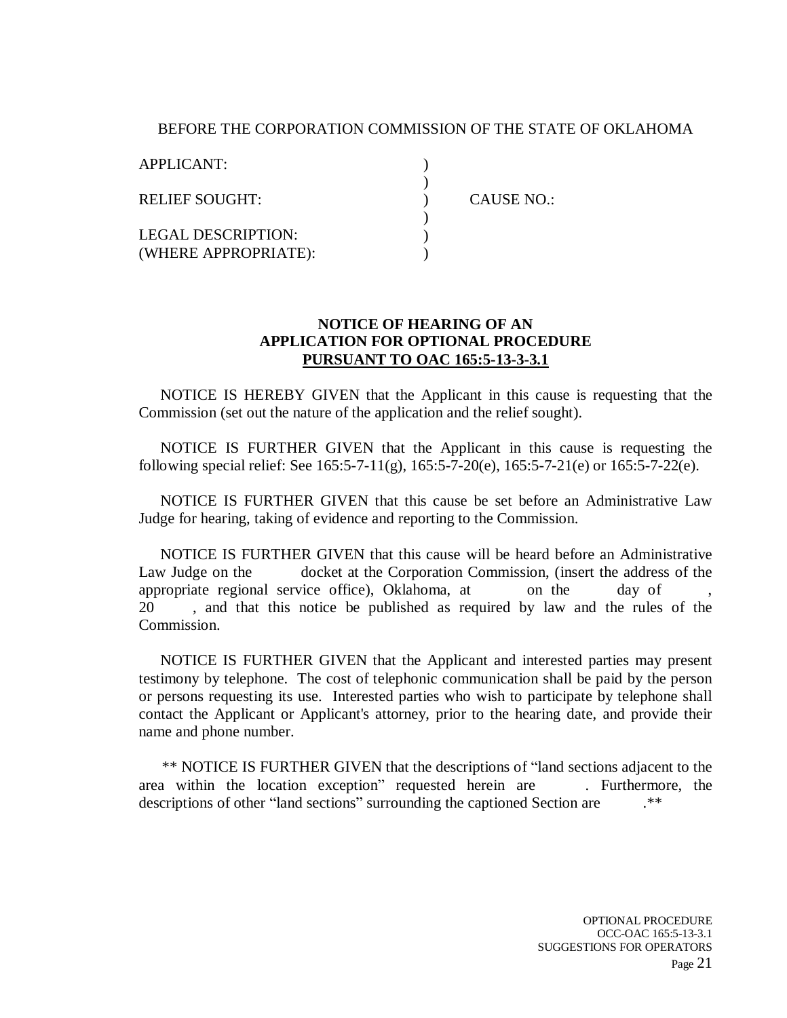#### BEFORE THE CORPORATION COMMISSION OF THE STATE OF OKLAHOMA

 $\lambda$ ) ) ) ) )

APPLICANT:

RELIEF SOUGHT:

LEGAL DESCRIPTION: (WHERE APPROPRIATE): CAUSE NO.:

#### **NOTICE OF HEARING OF AN APPLICATION FOR OPTIONAL PROCEDURE PURSUANT TO OAC 165:5-13-3-3.1**

NOTICE IS HEREBY GIVEN that the Applicant in this cause is requesting that the Commission (set out the nature of the application and the relief sought).

NOTICE IS FURTHER GIVEN that the Applicant in this cause is requesting the following special relief: See 165:5-7-11(g), 165:5-7-20(e), 165:5-7-21(e) or 165:5-7-22(e).

NOTICE IS FURTHER GIVEN that this cause be set before an Administrative Law Judge for hearing, taking of evidence and reporting to the Commission.

NOTICE IS FURTHER GIVEN that this cause will be heard before an Administrative Law Judge on the docket at the Corporation Commission, (insert the address of the appropriate regional service office), Oklahoma, at on the day of 20 , and that this notice be published as required by law and the rules of the Commission.

NOTICE IS FURTHER GIVEN that the Applicant and interested parties may present testimony by telephone. The cost of telephonic communication shall be paid by the person or persons requesting its use. Interested parties who wish to participate by telephone shall contact the Applicant or Applicant's attorney, prior to the hearing date, and provide their name and phone number.

\*\* NOTICE IS FURTHER GIVEN that the descriptions of "land sections adjacent to the area within the location exception" requested herein are . Furthermore, the descriptions of other "land sections" surrounding the captioned Section are .\*\*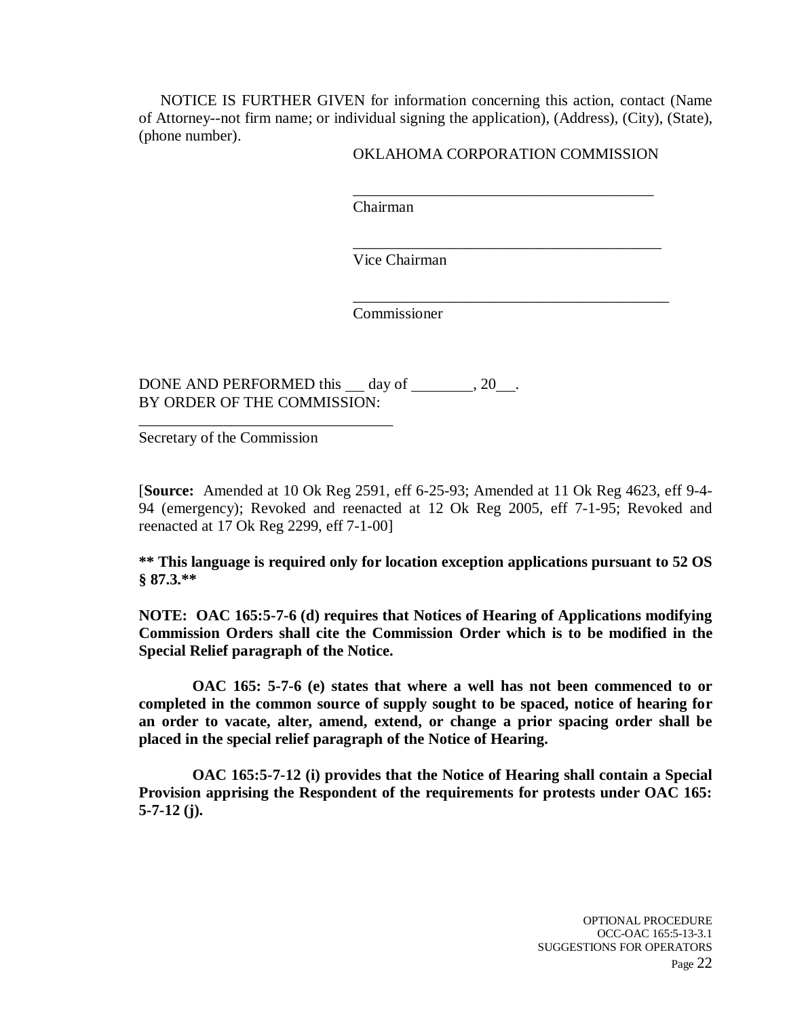NOTICE IS FURTHER GIVEN for information concerning this action, contact (Name of Attorney--not firm name; or individual signing the application), (Address), (City), (State), (phone number).

#### OKLAHOMA CORPORATION COMMISSION

\_\_\_\_\_\_\_\_\_\_\_\_\_\_\_\_\_\_\_\_\_\_\_\_\_\_\_\_\_\_\_\_\_\_\_\_\_\_\_

\_\_\_\_\_\_\_\_\_\_\_\_\_\_\_\_\_\_\_\_\_\_\_\_\_\_\_\_\_\_\_\_\_\_\_\_\_\_\_\_

\_\_\_\_\_\_\_\_\_\_\_\_\_\_\_\_\_\_\_\_\_\_\_\_\_\_\_\_\_\_\_\_\_\_\_\_\_\_\_\_\_

Chairman

Vice Chairman

Commissioner

DONE AND PERFORMED this  $\_\_$  day of  $\_\_$ , 20  $\_\_$ . BY ORDER OF THE COMMISSION:

Secretary of the Commission

\_\_\_\_\_\_\_\_\_\_\_\_\_\_\_\_\_\_\_\_\_\_\_\_\_\_\_\_\_\_\_\_\_

[**Source:** Amended at 10 Ok Reg 2591, eff 6-25-93; Amended at 11 Ok Reg 4623, eff 9-4- 94 (emergency); Revoked and reenacted at 12 Ok Reg 2005, eff 7-1-95; Revoked and reenacted at 17 Ok Reg 2299, eff 7-1-00]

**\*\* This language is required only for location exception applications pursuant to 52 OS § 87.3.\*\***

**NOTE: OAC 165:5-7-6 (d) requires that Notices of Hearing of Applications modifying Commission Orders shall cite the Commission Order which is to be modified in the Special Relief paragraph of the Notice.**

 **OAC 165: 5-7-6 (e) states that where a well has not been commenced to or completed in the common source of supply sought to be spaced, notice of hearing for an order to vacate, alter, amend, extend, or change a prior spacing order shall be placed in the special relief paragraph of the Notice of Hearing.**

 **OAC 165:5-7-12 (i) provides that the Notice of Hearing shall contain a Special Provision apprising the Respondent of the requirements for protests under OAC 165: 5-7-12 (j).**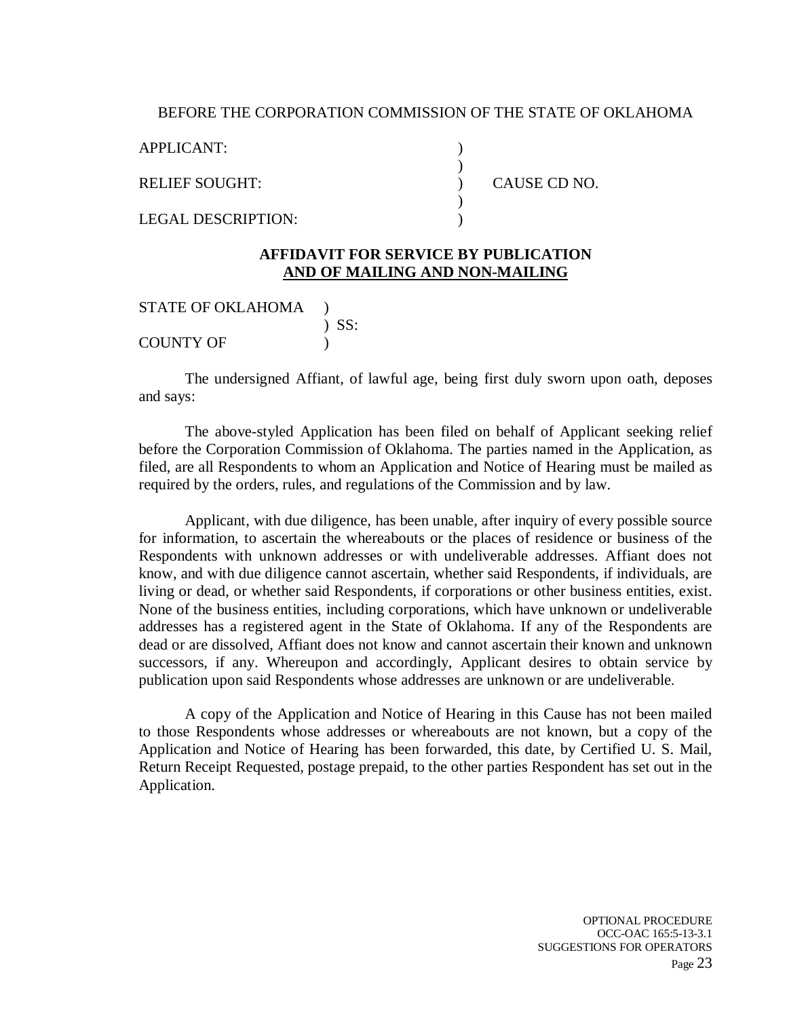#### BEFORE THE CORPORATION COMMISSION OF THE STATE OF OKLAHOMA

) ) ) )  $\lambda$ 

APPLICANT:

RELIEF SOUGHT:

LEGAL DESCRIPTION:

CAUSE CD NO.

#### **AFFIDAVIT FOR SERVICE BY PUBLICATION AND OF MAILING AND NON-MAILING**

STATE OF OKLAHOMA ) ) SS: COUNTY OF  $\qquad$  )

The undersigned Affiant, of lawful age, being first duly sworn upon oath, deposes and says:

The above-styled Application has been filed on behalf of Applicant seeking relief before the Corporation Commission of Oklahoma. The parties named in the Application, as filed, are all Respondents to whom an Application and Notice of Hearing must be mailed as required by the orders, rules, and regulations of the Commission and by law.

Applicant, with due diligence, has been unable, after inquiry of every possible source for information, to ascertain the whereabouts or the places of residence or business of the Respondents with unknown addresses or with undeliverable addresses. Affiant does not know, and with due diligence cannot ascertain, whether said Respondents, if individuals, are living or dead, or whether said Respondents, if corporations or other business entities, exist. None of the business entities, including corporations, which have unknown or undeliverable addresses has a registered agent in the State of Oklahoma. If any of the Respondents are dead or are dissolved, Affiant does not know and cannot ascertain their known and unknown successors, if any. Whereupon and accordingly, Applicant desires to obtain service by publication upon said Respondents whose addresses are unknown or are undeliverable.

A copy of the Application and Notice of Hearing in this Cause has not been mailed to those Respondents whose addresses or whereabouts are not known, but a copy of the Application and Notice of Hearing has been forwarded, this date, by Certified U. S. Mail, Return Receipt Requested, postage prepaid, to the other parties Respondent has set out in the Application.

> OPTIONAL PROCEDURE OCC-OAC 165:5-13-3.1 SUGGESTIONS FOR OPERATORS Page 23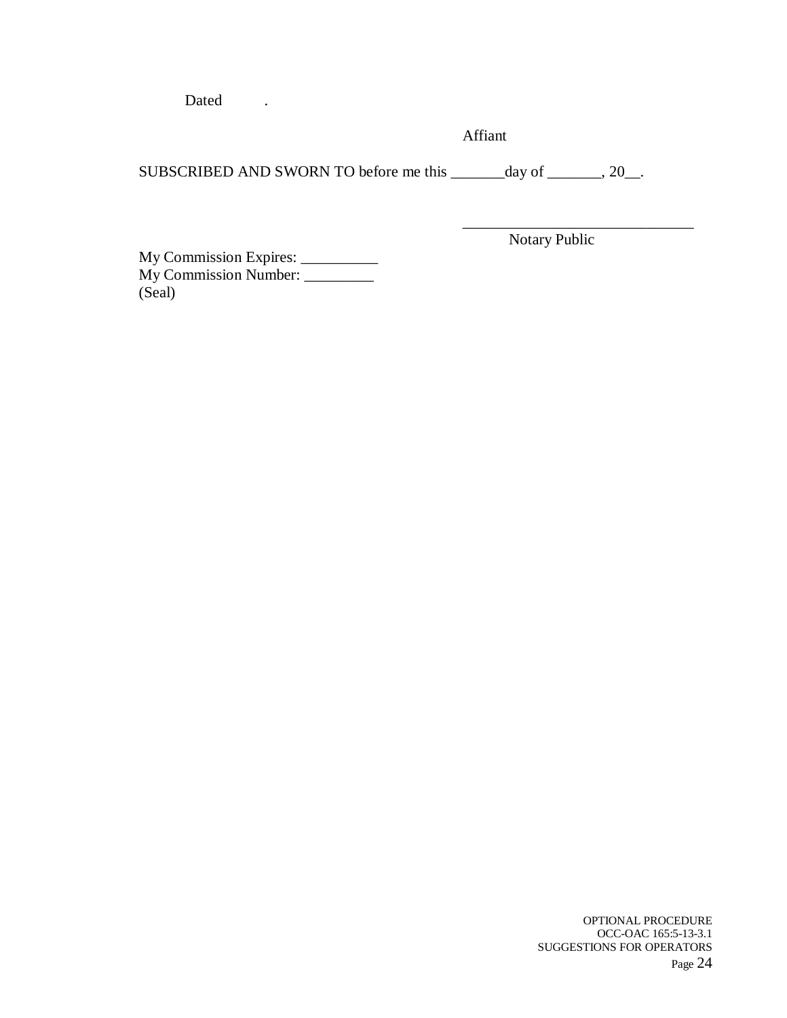Dated .

Affiant

SUBSCRIBED AND SWORN TO before me this \_\_\_\_\_\_day of \_\_\_\_\_\_, 20\_\_.

Notary Public

\_\_\_\_\_\_\_\_\_\_\_\_\_\_\_\_\_\_\_\_\_\_\_\_\_\_\_\_\_\_

My Commission Expires: \_\_\_\_\_\_\_\_\_\_ My Commission Number: \_\_\_\_\_\_\_\_\_ (Seal)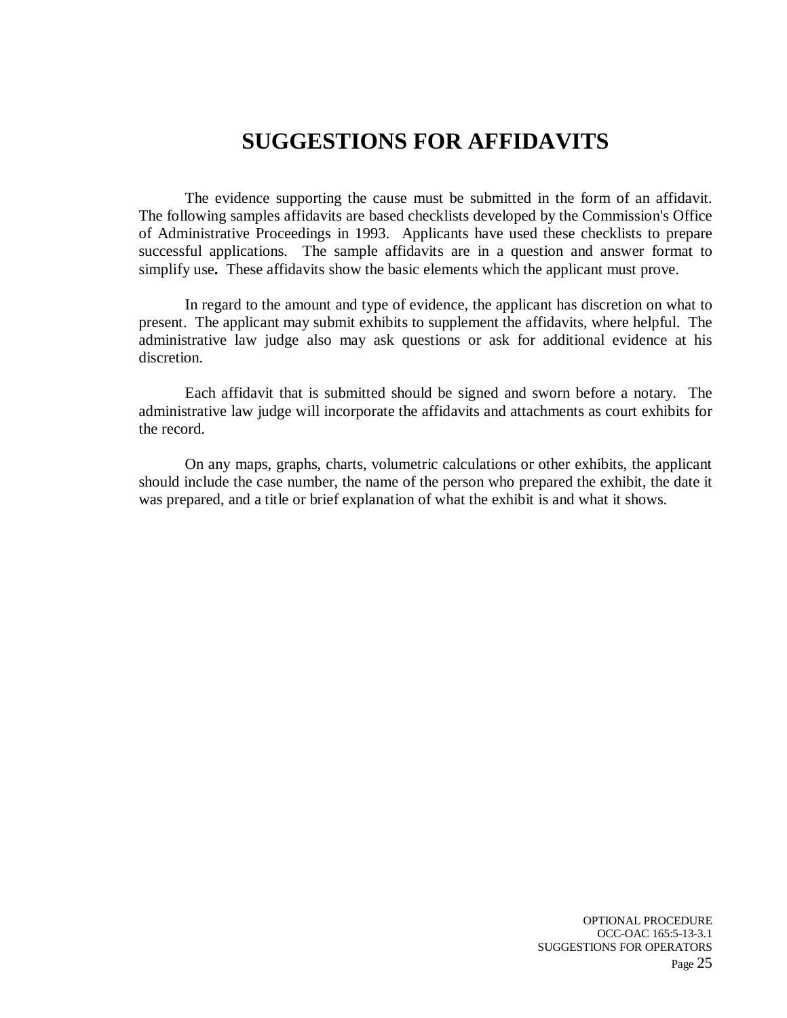### **SUGGESTIONS FOR AFFIDAVITS**

The evidence supporting the cause must be submitted in the form of an affidavit. The following samples affidavits are based checklists developed by the Commission's Office of Administrative Proceedings in 1993. Applicants have used these checklists to prepare successful applications. The sample affidavits are in a question and answer format to simplify use**.** These affidavits show the basic elements which the applicant must prove.

In regard to the amount and type of evidence, the applicant has discretion on what to present. The applicant may submit exhibits to supplement the affidavits, where helpful. The administrative law judge also may ask questions or ask for additional evidence at his discretion.

Each affidavit that is submitted should be signed and sworn before a notary. The administrative law judge will incorporate the affidavits and attachments as court exhibits for the record.

On any maps, graphs, charts, volumetric calculations or other exhibits, the applicant should include the case number, the name of the person who prepared the exhibit, the date it was prepared, and a title or brief explanation of what the exhibit is and what it shows.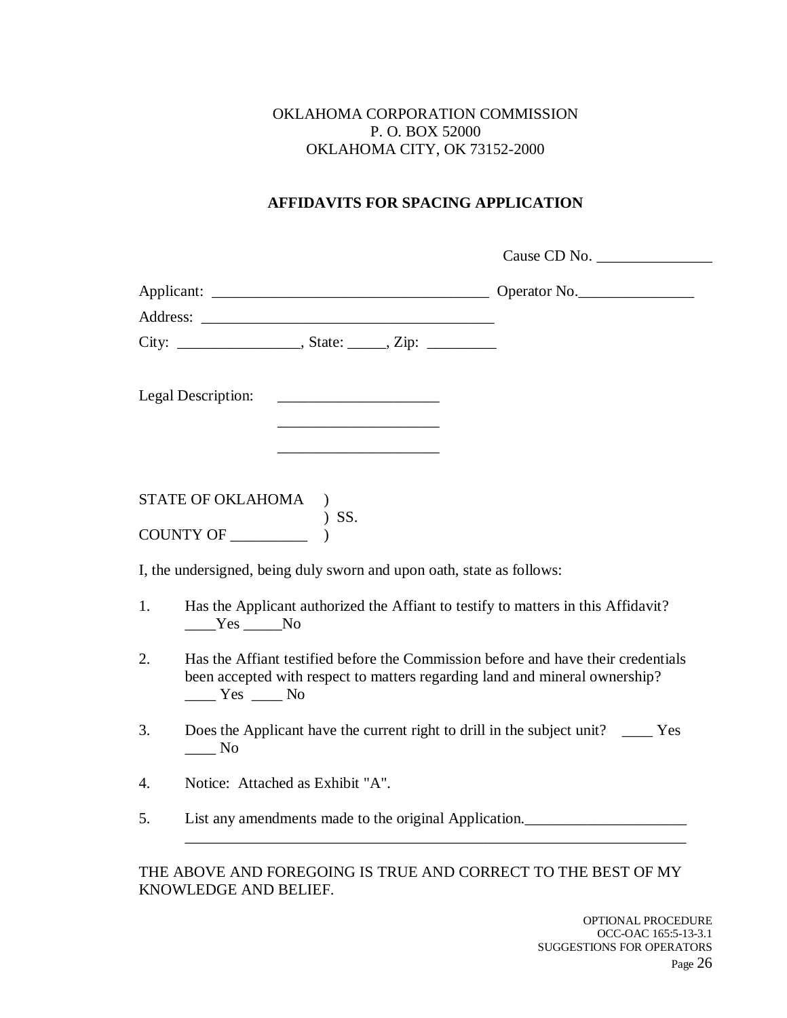#### OKLAHOMA CORPORATION COMMISSION P. O. BOX 52000 OKLAHOMA CITY, OK 73152-2000

#### **AFFIDAVITS FOR SPACING APPLICATION**

|    |                                                                                                                    |                                                                            | Cause CD No.                                                                                                                                                     |
|----|--------------------------------------------------------------------------------------------------------------------|----------------------------------------------------------------------------|------------------------------------------------------------------------------------------------------------------------------------------------------------------|
|    |                                                                                                                    |                                                                            |                                                                                                                                                                  |
|    |                                                                                                                    |                                                                            |                                                                                                                                                                  |
|    |                                                                                                                    |                                                                            |                                                                                                                                                                  |
|    | <b>Legal Description:</b>                                                                                          | <u> 1980 - Jan Samuel Barbara, martin d</u>                                |                                                                                                                                                                  |
|    |                                                                                                                    | the control of the control of the control of the control of the control of |                                                                                                                                                                  |
|    |                                                                                                                    |                                                                            |                                                                                                                                                                  |
|    | $\begin{tabular}{ll} \textbf{STATE OF OKLAHOMA} & \textbf{)} \\ \textbf{COUNTY OF} & \textbf{)} SS. \end{tabular}$ |                                                                            |                                                                                                                                                                  |
|    |                                                                                                                    | I, the undersigned, being duly sworn and upon oath, state as follows:      |                                                                                                                                                                  |
| 1. | $Yes$ No                                                                                                           |                                                                            | Has the Applicant authorized the Affiant to testify to matters in this Affidavit?                                                                                |
| 2. | $\frac{Yes}{Y}$ No                                                                                                 |                                                                            | Has the Affiant testified before the Commission before and have their credentials<br>been accepted with respect to matters regarding land and mineral ownership? |
| 3. | $\rule{1em}{0.15mm}$ No                                                                                            |                                                                            | Does the Applicant have the current right to drill in the subject unit? ______ Yes                                                                               |
| 4. | Notice: Attached as Exhibit "A".                                                                                   |                                                                            |                                                                                                                                                                  |
| 5. |                                                                                                                    |                                                                            | List any amendments made to the original Application.                                                                                                            |
|    |                                                                                                                    |                                                                            |                                                                                                                                                                  |

THE ABOVE AND FOREGOING IS TRUE AND CORRECT TO THE BEST OF MY KNOWLEDGE AND BELIEF.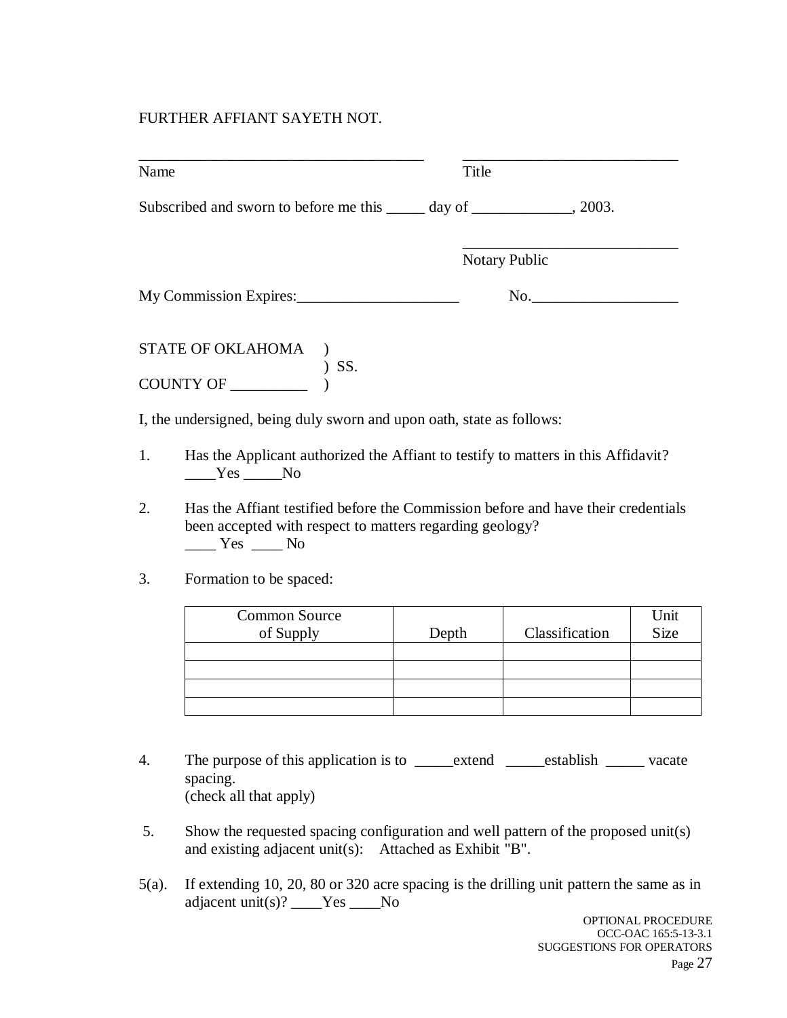#### FURTHER AFFIANT SAYETH NOT.

| Name |                                                                                                                                                                                                                                                                                                                                                                                                                                                                                                                                                                        | Title |                |                     |
|------|------------------------------------------------------------------------------------------------------------------------------------------------------------------------------------------------------------------------------------------------------------------------------------------------------------------------------------------------------------------------------------------------------------------------------------------------------------------------------------------------------------------------------------------------------------------------|-------|----------------|---------------------|
|      | Subscribed and sworn to before me this ______ day of ______________, 2003.                                                                                                                                                                                                                                                                                                                                                                                                                                                                                             |       |                |                     |
|      |                                                                                                                                                                                                                                                                                                                                                                                                                                                                                                                                                                        |       | Notary Public  |                     |
|      | My Commission Expires:                                                                                                                                                                                                                                                                                                                                                                                                                                                                                                                                                 |       | No.            |                     |
|      | STATE OF OKLAHOMA<br>COUNTY OF<br>$)$ SS.                                                                                                                                                                                                                                                                                                                                                                                                                                                                                                                              |       |                |                     |
|      | I, the undersigned, being duly sworn and upon oath, state as follows:                                                                                                                                                                                                                                                                                                                                                                                                                                                                                                  |       |                |                     |
| 1.   | Has the Applicant authorized the Affiant to testify to matters in this Affidavit?<br>$Yes$ No                                                                                                                                                                                                                                                                                                                                                                                                                                                                          |       |                |                     |
| 2.   | Has the Affiant testified before the Commission before and have their credentials<br>been accepted with respect to matters regarding geology?<br>$\frac{1}{\sqrt{1-\frac{1}{1-\frac{1}{1-\frac{1}{1-\frac{1}{1-\frac{1}{1-\frac{1}{1-\frac{1}{1-\frac{1}{1-\frac{1}{1-\frac{1}{1-\frac{1}{1-\frac{1}{1-\frac{1}{1-\frac{1}{1-\frac{1}{1-\frac{1}{1-\frac{1}{1-\frac{1}{1-\frac{1}{1-\frac{1}{1-\frac{1}{1-\frac{1}{1-\frac{1}{1-\frac{1}{1-\frac{1}{1-\frac{1}{1-\frac{1}{1-\frac{1}{1-\frac{1}{1-\frac{1}{1-\frac{1}{1-\frac{1}{1-\frac{1}{1-\frac{1}{1-\frac{1}{1-\$ |       |                |                     |
| 3.   | Formation to be spaced:                                                                                                                                                                                                                                                                                                                                                                                                                                                                                                                                                |       |                |                     |
|      | <b>Common Source</b><br>of Supply                                                                                                                                                                                                                                                                                                                                                                                                                                                                                                                                      | Depth | Classification | Unit<br><b>Size</b> |
|      |                                                                                                                                                                                                                                                                                                                                                                                                                                                                                                                                                                        |       |                |                     |
|      |                                                                                                                                                                                                                                                                                                                                                                                                                                                                                                                                                                        |       |                |                     |
|      |                                                                                                                                                                                                                                                                                                                                                                                                                                                                                                                                                                        |       |                |                     |

- 4. The purpose of this application is to \_\_\_\_\_extend \_\_\_\_\_establish \_\_\_\_\_\_ vacate spacing. (check all that apply)
- 5. Show the requested spacing configuration and well pattern of the proposed unit(s) and existing adjacent unit(s): Attached as Exhibit "B".
- 5(a). If extending 10, 20, 80 or 320 acre spacing is the drilling unit pattern the same as in adjacent unit(s)? \_\_\_\_Yes \_\_\_\_No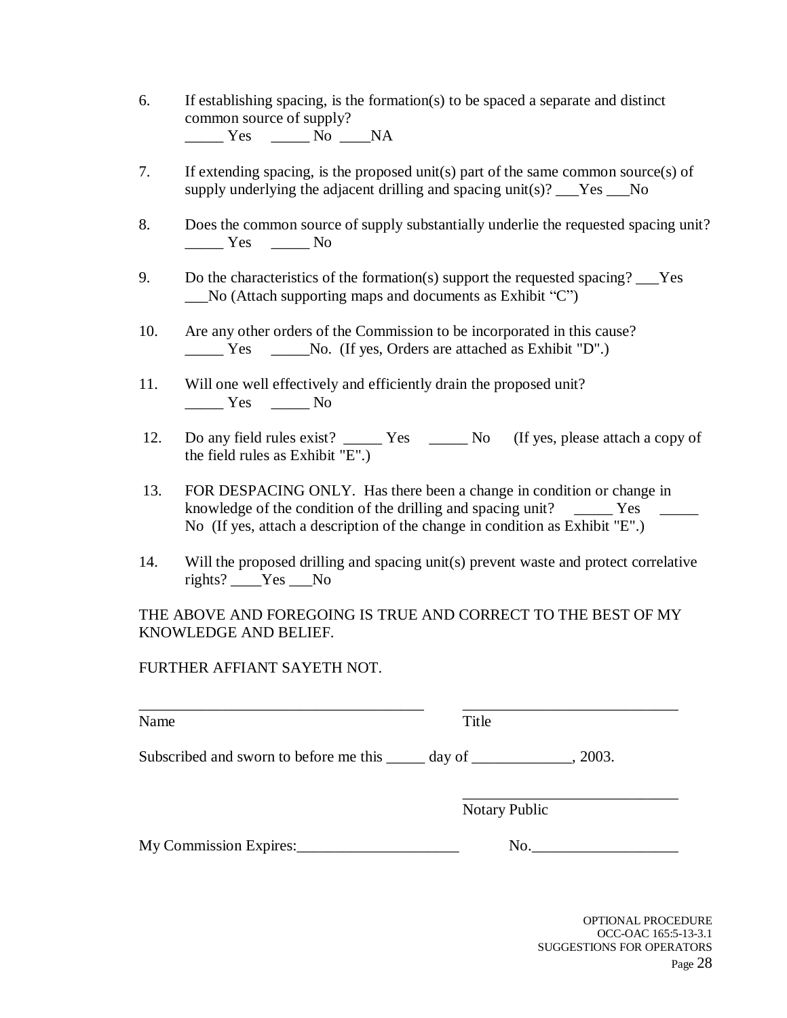- 6. If establishing spacing, is the formation(s) to be spaced a separate and distinct common source of supply?  $\frac{\text{Yes}}{\text{No}}$  No  $\frac{\text{Na}}{\text{NA}}$
- 7. If extending spacing, is the proposed unit(s) part of the same common source(s) of supply underlying the adjacent drilling and spacing unit(s)?  $\_\text{Yes}$  No
- 8. Does the common source of supply substantially underlie the requested spacing unit? Yes No
- 9. Do the characteristics of the formation(s) support the requested spacing? Yes No (Attach supporting maps and documents as Exhibit "C")
- 10. Are any other orders of the Commission to be incorporated in this cause? \_\_\_\_\_ Yes \_\_\_\_\_No. (If yes, Orders are attached as Exhibit "D".)
- 11. Will one well effectively and efficiently drain the proposed unit? \_\_\_\_\_ Yes \_\_\_\_\_ No
- 12. Do any field rules exist? \_\_\_\_\_\_\_ Yes \_\_\_\_\_\_\_ No (If yes, please attach a copy of the field rules as Exhibit "E".)
- 13. FOR DESPACING ONLY. Has there been a change in condition or change in knowledge of the condition of the drilling and spacing unit? Yes No (If yes, attach a description of the change in condition as Exhibit "E".)
- 14. Will the proposed drilling and spacing unit(s) prevent waste and protect correlative rights? Yes No

THE ABOVE AND FOREGOING IS TRUE AND CORRECT TO THE BEST OF MY KNOWLEDGE AND BELIEF.

FURTHER AFFIANT SAYETH NOT.

| Name                                                                              | Title                |  |
|-----------------------------------------------------------------------------------|----------------------|--|
| Subscribed and sworn to before me this ______ day of ____________________________ | , 2003.              |  |
|                                                                                   | <b>Notary Public</b> |  |
| My Commission Expires:                                                            | No.                  |  |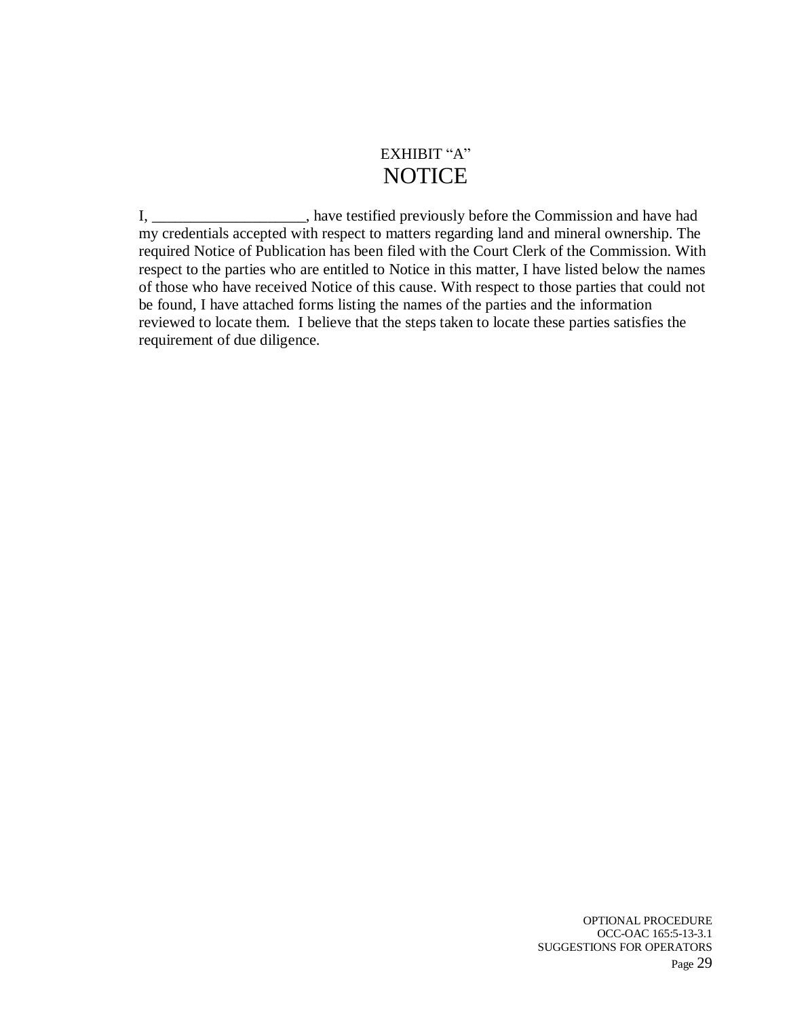### EXHIBIT "A" **NOTICE**

I, \_\_\_\_\_\_\_\_\_\_\_\_\_\_\_\_\_, have testified previously before the Commission and have had my credentials accepted with respect to matters regarding land and mineral ownership. The required Notice of Publication has been filed with the Court Clerk of the Commission. With respect to the parties who are entitled to Notice in this matter, I have listed below the names of those who have received Notice of this cause. With respect to those parties that could not be found, I have attached forms listing the names of the parties and the information reviewed to locate them. I believe that the steps taken to locate these parties satisfies the requirement of due diligence.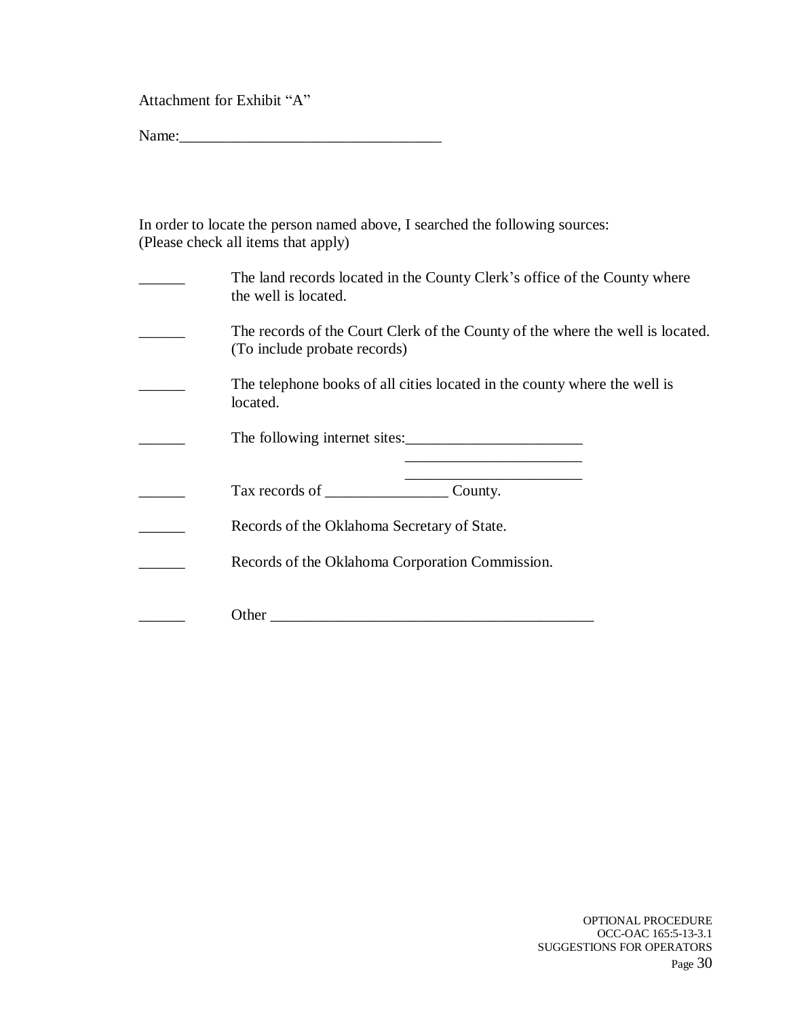Attachment for Exhibit "A"

Name:\_\_\_\_\_\_\_\_\_\_\_\_\_\_\_\_\_\_\_\_\_\_\_\_\_\_\_\_\_\_\_\_\_\_

| In order to locate the person named above, I searched the following sources: |  |
|------------------------------------------------------------------------------|--|
| (Please check all items that apply)                                          |  |

| The land records located in the County Clerk's office of the County where<br>the well is located.              |
|----------------------------------------------------------------------------------------------------------------|
| The records of the Court Clerk of the County of the where the well is located.<br>(To include probate records) |
| The telephone books of all cities located in the county where the well is<br>located.                          |
| The following internet sites:                                                                                  |
| County.                                                                                                        |
| Records of the Oklahoma Secretary of State.                                                                    |
| Records of the Oklahoma Corporation Commission.                                                                |
| Other                                                                                                          |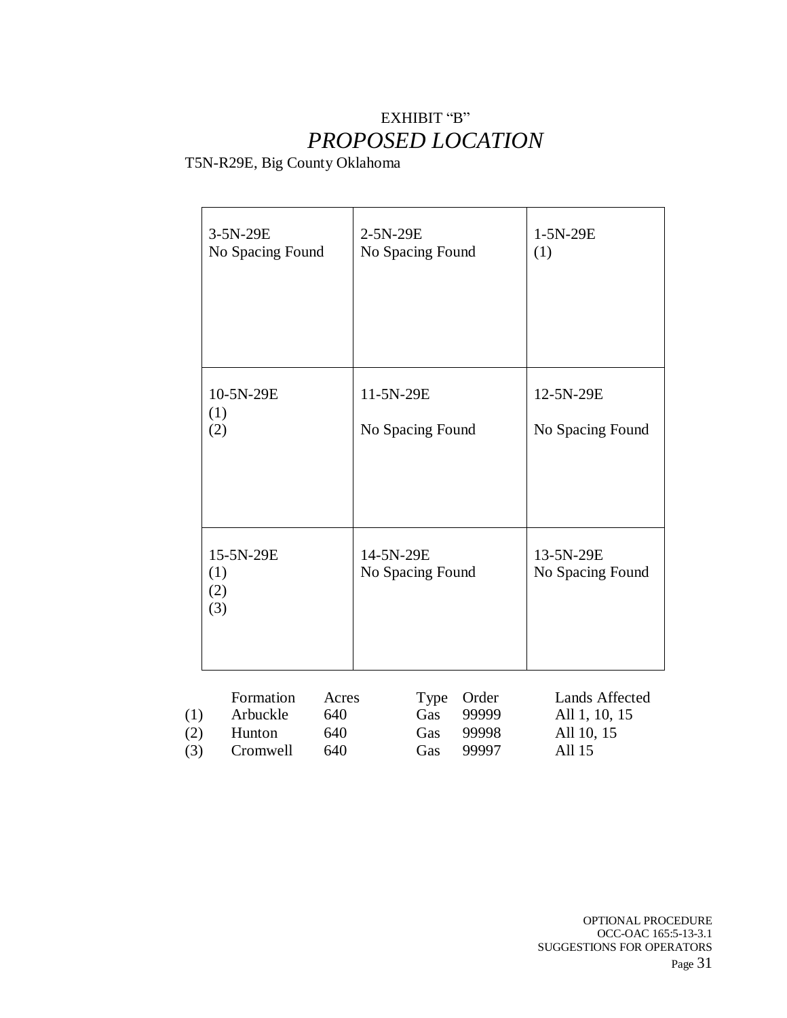### EXHIBIT "B" *PROPOSED LOCATION*

T5N-R29E, Big County Oklahoma

|                   | 3-5N-29E<br>No Spacing Found                |                            | 2-5N-29E<br>No Spacing Found  |                                  | 1-5N-29E<br>(1)                                         |
|-------------------|---------------------------------------------|----------------------------|-------------------------------|----------------------------------|---------------------------------------------------------|
|                   | 10-5N-29E<br>(1)<br>(2)                     |                            | 11-5N-29E<br>No Spacing Found |                                  | 12-5N-29E<br>No Spacing Found                           |
|                   | 15-5N-29E<br>(1)<br>(2)<br>(3)              |                            | 14-5N-29E<br>No Spacing Found |                                  | 13-5N-29E<br>No Spacing Found                           |
| (1)<br>(2)<br>(3) | Formation<br>Arbuckle<br>Hunton<br>Cromwell | Acres<br>640<br>640<br>640 | Type<br>Gas<br>Gas<br>Gas     | Order<br>99999<br>99998<br>99997 | Lands Affected<br>All 1, 10, 15<br>All 10, 15<br>All 15 |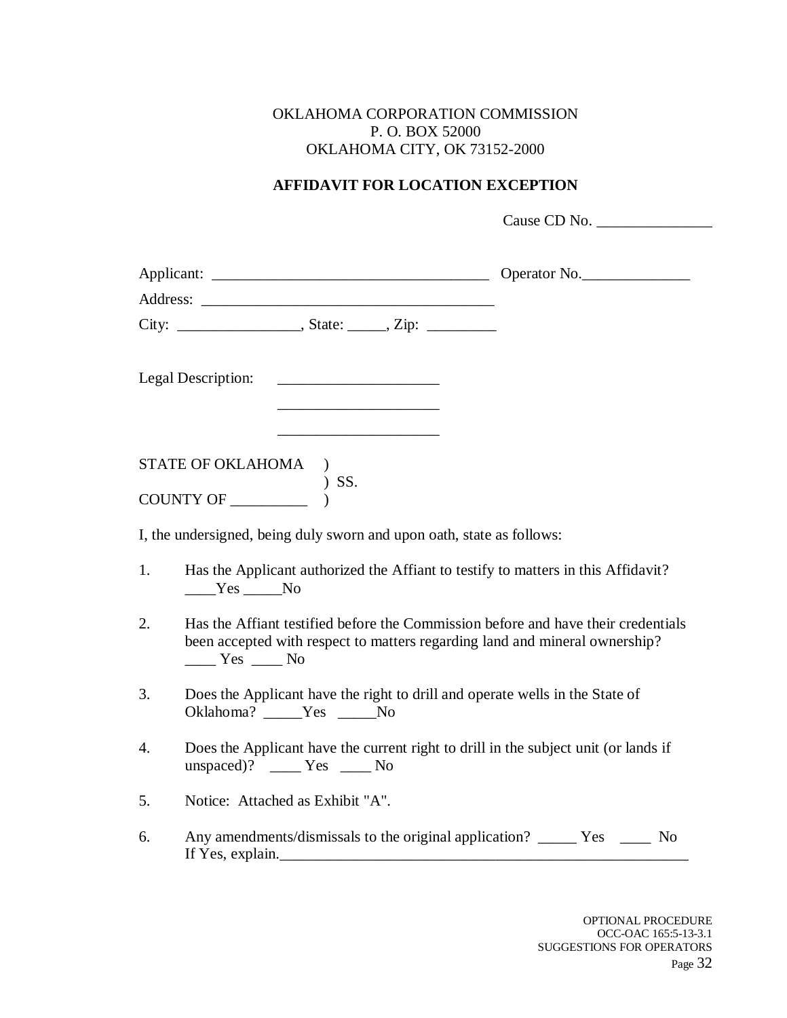#### OKLAHOMA CORPORATION COMMISSION P. O. BOX 52000 OKLAHOMA CITY, OK 73152-2000

#### **AFFIDAVIT FOR LOCATION EXCEPTION**

Cause CD No. \_\_\_\_\_\_\_\_\_\_\_\_\_\_\_

|    | Legal Description:                                                                                                                                                                                                                                                                                                                                                                                                                                                                                      |  |
|----|---------------------------------------------------------------------------------------------------------------------------------------------------------------------------------------------------------------------------------------------------------------------------------------------------------------------------------------------------------------------------------------------------------------------------------------------------------------------------------------------------------|--|
|    | STATE OF OKLAHOMA<br>$\rightarrow$                                                                                                                                                                                                                                                                                                                                                                                                                                                                      |  |
|    | $\begin{tabular}{cc} COUNTY OF \end{tabular} \begin{tabular}{c} & & & \cr \hline & & & \cr \hline \end{tabular} \begin{tabular}{c} \begin{tabular}{c} \multicolumn{2}{c}{} & \multicolumn{2}{c}{} & \multicolumn{2}{c}{} \\ \multicolumn{2}{c}{} & \multicolumn{2}{c}{} \\ \multicolumn{2}{c}{} & \multicolumn{2}{c}{} \\ \hline \end{tabular} \end{tabular} \begin{tabular}{c} \multicolumn{2}{c}{} & \multicolumn{2}{c}{} \\ \multicolumn{2}{c}{} & \multicolumn{2}{c}{} \\ \multicolumn{2}{c}{} & \$ |  |
|    | I, the undersigned, being duly sworn and upon oath, state as follows:                                                                                                                                                                                                                                                                                                                                                                                                                                   |  |
| 1. | Has the Applicant authorized the Affiant to testify to matters in this Affidavit?<br>$Yes$ No                                                                                                                                                                                                                                                                                                                                                                                                           |  |
| 2. | Has the Affiant testified before the Commission before and have their credentials<br>been accepted with respect to matters regarding land and mineral ownership?<br>$\frac{1}{\sqrt{1-\frac{1}{2}}}$ Yes $\frac{1}{\sqrt{1-\frac{1}{2}}}$ No                                                                                                                                                                                                                                                            |  |
| 3. | Does the Applicant have the right to drill and operate wells in the State of<br>Oklahoma? _____Yes _____No                                                                                                                                                                                                                                                                                                                                                                                              |  |
| 4. | Does the Applicant have the current right to drill in the subject unit (or lands if<br>unspaced)? ____ Yes ____ No                                                                                                                                                                                                                                                                                                                                                                                      |  |
| 5. | Notice: Attached as Exhibit "A".                                                                                                                                                                                                                                                                                                                                                                                                                                                                        |  |
| 6. | Any amendments/dismissals to the original application? ________ Yes _______ No<br>If Yes, explain.                                                                                                                                                                                                                                                                                                                                                                                                      |  |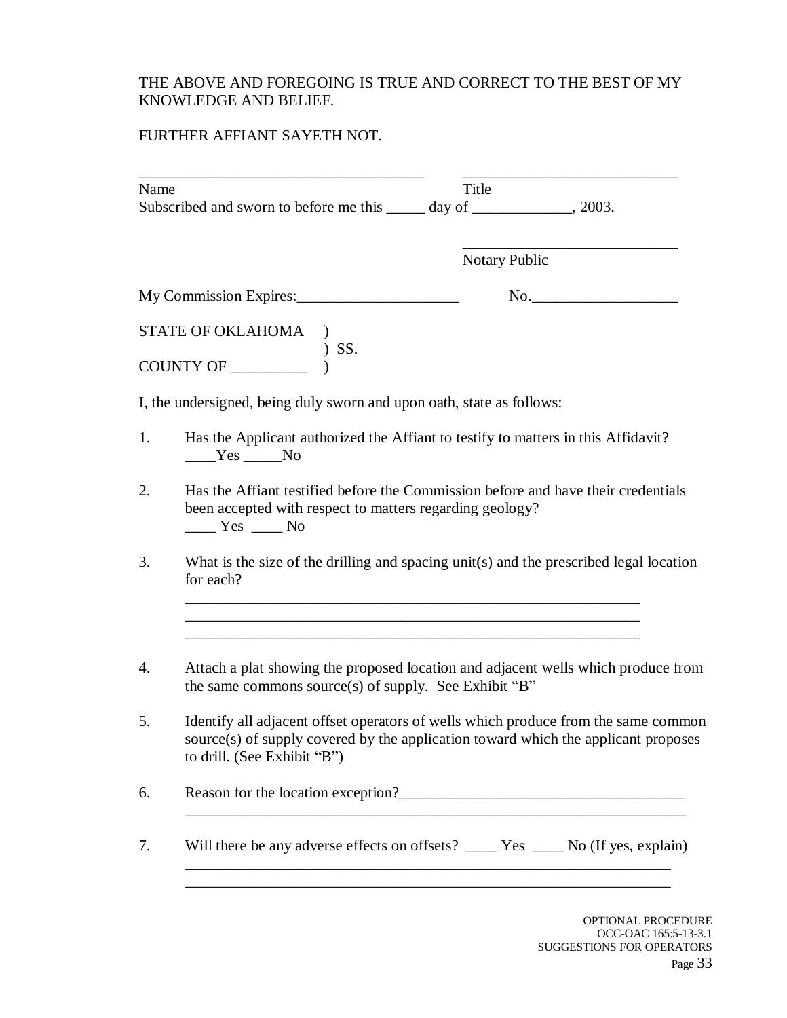#### THE ABOVE AND FOREGOING IS TRUE AND CORRECT TO THE BEST OF MY KNOWLEDGE AND BELIEF.

### FURTHER AFFIANT SAYETH NOT.

| Subscribed and sworn to before me this ______ day of ______________, 2003.                                                                                                                              | Title                                                                                                              |                                                                                                                                                                                                                                                                                                                                                                                                                                                                    |
|---------------------------------------------------------------------------------------------------------------------------------------------------------------------------------------------------------|--------------------------------------------------------------------------------------------------------------------|--------------------------------------------------------------------------------------------------------------------------------------------------------------------------------------------------------------------------------------------------------------------------------------------------------------------------------------------------------------------------------------------------------------------------------------------------------------------|
|                                                                                                                                                                                                         | <b>Notary Public</b>                                                                                               |                                                                                                                                                                                                                                                                                                                                                                                                                                                                    |
|                                                                                                                                                                                                         |                                                                                                                    | No.                                                                                                                                                                                                                                                                                                                                                                                                                                                                |
|                                                                                                                                                                                                         |                                                                                                                    |                                                                                                                                                                                                                                                                                                                                                                                                                                                                    |
|                                                                                                                                                                                                         |                                                                                                                    |                                                                                                                                                                                                                                                                                                                                                                                                                                                                    |
|                                                                                                                                                                                                         |                                                                                                                    |                                                                                                                                                                                                                                                                                                                                                                                                                                                                    |
| $Yes$ No                                                                                                                                                                                                |                                                                                                                    |                                                                                                                                                                                                                                                                                                                                                                                                                                                                    |
| Has the Affiant testified before the Commission before and have their credentials<br>been accepted with respect to matters regarding geology?<br>$\rule{1em}{0.15mm}$ Yes $\rule{1em}{0.15mm}$ No       |                                                                                                                    |                                                                                                                                                                                                                                                                                                                                                                                                                                                                    |
| for each?                                                                                                                                                                                               |                                                                                                                    |                                                                                                                                                                                                                                                                                                                                                                                                                                                                    |
|                                                                                                                                                                                                         |                                                                                                                    |                                                                                                                                                                                                                                                                                                                                                                                                                                                                    |
| Identify all adjacent offset operators of wells which produce from the same common<br>source(s) of supply covered by the application toward which the applicant proposes<br>to drill. (See Exhibit "B") |                                                                                                                    |                                                                                                                                                                                                                                                                                                                                                                                                                                                                    |
|                                                                                                                                                                                                         |                                                                                                                    |                                                                                                                                                                                                                                                                                                                                                                                                                                                                    |
|                                                                                                                                                                                                         |                                                                                                                    |                                                                                                                                                                                                                                                                                                                                                                                                                                                                    |
|                                                                                                                                                                                                         | $\begin{tabular}{ll} \textbf{STATE OF OKLAHOMA} & \textbf{)} \\ \textbf{COUNTY OF} & \textbf{)} SS. \end{tabular}$ | My Commission Expires:<br>I, the undersigned, being duly sworn and upon oath, state as follows:<br>Has the Applicant authorized the Affiant to testify to matters in this Affidavit?<br>What is the size of the drilling and spacing unit(s) and the prescribed legal location<br>Attach a plat showing the proposed location and adjacent wells which produce from<br>the same commons source(s) of supply. See Exhibit "B"<br>Reason for the location exception? |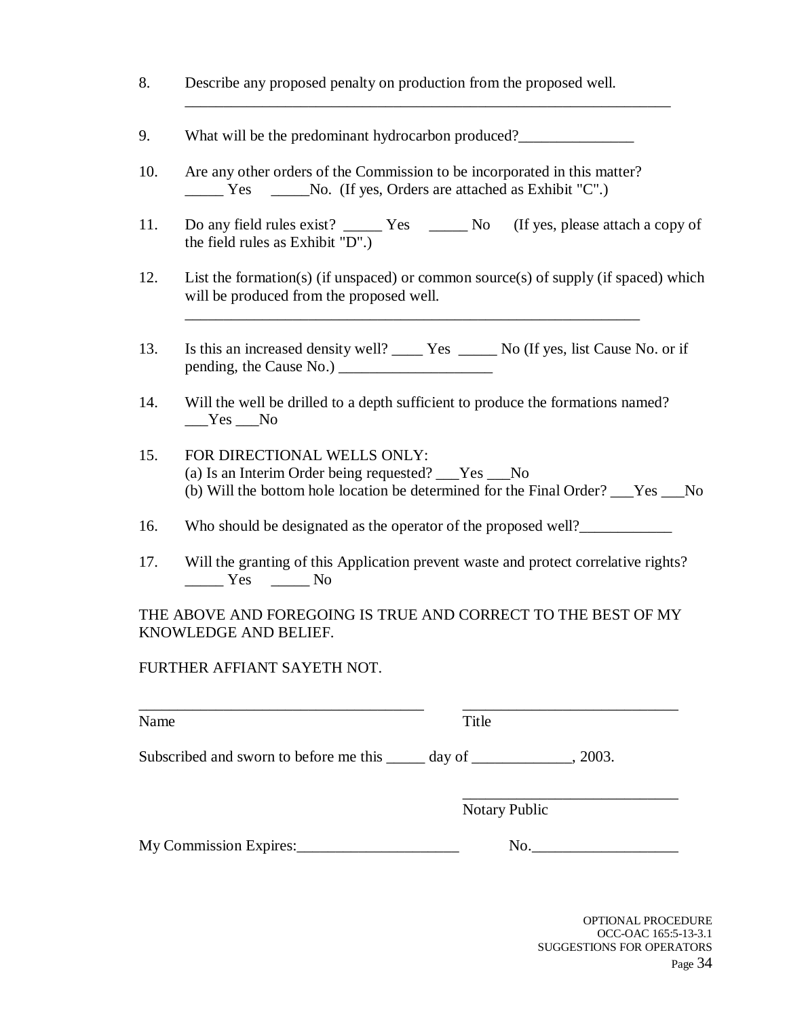- 8. Describe any proposed penalty on production from the proposed well.
- 9. What will be the predominant hydrocarbon produced?
- 10. Are any other orders of the Commission to be incorporated in this matter? \_\_\_\_\_ Yes \_\_\_\_\_No. (If yes, Orders are attached as Exhibit "C".)
- 11. Do any field rules exist? \_\_\_\_\_\_ Yes \_\_\_\_\_\_ No (If yes, please attach a copy of the field rules as Exhibit "D".)

\_\_\_\_\_\_\_\_\_\_\_\_\_\_\_\_\_\_\_\_\_\_\_\_\_\_\_\_\_\_\_\_\_\_\_\_\_\_\_\_\_\_\_\_\_\_\_\_\_\_\_\_\_\_\_\_\_\_\_\_\_\_\_

- 12. List the formation(s) (if unspaced) or common source(s) of supply (if spaced) which will be produced from the proposed well.
- 13. Is this an increased density well? \_\_\_\_ Yes \_\_\_\_\_ No (If yes, list Cause No. or if pending, the Cause No.) \_\_\_\_\_\_\_\_\_\_\_\_\_\_\_\_\_\_\_\_

\_\_\_\_\_\_\_\_\_\_\_\_\_\_\_\_\_\_\_\_\_\_\_\_\_\_\_\_\_\_\_\_\_\_\_\_\_\_\_\_\_\_\_\_\_\_\_\_\_\_\_\_\_\_\_\_\_\_\_

- 14. Will the well be drilled to a depth sufficient to produce the formations named?  $Yes$  No
- 15. FOR DIRECTIONAL WELLS ONLY: (a) Is an Interim Order being requested? \_\_\_Yes \_\_\_No (b) Will the bottom hole location be determined for the Final Order? \_\_\_Yes \_\_\_No
- 16. Who should be designated as the operator of the proposed well?\_\_\_\_\_\_\_\_\_\_\_\_
- 17. Will the granting of this Application prevent waste and protect correlative rights? Yes No

THE ABOVE AND FOREGOING IS TRUE AND CORRECT TO THE BEST OF MY KNOWLEDGE AND BELIEF.

#### FURTHER AFFIANT SAYETH NOT.

| Name                                                                                  | Title                |     |
|---------------------------------------------------------------------------------------|----------------------|-----|
| Subscribed and sworn to before me this $\qquad \qquad$ day of $\qquad \qquad$ , 2003. |                      |     |
|                                                                                       | <b>Notary Public</b> |     |
| My Commission Expires:                                                                |                      | No. |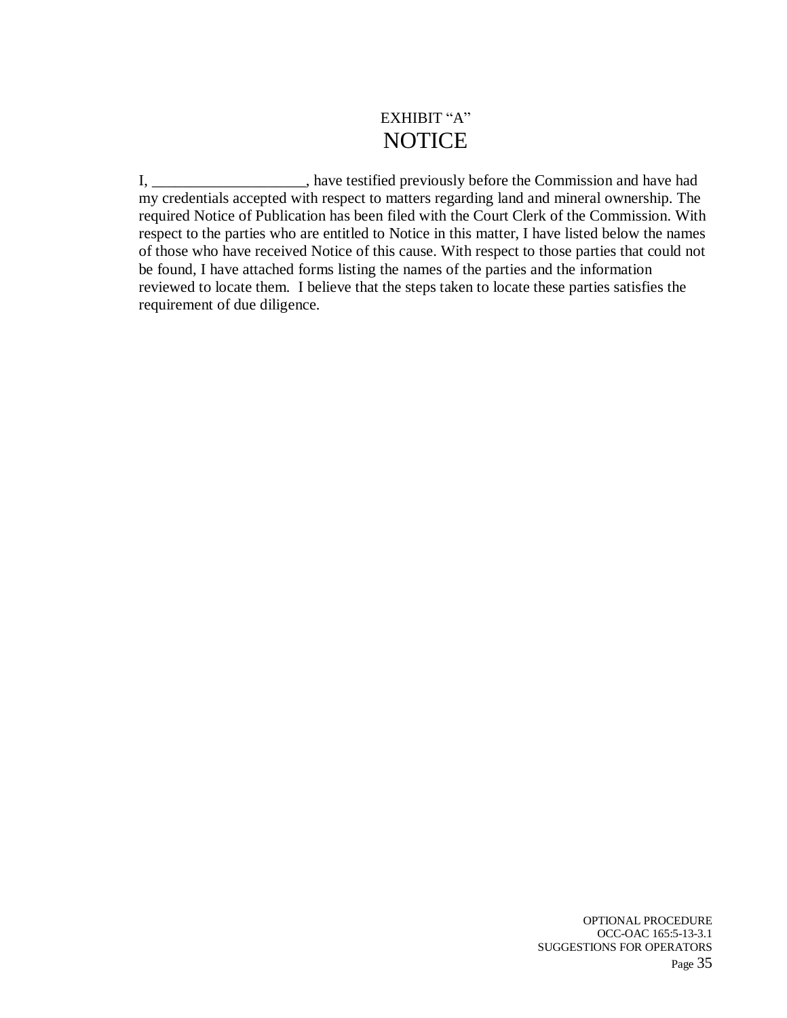### EXHIBIT "A" **NOTICE**

I, \_\_\_\_\_\_\_\_\_\_\_\_\_\_\_\_\_\_\_\_, have testified previously before the Commission and have had my credentials accepted with respect to matters regarding land and mineral ownership. The required Notice of Publication has been filed with the Court Clerk of the Commission. With respect to the parties who are entitled to Notice in this matter, I have listed below the names of those who have received Notice of this cause. With respect to those parties that could not be found, I have attached forms listing the names of the parties and the information reviewed to locate them. I believe that the steps taken to locate these parties satisfies the requirement of due diligence.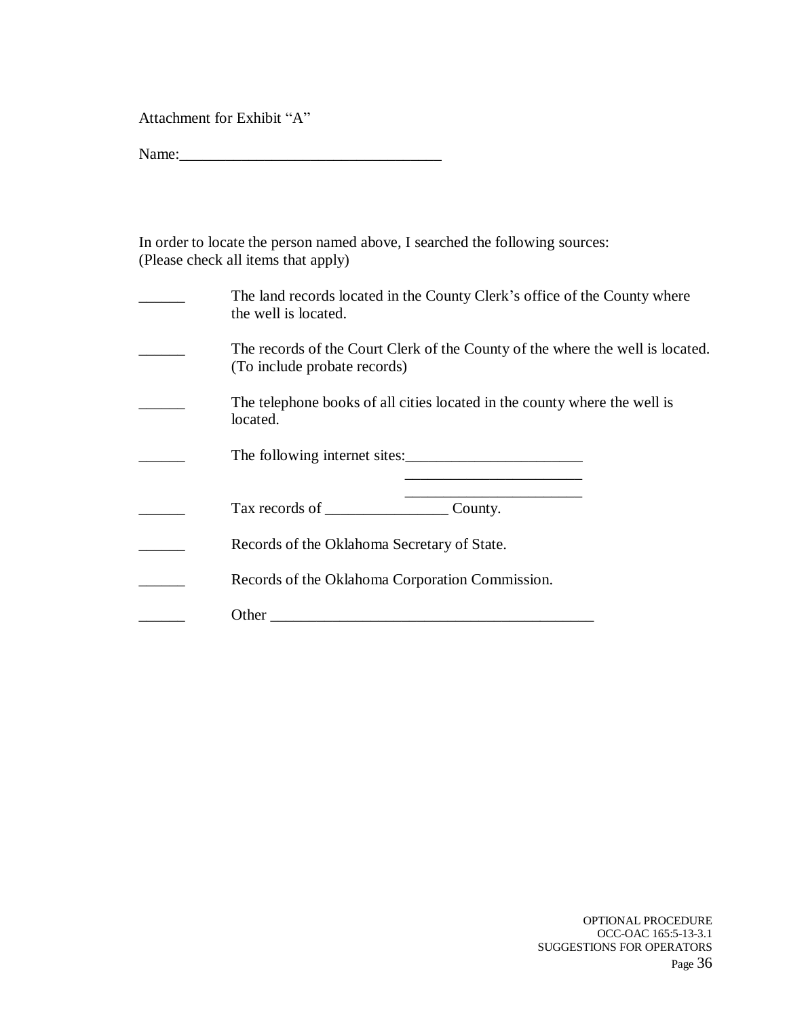Attachment for Exhibit "A"

Name:\_\_\_\_\_\_\_\_\_\_\_\_\_\_\_\_\_\_\_\_\_\_\_\_\_\_\_\_\_\_\_\_\_\_

| In order to locate the person named above, I searched the following sources: |
|------------------------------------------------------------------------------|
| (Please check all items that apply)                                          |

| The land records located in the County Clerk's office of the County where<br>the well is located.              |
|----------------------------------------------------------------------------------------------------------------|
| The records of the Court Clerk of the County of the where the well is located.<br>(To include probate records) |
| The telephone books of all cities located in the county where the well is<br>located.                          |
|                                                                                                                |
|                                                                                                                |
| Records of the Oklahoma Secretary of State.                                                                    |
| Records of the Oklahoma Corporation Commission.                                                                |
| Other                                                                                                          |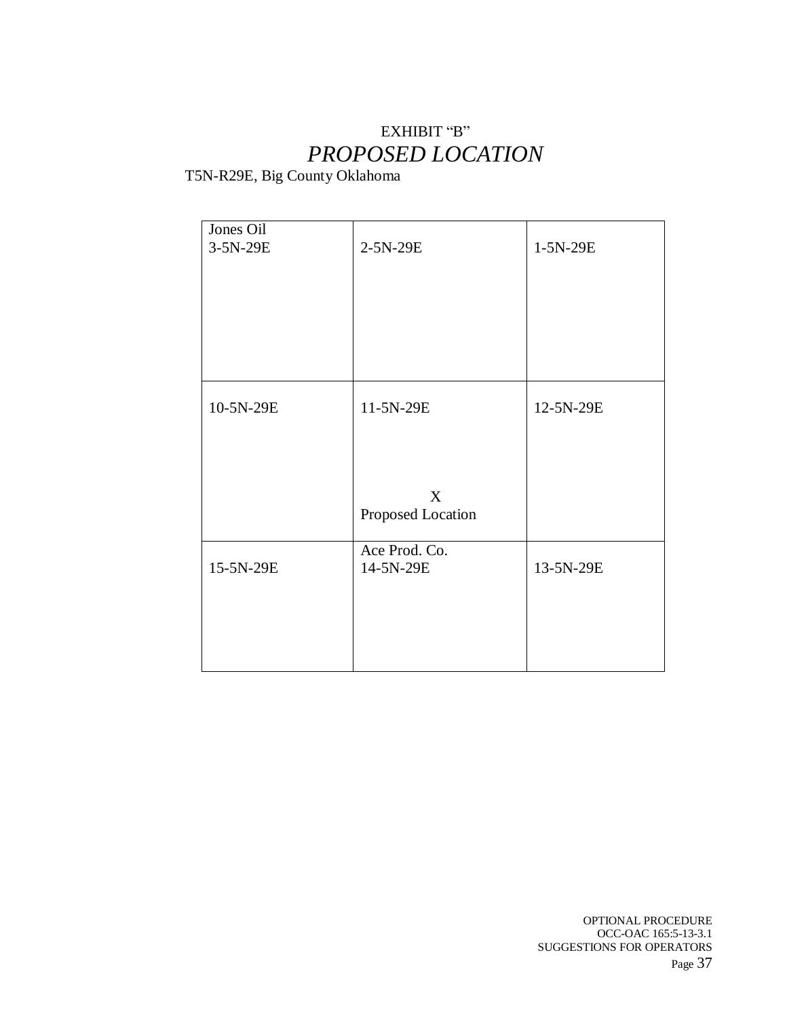# EXHIBIT "B" *PROPOSED LOCATION*

T5N-R29E, Big County Oklahoma

| Jones Oil |                   |           |
|-----------|-------------------|-----------|
| 3-5N-29E  | 2-5N-29E          | 1-5N-29E  |
|           |                   |           |
|           |                   |           |
|           |                   |           |
|           |                   |           |
|           |                   |           |
|           |                   |           |
|           |                   |           |
|           |                   |           |
|           |                   |           |
| 10-5N-29E | 11-5N-29E         | 12-5N-29E |
|           |                   |           |
|           |                   |           |
|           |                   |           |
|           |                   |           |
|           | X                 |           |
|           | Proposed Location |           |
|           |                   |           |
|           | Ace Prod. Co.     |           |
| 15-5N-29E | 14-5N-29E         | 13-5N-29E |
|           |                   |           |
|           |                   |           |
|           |                   |           |
|           |                   |           |
|           |                   |           |
|           |                   |           |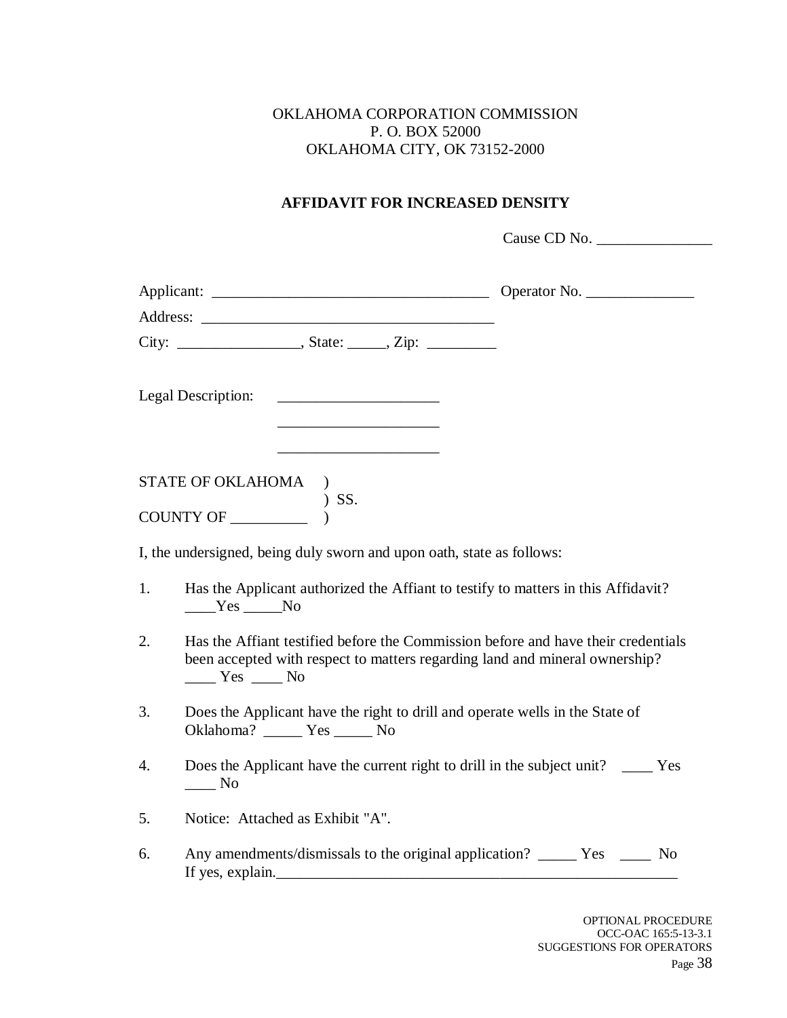### OKLAHOMA CORPORATION COMMISSION P. O. BOX 52000 OKLAHOMA CITY, OK 73152-2000

## **AFFIDAVIT FOR INCREASED DENSITY**

Cause CD No. \_\_\_\_\_\_\_\_\_\_\_\_\_\_\_

|    | Legal Description:                                                                                                                                                           |  |
|----|------------------------------------------------------------------------------------------------------------------------------------------------------------------------------|--|
|    | STATE OF OKLAHOMA )                                                                                                                                                          |  |
|    | ) SS.<br>COUNTY OF                                                                                                                                                           |  |
|    | I, the undersigned, being duly sworn and upon oath, state as follows:                                                                                                        |  |
| 1. | Has the Applicant authorized the Affiant to testify to matters in this Affidavit?<br>$Yes$ No                                                                                |  |
| 2. | Has the Affiant testified before the Commission before and have their credentials<br>been accepted with respect to matters regarding land and mineral ownership?<br>$Yes$ No |  |
| 3. | Does the Applicant have the right to drill and operate wells in the State of<br>Oklahoma? ______ Yes _____ No                                                                |  |
| 4. | Does the Applicant have the current right to drill in the subject unit? _____ Yes<br>$\_\_$ No                                                                               |  |
| 5. | Notice: Attached as Exhibit "A".                                                                                                                                             |  |
| 6. | Any amendments/dismissals to the original application? ________ Yes _______ No<br>If yes, explain.                                                                           |  |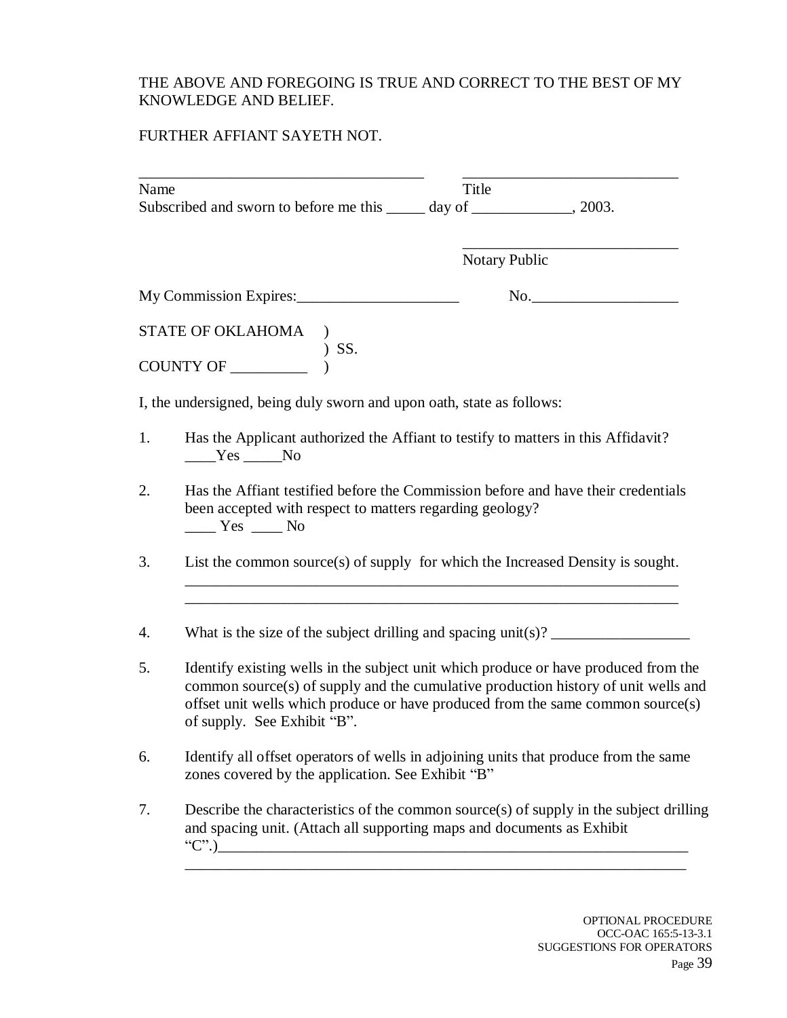### THE ABOVE AND FOREGOING IS TRUE AND CORRECT TO THE BEST OF MY KNOWLEDGE AND BELIEF.

## FURTHER AFFIANT SAYETH NOT.

| Name | Subscribed and sworn to before me this ______ day of ______________, 2003.                                                                                                                                                                                                                                                                                                                                                                                                                                                                                             | Title                |     |
|------|------------------------------------------------------------------------------------------------------------------------------------------------------------------------------------------------------------------------------------------------------------------------------------------------------------------------------------------------------------------------------------------------------------------------------------------------------------------------------------------------------------------------------------------------------------------------|----------------------|-----|
|      |                                                                                                                                                                                                                                                                                                                                                                                                                                                                                                                                                                        | <b>Notary Public</b> |     |
|      | My Commission Expires:                                                                                                                                                                                                                                                                                                                                                                                                                                                                                                                                                 |                      | No. |
|      | $\begin{tabular}{ll} \textbf{STATE OF OKLAHOMA} & \textbf{)} \\ \textbf{COUNTY OF} & \textbf{)} SS. \end{tabular}$                                                                                                                                                                                                                                                                                                                                                                                                                                                     |                      |     |
|      | I, the undersigned, being duly sworn and upon oath, state as follows:                                                                                                                                                                                                                                                                                                                                                                                                                                                                                                  |                      |     |
| 1.   | Has the Applicant authorized the Affiant to testify to matters in this Affidavit?<br>$Yes$ No                                                                                                                                                                                                                                                                                                                                                                                                                                                                          |                      |     |
| 2.   | Has the Affiant testified before the Commission before and have their credentials<br>been accepted with respect to matters regarding geology?<br>$\frac{1}{\sqrt{1-\frac{1}{1-\frac{1}{1-\frac{1}{1-\frac{1}{1-\frac{1}{1-\frac{1}{1-\frac{1}{1-\frac{1}{1-\frac{1}{1-\frac{1}{1-\frac{1}{1-\frac{1}{1-\frac{1}{1-\frac{1}{1-\frac{1}{1-\frac{1}{1-\frac{1}{1-\frac{1}{1-\frac{1}{1-\frac{1}{1-\frac{1}{1-\frac{1}{1-\frac{1}{1-\frac{1}{1-\frac{1}{1-\frac{1}{1-\frac{1}{1-\frac{1}{1-\frac{1}{1-\frac{1}{1-\frac{1}{1-\frac{1}{1-\frac{1}{1-\frac{1}{1-\frac{1}{1-\$ |                      |     |
| 3.   | List the common source(s) of supply for which the Increased Density is sought.                                                                                                                                                                                                                                                                                                                                                                                                                                                                                         |                      |     |
| 4.   | What is the size of the subject drilling and spacing unit(s)? $\frac{1}{\sqrt{1 - \frac{1}{\sqrt{1 - \frac{1}{\sqrt{1 - \frac{1}{\sqrt{1 - \frac{1}{\sqrt{1 - \frac{1}{\sqrt{1 - \frac{1}{\sqrt{1 - \frac{1}{\sqrt{1 - \frac{1}{\sqrt{1 - \frac{1}{\sqrt{1 - \frac{1}{\sqrt{1 - \frac{1}{\sqrt{1 - \frac{1}{\sqrt{1 - \frac{1}{\sqrt{1 - \frac{1}{\sqrt{1 - \frac{1}{\sqrt{$                                                                                                                                                                                           |                      |     |
| 5.   | Identify existing wells in the subject unit which produce or have produced from the<br>common source(s) of supply and the cumulative production history of unit wells and<br>offset unit wells which produce or have produced from the same common source(s)<br>of supply. See Exhibit "B".                                                                                                                                                                                                                                                                            |                      |     |
| 6.   | Identify all offset operators of wells in adjoining units that produce from the same<br>zones covered by the application. See Exhibit "B"                                                                                                                                                                                                                                                                                                                                                                                                                              |                      |     |
| 7.   | Describe the characteristics of the common source(s) of supply in the subject drilling<br>and spacing unit. (Attach all supporting maps and documents as Exhibit<br>"C".)                                                                                                                                                                                                                                                                                                                                                                                              |                      |     |

\_\_\_\_\_\_\_\_\_\_\_\_\_\_\_\_\_\_\_\_\_\_\_\_\_\_\_\_\_\_\_\_\_\_\_\_\_\_\_\_\_\_\_\_\_\_\_\_\_\_\_\_\_\_\_\_\_\_\_\_\_\_\_\_\_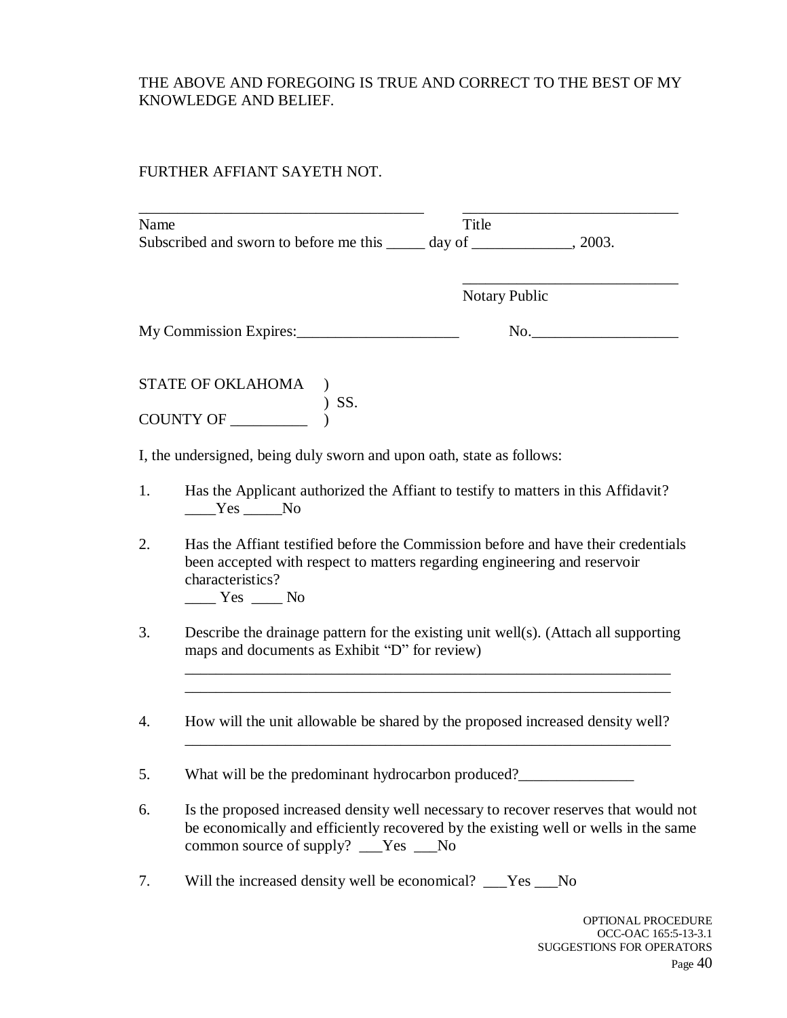### THE ABOVE AND FOREGOING IS TRUE AND CORRECT TO THE BEST OF MY KNOWLEDGE AND BELIEF.

### FURTHER AFFIANT SAYETH NOT.

| Name | Subscribed and sworn to before me this ______ day of ______________, 2003.                                                                                                                                          | Title                |
|------|---------------------------------------------------------------------------------------------------------------------------------------------------------------------------------------------------------------------|----------------------|
|      |                                                                                                                                                                                                                     | <b>Notary Public</b> |
|      | My Commission Expires:                                                                                                                                                                                              | $\mathbf{No.}$       |
|      | STATE OF OKLAHOMA<br>) SS.<br>COUNTY OF                                                                                                                                                                             |                      |
|      |                                                                                                                                                                                                                     |                      |
|      | I, the undersigned, being duly sworn and upon oath, state as follows:                                                                                                                                               |                      |
| 1.   | Has the Applicant authorized the Affiant to testify to matters in this Affidavit?<br>$Yes$ No                                                                                                                       |                      |
| 2.   | Has the Affiant testified before the Commission before and have their credentials<br>been accepted with respect to matters regarding engineering and reservoir<br>characteristics?<br>$Yes$ No                      |                      |
| 3.   | Describe the drainage pattern for the existing unit well(s). (Attach all supporting<br>maps and documents as Exhibit "D" for review)                                                                                |                      |
| 4.   | How will the unit allowable be shared by the proposed increased density well?                                                                                                                                       |                      |
| 5.   | What will be the predominant hydrocarbon produced?                                                                                                                                                                  |                      |
| 6.   | Is the proposed increased density well necessary to recover reserves that would not<br>be economically and efficiently recovered by the existing well or wells in the same<br>common source of supply? ___Yes ___No |                      |
| 7.   | Will the increased density well be economical? __Yes __No                                                                                                                                                           |                      |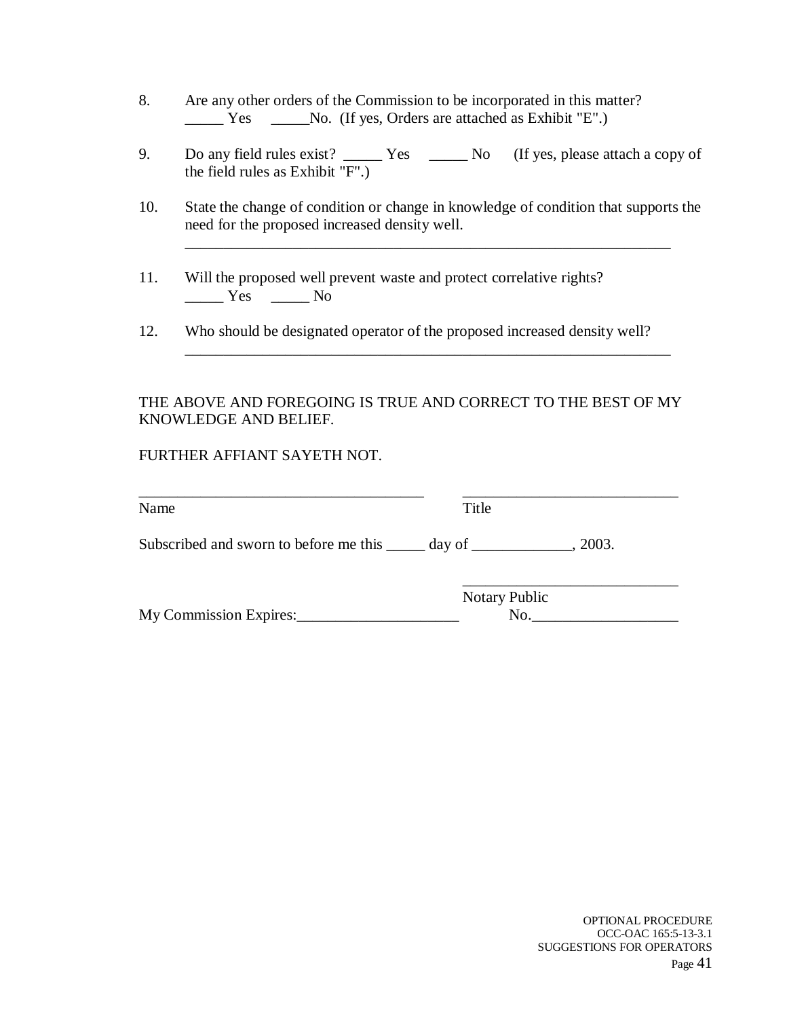- 8. Are any other orders of the Commission to be incorporated in this matter? \_\_\_\_\_ Yes \_\_\_\_\_No. (If yes, Orders are attached as Exhibit "E".)
- 9. Do any field rules exist? \_\_\_\_\_\_ Yes \_\_\_\_\_\_ No (If yes, please attach a copy of the field rules as Exhibit "F".)
- 10. State the change of condition or change in knowledge of condition that supports the need for the proposed increased density well.

\_\_\_\_\_\_\_\_\_\_\_\_\_\_\_\_\_\_\_\_\_\_\_\_\_\_\_\_\_\_\_\_\_\_\_\_\_\_\_\_\_\_\_\_\_\_\_\_\_\_\_\_\_\_\_\_\_\_\_\_\_\_\_

\_\_\_\_\_\_\_\_\_\_\_\_\_\_\_\_\_\_\_\_\_\_\_\_\_\_\_\_\_\_\_\_\_\_\_\_\_\_\_\_\_\_\_\_\_\_\_\_\_\_\_\_\_\_\_\_\_\_\_\_\_\_\_

- 11. Will the proposed well prevent waste and protect correlative rights?  $\frac{1}{\sqrt{1-\frac{1}{c}}}$  Yes  $\frac{1}{\sqrt{1-\frac{1}{c}}}$  No
- 12. Who should be designated operator of the proposed increased density well?

#### THE ABOVE AND FOREGOING IS TRUE AND CORRECT TO THE BEST OF MY KNOWLEDGE AND BELIEF.

#### FURTHER AFFIANT SAYETH NOT.

| Name                                                            | Title                |        |
|-----------------------------------------------------------------|----------------------|--------|
| Subscribed and sworn to before me this ______ day of __________ |                      | .2003. |
|                                                                 | <b>Notary Public</b> |        |
| My Commission Expires:                                          |                      | No.    |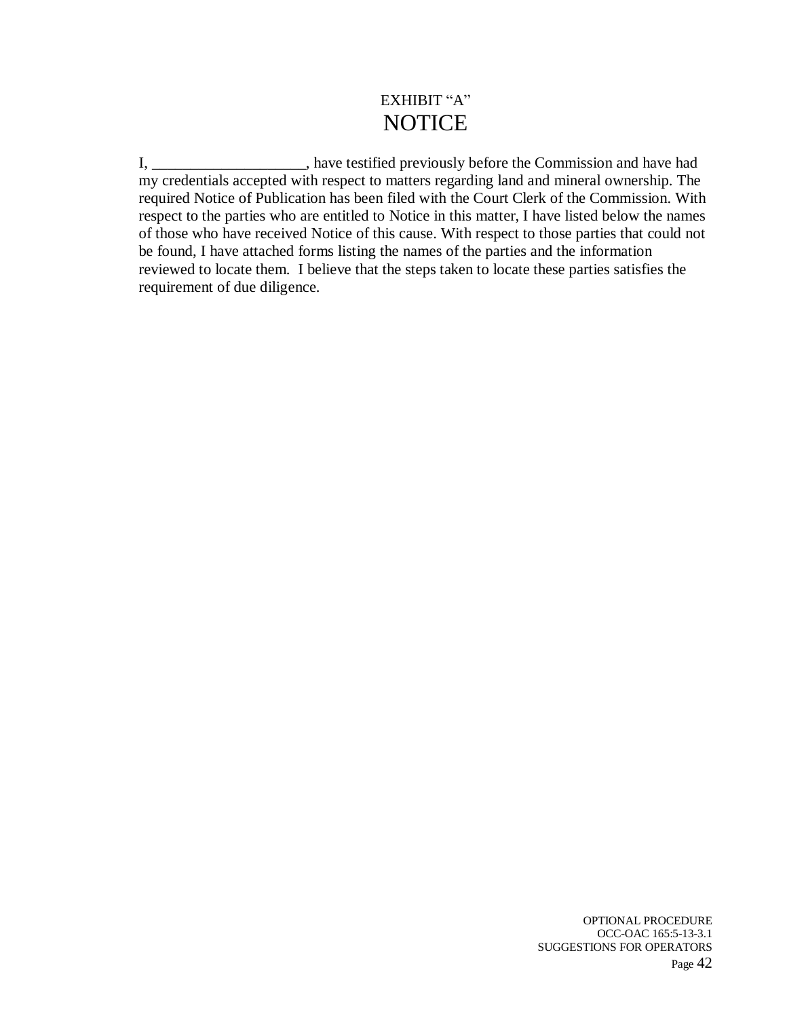# EXHIBIT "A" **NOTICE**

I, \_\_\_\_\_\_\_\_\_\_\_\_\_\_\_\_\_, have testified previously before the Commission and have had my credentials accepted with respect to matters regarding land and mineral ownership. The required Notice of Publication has been filed with the Court Clerk of the Commission. With respect to the parties who are entitled to Notice in this matter, I have listed below the names of those who have received Notice of this cause. With respect to those parties that could not be found, I have attached forms listing the names of the parties and the information reviewed to locate them. I believe that the steps taken to locate these parties satisfies the requirement of due diligence.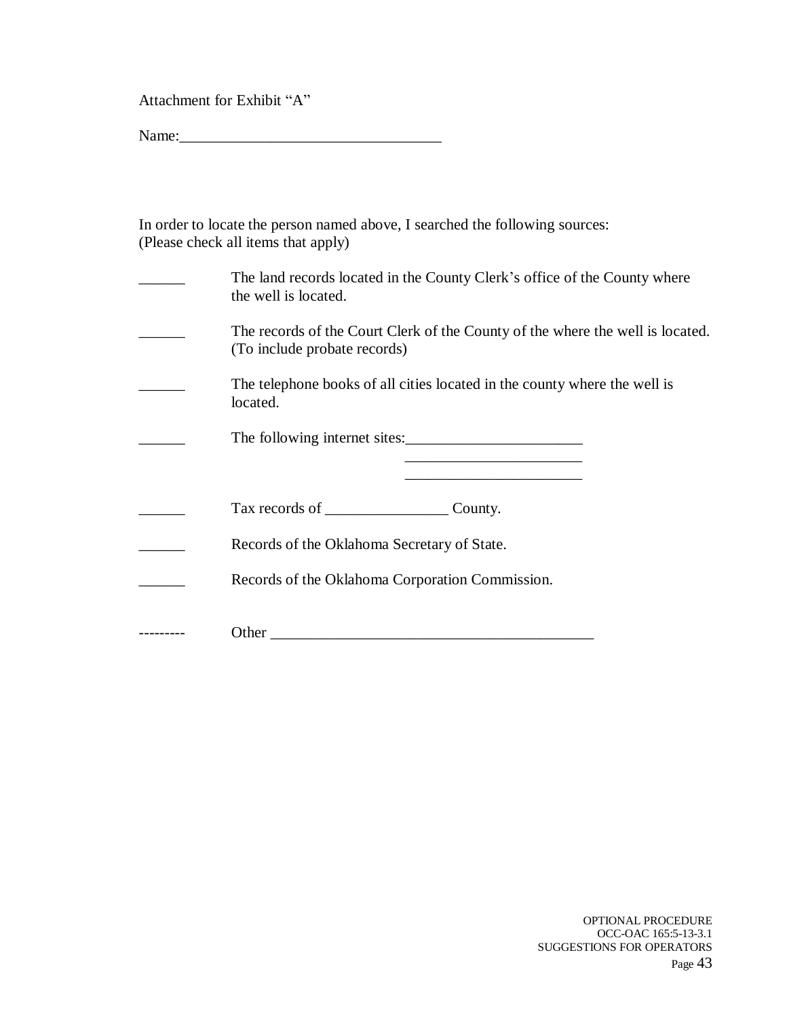Attachment for Exhibit "A"

Name:\_\_\_\_\_\_\_\_\_\_\_\_\_\_\_\_\_\_\_\_\_\_\_\_\_\_\_\_\_\_\_\_\_\_

| In order to locate the person named above, I searched the following sources: |
|------------------------------------------------------------------------------|
| (Please check all items that apply)                                          |

| The land records located in the County Clerk's office of the County where<br>the well is located.              |
|----------------------------------------------------------------------------------------------------------------|
| The records of the Court Clerk of the County of the where the well is located.<br>(To include probate records) |
| The telephone books of all cities located in the county where the well is<br>located.                          |
| The following internet sites:                                                                                  |
|                                                                                                                |
| Tax records of County.                                                                                         |
| Records of the Oklahoma Secretary of State.                                                                    |
| Records of the Oklahoma Corporation Commission.                                                                |
| Other                                                                                                          |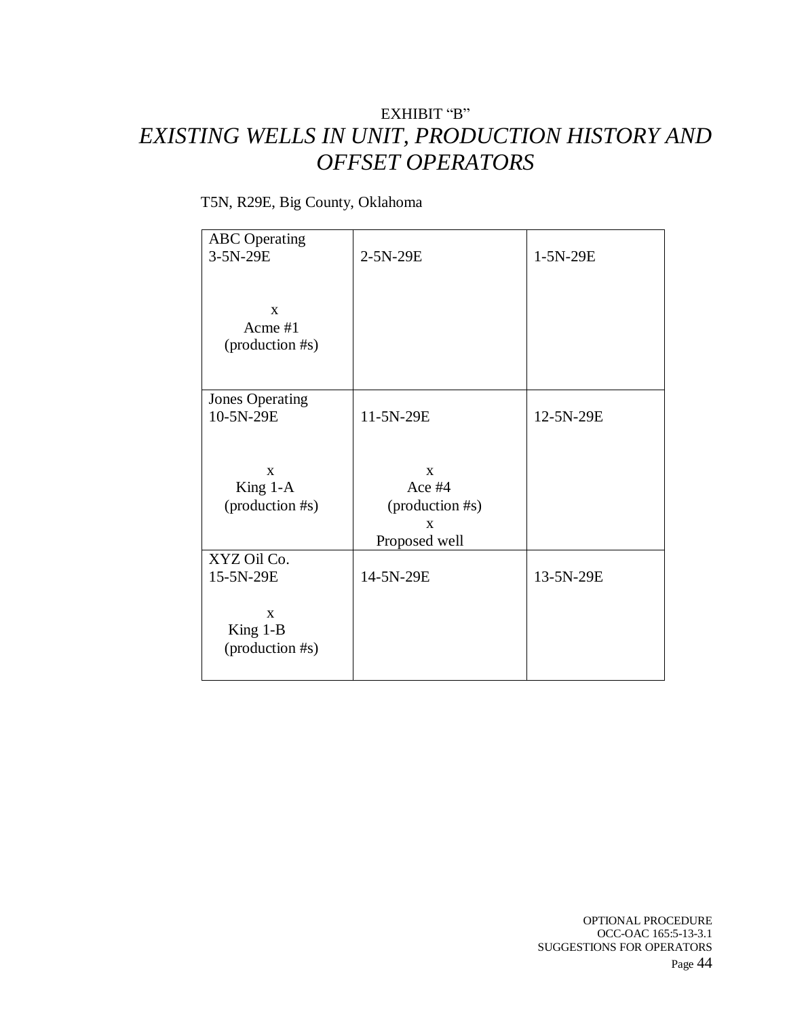# EXHIBIT "B" *EXISTING WELLS IN UNIT, PRODUCTION HISTORY AND OFFSET OPERATORS*

## T5N, R29E, Big County, Oklahoma

| <b>ABC</b> Operating   |                 |           |
|------------------------|-----------------|-----------|
| 3-5N-29E               | 2-5N-29E        | 1-5N-29E  |
|                        |                 |           |
|                        |                 |           |
|                        |                 |           |
| X                      |                 |           |
| Acme #1                |                 |           |
| (production #s)        |                 |           |
|                        |                 |           |
|                        |                 |           |
|                        |                 |           |
| <b>Jones Operating</b> |                 |           |
| 10-5N-29E              | 11-5N-29E       | 12-5N-29E |
|                        |                 |           |
|                        |                 |           |
|                        |                 |           |
| $\mathbf{X}$           | $\mathbf{X}$    |           |
| King 1-A               | Ace #4          |           |
| (production #s)        | (production #s) |           |
|                        | X               |           |
|                        |                 |           |
|                        | Proposed well   |           |
| XYZ Oil Co.            |                 |           |
| 15-5N-29E              | 14-5N-29E       | 13-5N-29E |
|                        |                 |           |
| $\mathbf{x}$           |                 |           |
|                        |                 |           |
| King $1-B$             |                 |           |
| (production #s)        |                 |           |
|                        |                 |           |
|                        |                 |           |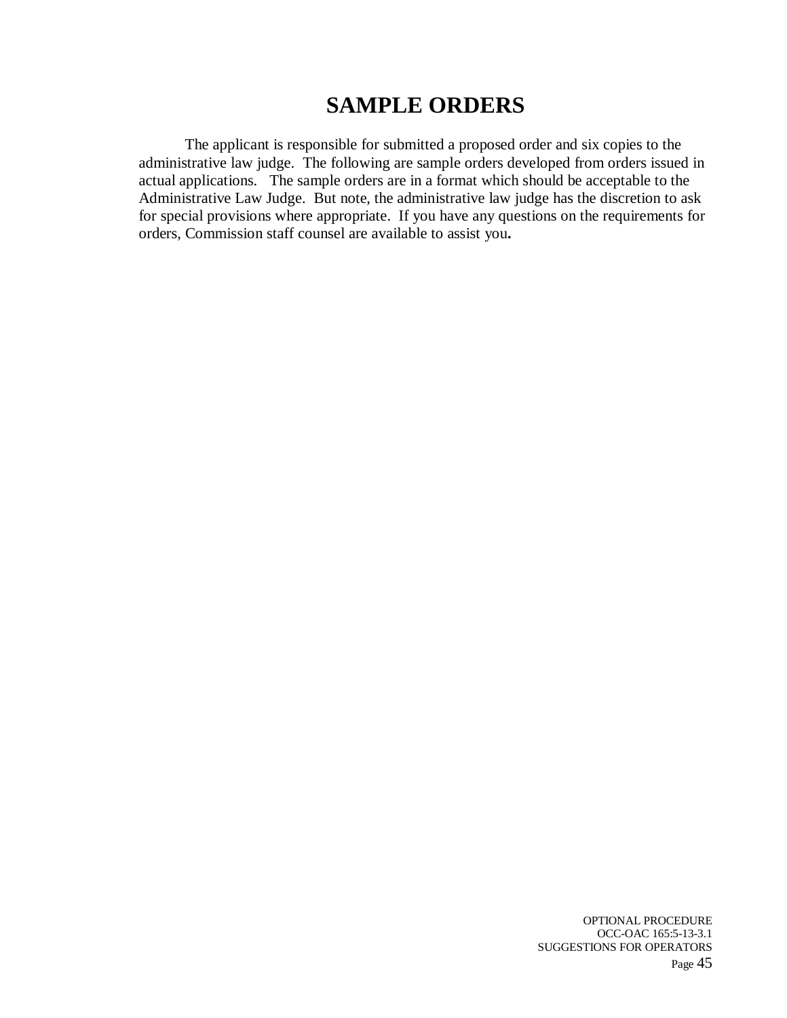# **SAMPLE ORDERS**

The applicant is responsible for submitted a proposed order and six copies to the administrative law judge. The following are sample orders developed from orders issued in actual applications. The sample orders are in a format which should be acceptable to the Administrative Law Judge. But note, the administrative law judge has the discretion to ask for special provisions where appropriate. If you have any questions on the requirements for orders, Commission staff counsel are available to assist you**.**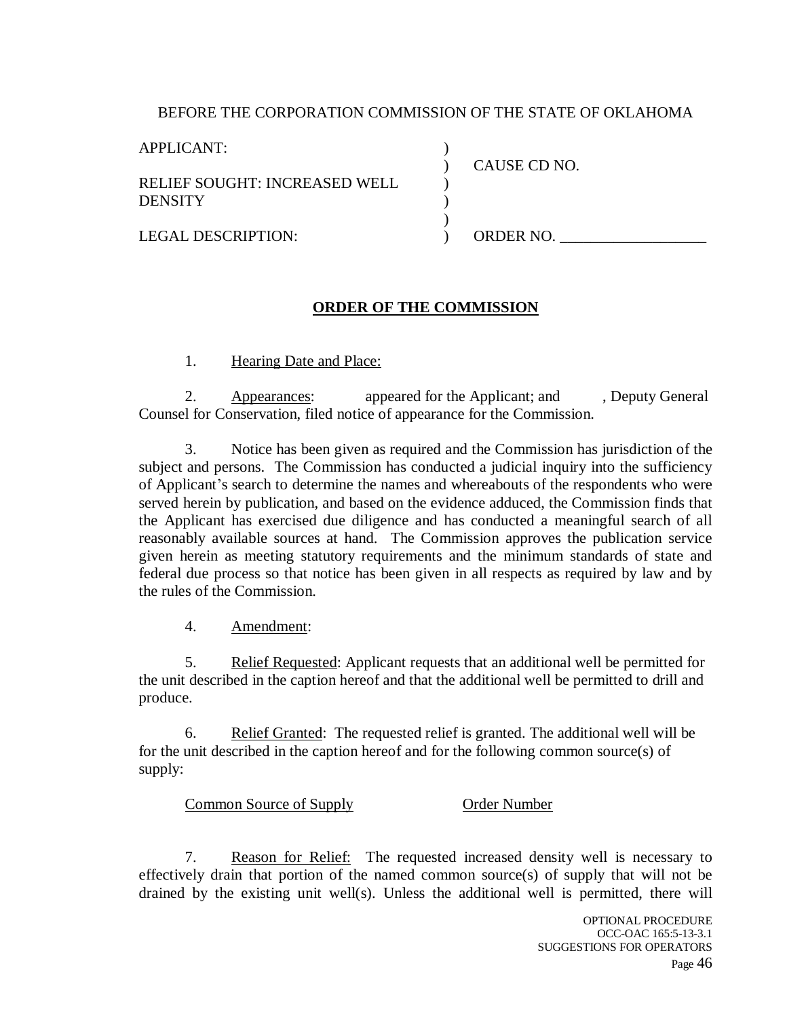#### BEFORE THE CORPORATION COMMISSION OF THE STATE OF OKLAHOMA

) ) ) ) )  $\lambda$ 

APPLICANT:

RELIEF SOUGHT: INCREASED WELL **DENSITY** 

CAUSE CD NO.

LEGAL DESCRIPTION:

ORDER NO.

#### **ORDER OF THE COMMISSION**

1. Hearing Date and Place:

2. Appearances: appeared for the Applicant; and , Deputy General Counsel for Conservation, filed notice of appearance for the Commission.

3. Notice has been given as required and the Commission has jurisdiction of the subject and persons. The Commission has conducted a judicial inquiry into the sufficiency of Applicant's search to determine the names and whereabouts of the respondents who were served herein by publication, and based on the evidence adduced, the Commission finds that the Applicant has exercised due diligence and has conducted a meaningful search of all reasonably available sources at hand. The Commission approves the publication service given herein as meeting statutory requirements and the minimum standards of state and federal due process so that notice has been given in all respects as required by law and by the rules of the Commission.

4. Amendment:

5. Relief Requested: Applicant requests that an additional well be permitted for the unit described in the caption hereof and that the additional well be permitted to drill and produce.

6. Relief Granted: The requested relief is granted. The additional well will be for the unit described in the caption hereof and for the following common source(s) of supply:

Common Source of Supply **Common Source of Supply** Order Number

7. Reason for Relief: The requested increased density well is necessary to effectively drain that portion of the named common source(s) of supply that will not be drained by the existing unit well(s). Unless the additional well is permitted, there will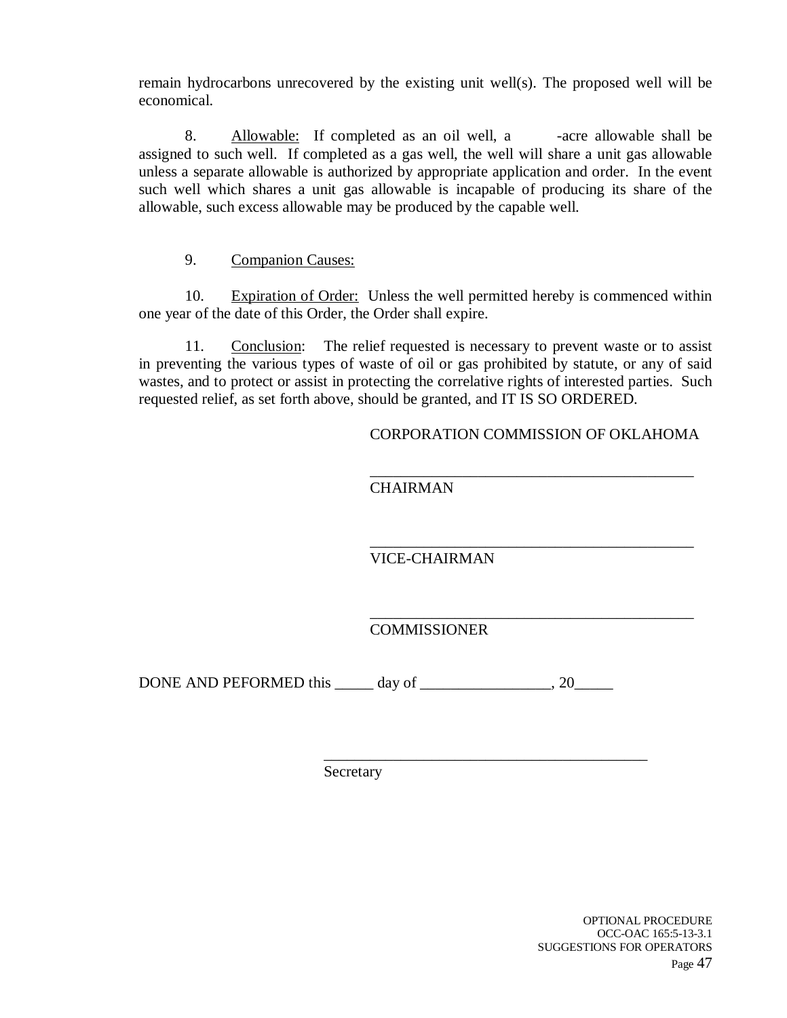remain hydrocarbons unrecovered by the existing unit well(s). The proposed well will be economical.

8. Allowable: If completed as an oil well, a -acre allowable shall be assigned to such well. If completed as a gas well, the well will share a unit gas allowable unless a separate allowable is authorized by appropriate application and order. In the event such well which shares a unit gas allowable is incapable of producing its share of the allowable, such excess allowable may be produced by the capable well.

### 9. Companion Causes:

10. Expiration of Order: Unless the well permitted hereby is commenced within one year of the date of this Order, the Order shall expire.

11. Conclusion: The relief requested is necessary to prevent waste or to assist in preventing the various types of waste of oil or gas prohibited by statute, or any of said wastes, and to protect or assist in protecting the correlative rights of interested parties. Such requested relief, as set forth above, should be granted, and IT IS SO ORDERED.

CORPORATION COMMISSION OF OKLAHOMA

\_\_\_\_\_\_\_\_\_\_\_\_\_\_\_\_\_\_\_\_\_\_\_\_\_\_\_\_\_\_\_\_\_\_\_\_\_\_\_\_\_\_

\_\_\_\_\_\_\_\_\_\_\_\_\_\_\_\_\_\_\_\_\_\_\_\_\_\_\_\_\_\_\_\_\_\_\_\_\_\_\_\_\_\_

\_\_\_\_\_\_\_\_\_\_\_\_\_\_\_\_\_\_\_\_\_\_\_\_\_\_\_\_\_\_\_\_\_\_\_\_\_\_\_\_\_\_

\_\_\_\_\_\_\_\_\_\_\_\_\_\_\_\_\_\_\_\_\_\_\_\_\_\_\_\_\_\_\_\_\_\_\_\_\_\_\_\_\_\_

**CHAIRMAN** 

VICE-CHAIRMAN

COMMISSIONER

DONE AND PEFORMED this \_\_\_\_\_ day of \_\_\_\_\_\_\_\_\_\_\_\_\_\_\_\_\_, 20\_\_\_\_\_

Secretary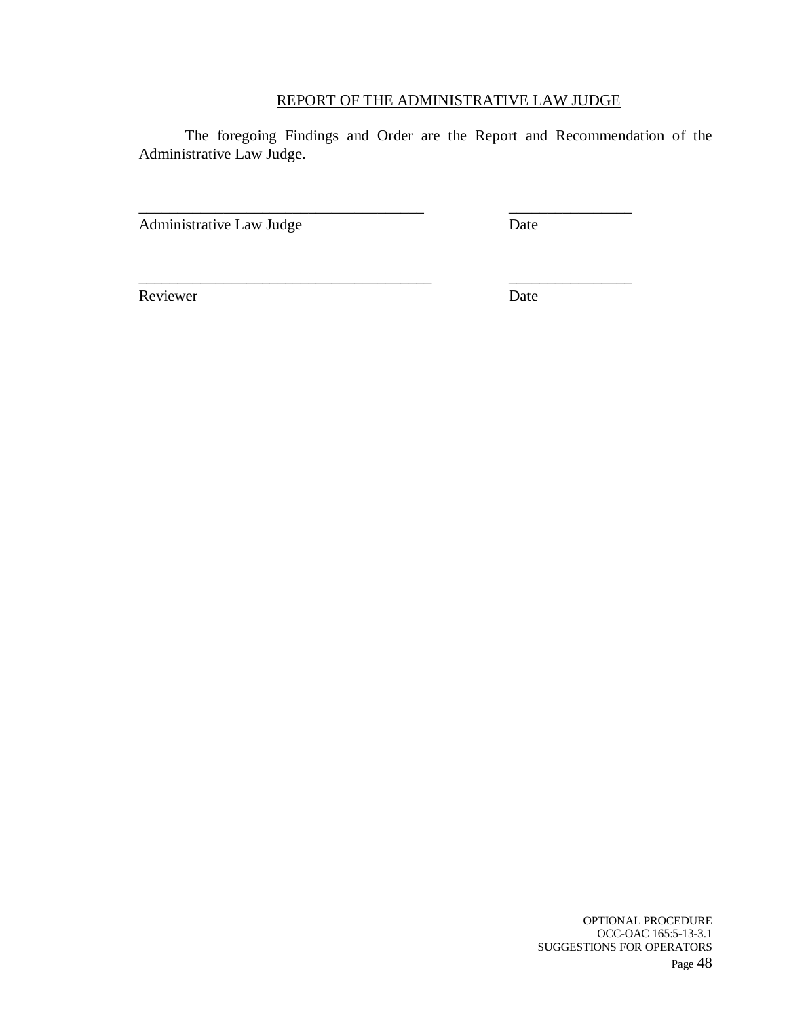### REPORT OF THE ADMINISTRATIVE LAW JUDGE

The foregoing Findings and Order are the Report and Recommendation of the Administrative Law Judge.

\_\_\_\_\_\_\_\_\_\_\_\_\_\_\_\_\_\_\_\_\_\_\_\_\_\_\_\_\_\_\_\_\_\_\_\_\_ \_\_\_\_\_\_\_\_\_\_\_\_\_\_\_\_

\_\_\_\_\_\_\_\_\_\_\_\_\_\_\_\_\_\_\_\_\_\_\_\_\_\_\_\_\_\_\_\_\_\_\_\_\_\_ \_\_\_\_\_\_\_\_\_\_\_\_\_\_\_\_

Administrative Law Judge Date

Reviewer Date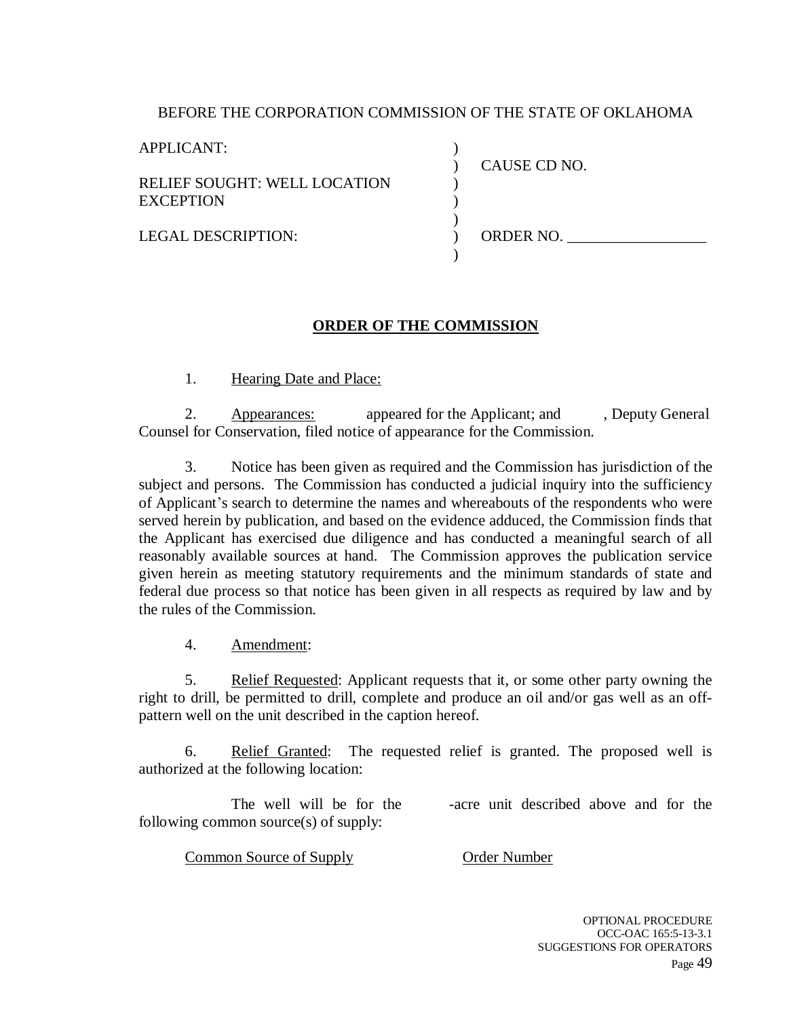### BEFORE THE CORPORATION COMMISSION OF THE STATE OF OKLAHOMA

) ) ) ) ) ) )

APPLICANT:

RELIEF SOUGHT: WELL LOCATION **EXCEPTION** 

CAUSE CD NO.

LEGAL DESCRIPTION:

ORDER NO.

#### **ORDER OF THE COMMISSION**

1. Hearing Date and Place:

2. Appearances: appeared for the Applicant; and , Deputy General Counsel for Conservation, filed notice of appearance for the Commission.

3. Notice has been given as required and the Commission has jurisdiction of the subject and persons. The Commission has conducted a judicial inquiry into the sufficiency of Applicant's search to determine the names and whereabouts of the respondents who were served herein by publication, and based on the evidence adduced, the Commission finds that the Applicant has exercised due diligence and has conducted a meaningful search of all reasonably available sources at hand. The Commission approves the publication service given herein as meeting statutory requirements and the minimum standards of state and federal due process so that notice has been given in all respects as required by law and by the rules of the Commission.

4. Amendment:

5. Relief Requested: Applicant requests that it, or some other party owning the right to drill, be permitted to drill, complete and produce an oil and/or gas well as an offpattern well on the unit described in the caption hereof.

6. Relief Granted: The requested relief is granted. The proposed well is authorized at the following location:

The well will be for the -acre unit described above and for the following common source(s) of supply:

**Common Source of Supply Conder Number** 

OPTIONAL PROCEDURE OCC-OAC 165:5-13-3.1 SUGGESTIONS FOR OPERATORS Page 49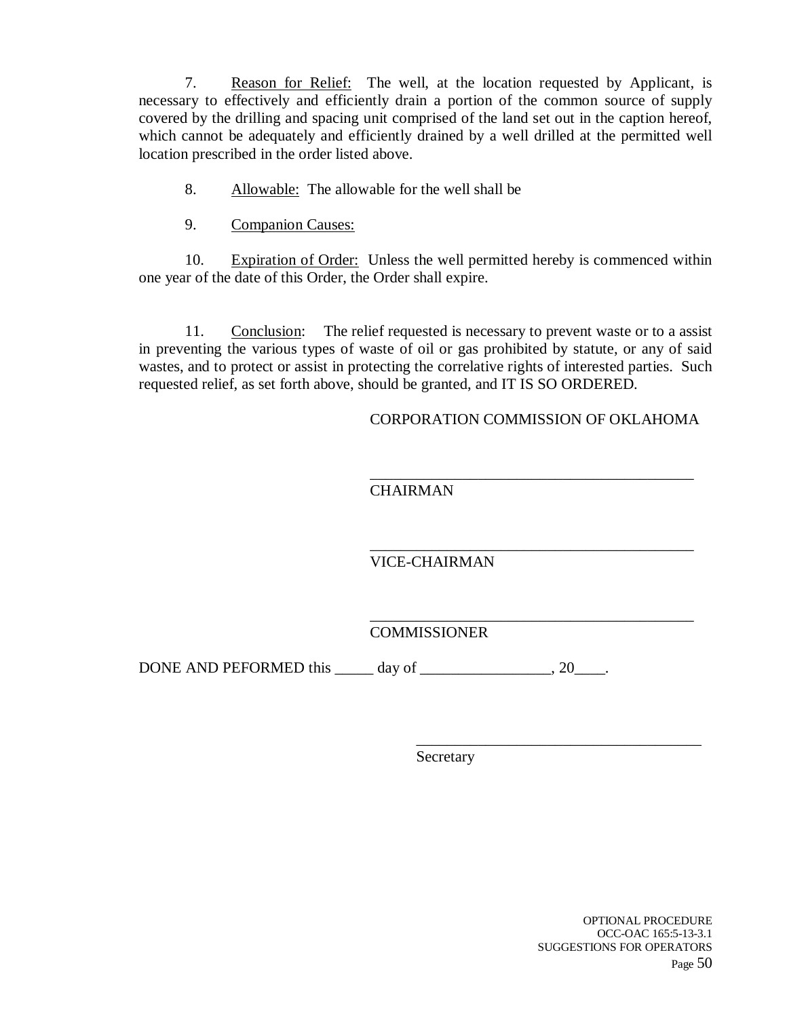7. Reason for Relief: The well, at the location requested by Applicant, is necessary to effectively and efficiently drain a portion of the common source of supply covered by the drilling and spacing unit comprised of the land set out in the caption hereof, which cannot be adequately and efficiently drained by a well drilled at the permitted well location prescribed in the order listed above.

- 8. Allowable: The allowable for the well shall be
- 9. Companion Causes:

10. Expiration of Order: Unless the well permitted hereby is commenced within one year of the date of this Order, the Order shall expire.

11. Conclusion: The relief requested is necessary to prevent waste or to a assist in preventing the various types of waste of oil or gas prohibited by statute, or any of said wastes, and to protect or assist in protecting the correlative rights of interested parties. Such requested relief, as set forth above, should be granted, and IT IS SO ORDERED.

CORPORATION COMMISSION OF OKLAHOMA

\_\_\_\_\_\_\_\_\_\_\_\_\_\_\_\_\_\_\_\_\_\_\_\_\_\_\_\_\_\_\_\_\_\_\_\_\_

\_\_\_\_\_\_\_\_\_\_\_\_\_\_\_\_\_\_\_\_\_\_\_\_\_\_\_\_\_\_\_\_\_\_\_\_\_\_\_\_\_\_ **CHAIRMAN** 

\_\_\_\_\_\_\_\_\_\_\_\_\_\_\_\_\_\_\_\_\_\_\_\_\_\_\_\_\_\_\_\_\_\_\_\_\_\_\_\_\_\_ VICE-CHAIRMAN

\_\_\_\_\_\_\_\_\_\_\_\_\_\_\_\_\_\_\_\_\_\_\_\_\_\_\_\_\_\_\_\_\_\_\_\_\_\_\_\_\_\_ **COMMISSIONER** 

DONE AND PEFORMED this \_\_\_\_\_ day of \_\_\_\_\_\_\_\_\_\_\_\_\_\_\_\_, 20\_\_\_\_.

Secretary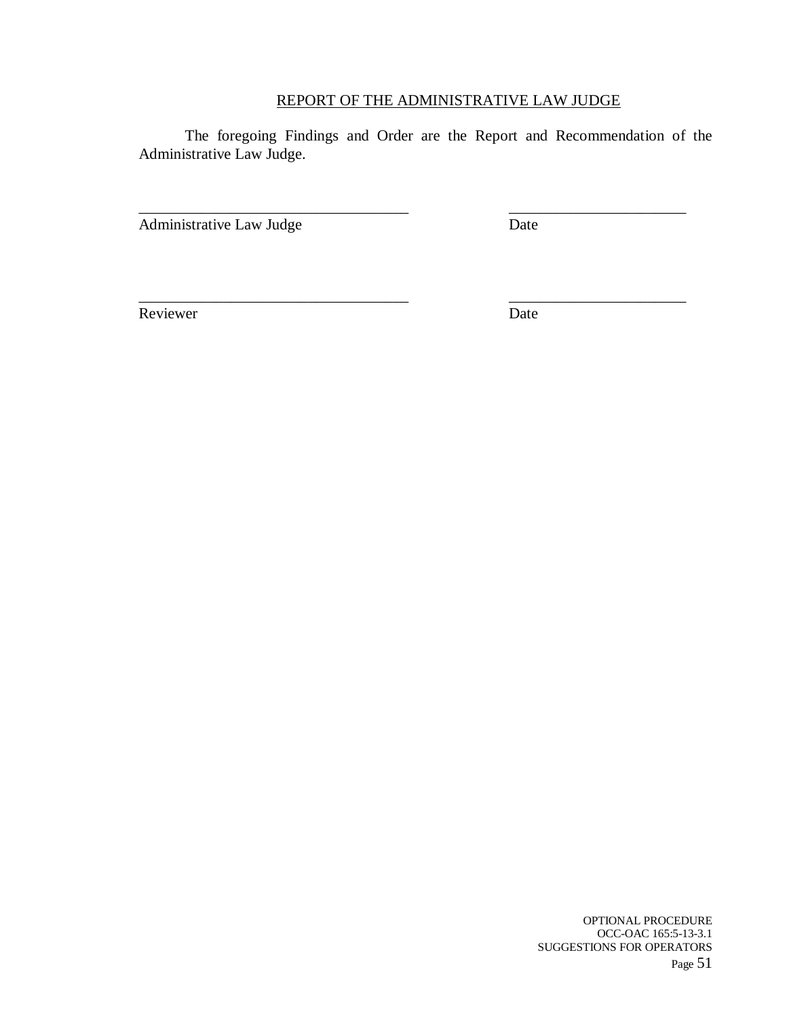### REPORT OF THE ADMINISTRATIVE LAW JUDGE

The foregoing Findings and Order are the Report and Recommendation of the Administrative Law Judge.

\_\_\_\_\_\_\_\_\_\_\_\_\_\_\_\_\_\_\_\_\_\_\_\_\_\_\_\_\_\_\_\_\_\_\_ \_\_\_\_\_\_\_\_\_\_\_\_\_\_\_\_\_\_\_\_\_\_\_

\_\_\_\_\_\_\_\_\_\_\_\_\_\_\_\_\_\_\_\_\_\_\_\_\_\_\_\_\_\_\_\_\_\_\_ \_\_\_\_\_\_\_\_\_\_\_\_\_\_\_\_\_\_\_\_\_\_\_

Administrative Law Judge Date

Reviewer Date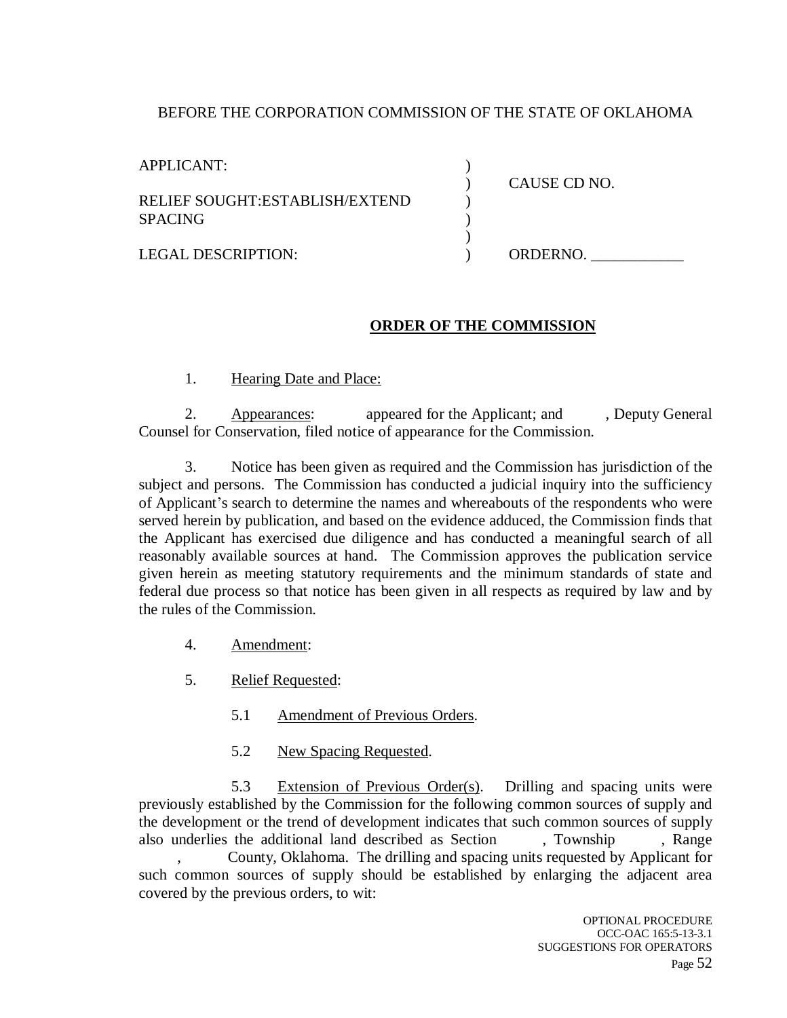### BEFORE THE CORPORATION COMMISSION OF THE STATE OF OKLAHOMA

| APPLICANT:                     |              |
|--------------------------------|--------------|
|                                | CAUSE CD NO. |
| RELIEF SOUGHT:ESTABLISH/EXTEND |              |
| <b>SPACING</b>                 |              |
|                                |              |
| <b>LEGAL DESCRIPTION:</b>      | ORDERNO.     |
|                                |              |

#### **ORDER OF THE COMMISSION**

1. Hearing Date and Place:

2. Appearances: appeared for the Applicant; and , Deputy General Counsel for Conservation, filed notice of appearance for the Commission.

3. Notice has been given as required and the Commission has jurisdiction of the subject and persons. The Commission has conducted a judicial inquiry into the sufficiency of Applicant's search to determine the names and whereabouts of the respondents who were served herein by publication, and based on the evidence adduced, the Commission finds that the Applicant has exercised due diligence and has conducted a meaningful search of all reasonably available sources at hand. The Commission approves the publication service given herein as meeting statutory requirements and the minimum standards of state and federal due process so that notice has been given in all respects as required by law and by the rules of the Commission.

- 4. Amendment:
- 5. Relief Requested:
	- 5.1 Amendment of Previous Orders.
	- 5.2 New Spacing Requested.

5.3 Extension of Previous Order(s). Drilling and spacing units were previously established by the Commission for the following common sources of supply and the development or the trend of development indicates that such common sources of supply also underlies the additional land described as Section , Township , Range

, County, Oklahoma. The drilling and spacing units requested by Applicant for such common sources of supply should be established by enlarging the adjacent area covered by the previous orders, to wit: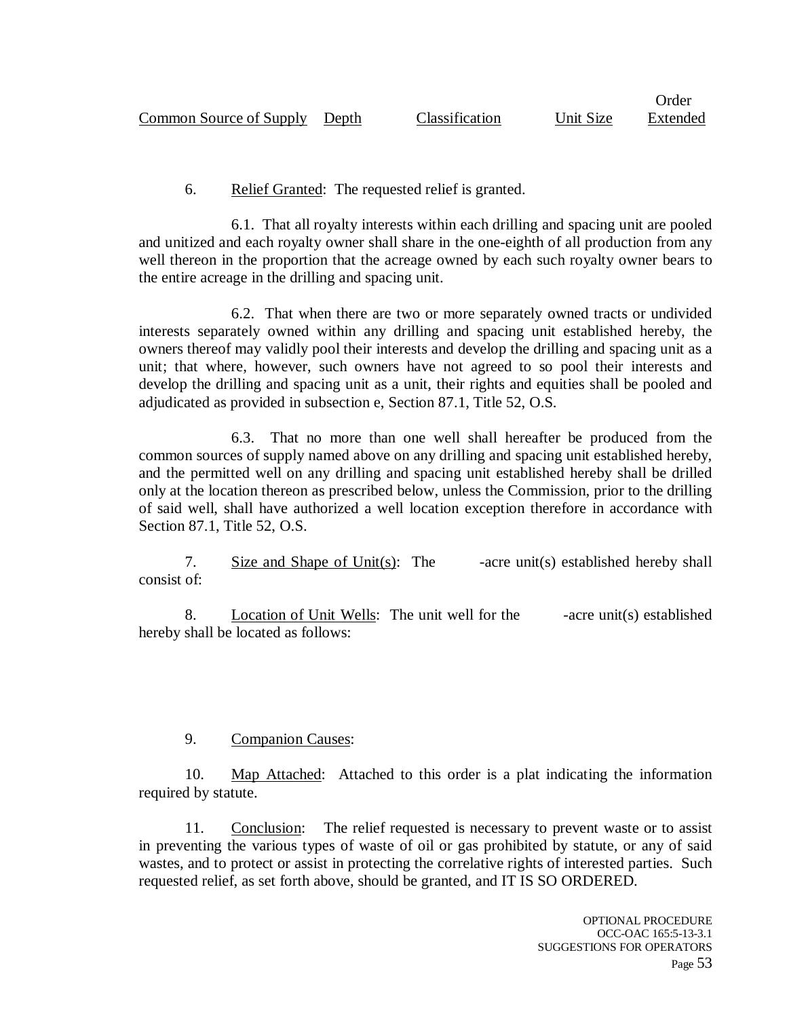Order

### 6. Relief Granted: The requested relief is granted.

6.1. That all royalty interests within each drilling and spacing unit are pooled and unitized and each royalty owner shall share in the one-eighth of all production from any well thereon in the proportion that the acreage owned by each such royalty owner bears to the entire acreage in the drilling and spacing unit.

6.2. That when there are two or more separately owned tracts or undivided interests separately owned within any drilling and spacing unit established hereby, the owners thereof may validly pool their interests and develop the drilling and spacing unit as a unit; that where, however, such owners have not agreed to so pool their interests and develop the drilling and spacing unit as a unit, their rights and equities shall be pooled and adjudicated as provided in subsection e, Section 87.1, Title 52, O.S.

6.3. That no more than one well shall hereafter be produced from the common sources of supply named above on any drilling and spacing unit established hereby, and the permitted well on any drilling and spacing unit established hereby shall be drilled only at the location thereon as prescribed below, unless the Commission, prior to the drilling of said well, shall have authorized a well location exception therefore in accordance with Section 87.1, Title 52, O.S.

7. Size and Shape of Unit(s): The  $\qquad$  -acre unit(s) established hereby shall consist of:

8. Location of Unit Wells: The unit well for the -acre unit(s) established hereby shall be located as follows:

## 9. Companion Causes:

10. Map Attached: Attached to this order is a plat indicating the information required by statute.

11. Conclusion: The relief requested is necessary to prevent waste or to assist in preventing the various types of waste of oil or gas prohibited by statute, or any of said wastes, and to protect or assist in protecting the correlative rights of interested parties. Such requested relief, as set forth above, should be granted, and IT IS SO ORDERED.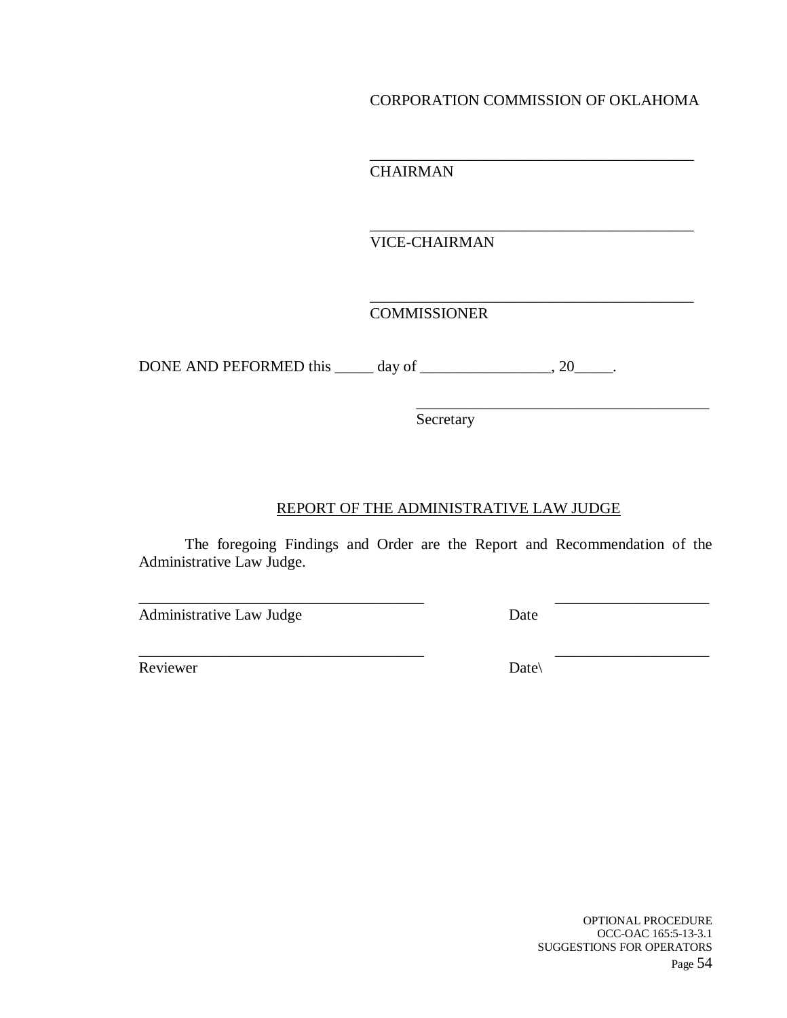#### CORPORATION COMMISSION OF OKLAHOMA

\_\_\_\_\_\_\_\_\_\_\_\_\_\_\_\_\_\_\_\_\_\_\_\_\_\_\_\_\_\_\_\_\_\_\_\_\_\_\_\_\_\_

\_\_\_\_\_\_\_\_\_\_\_\_\_\_\_\_\_\_\_\_\_\_\_\_\_\_\_\_\_\_\_\_\_\_\_\_\_\_\_\_\_\_

\_\_\_\_\_\_\_\_\_\_\_\_\_\_\_\_\_\_\_\_\_\_\_\_\_\_\_\_\_\_\_\_\_\_\_\_\_\_

CHAIRMAN

VICE-CHAIRMAN

\_\_\_\_\_\_\_\_\_\_\_\_\_\_\_\_\_\_\_\_\_\_\_\_\_\_\_\_\_\_\_\_\_\_\_\_\_\_\_\_\_\_ COMMISSIONER

DONE AND PEFORMED this \_\_\_\_\_ day of \_\_\_\_\_\_\_\_\_\_\_\_\_\_\_, 20\_\_\_\_\_.

Secretary

## REPORT OF THE ADMINISTRATIVE LAW JUDGE

The foregoing Findings and Order are the Report and Recommendation of the Administrative Law Judge.

\_\_\_\_\_\_\_\_\_\_\_\_\_\_\_\_\_\_\_\_\_\_\_\_\_\_\_\_\_\_\_\_\_\_\_\_\_ \_\_\_\_\_\_\_\_\_\_\_\_\_\_\_\_\_\_\_\_

\_\_\_\_\_\_\_\_\_\_\_\_\_\_\_\_\_\_\_\_\_\_\_\_\_\_\_\_\_\_\_\_\_\_\_\_\_ \_\_\_\_\_\_\_\_\_\_\_\_\_\_\_\_\_\_\_\_

Administrative Law Judge Date

Reviewer Date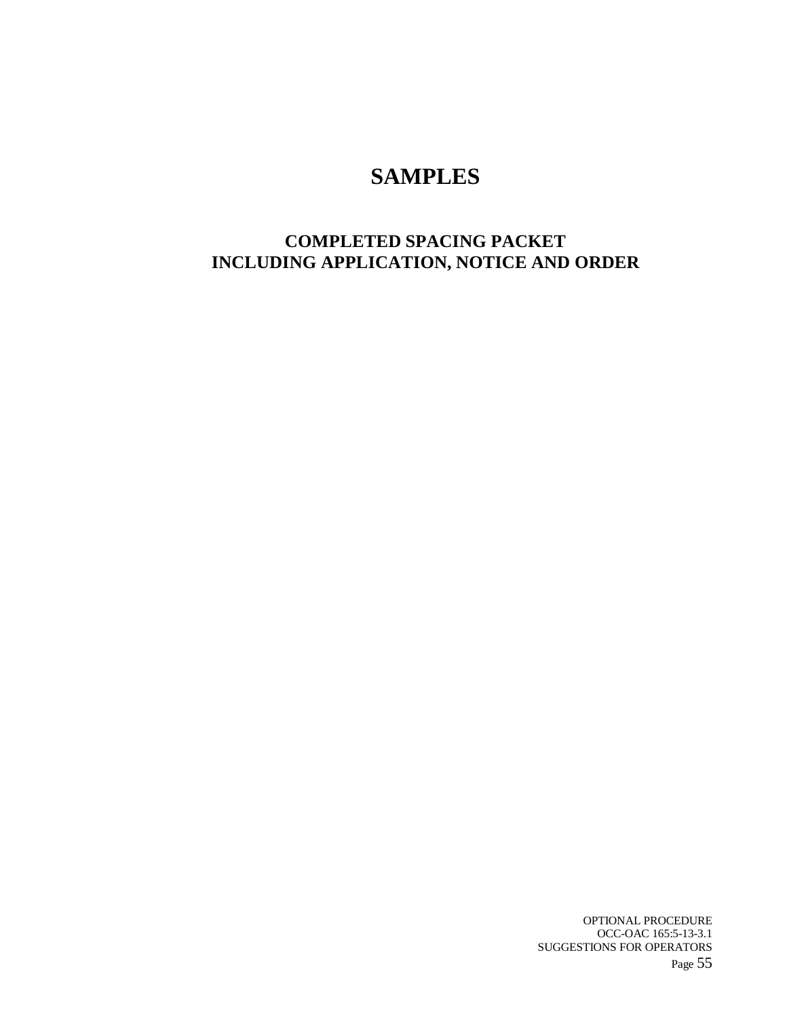# **SAMPLES**

## **COMPLETED SPACING PACKET INCLUDING APPLICATION, NOTICE AND ORDER**

OPTIONAL PROCEDURE OCC-OAC 165:5-13-3.1 SUGGESTIONS FOR OPERATORS Page 55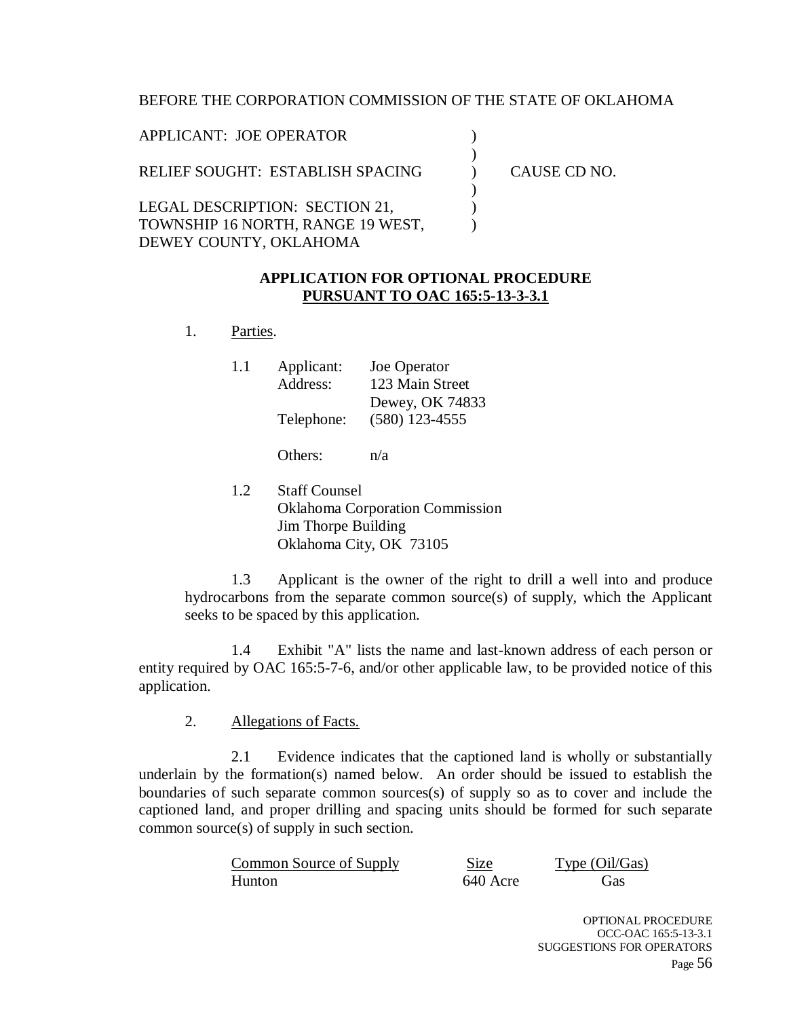#### BEFORE THE CORPORATION COMMISSION OF THE STATE OF OKLAHOMA

| APPLICANT: JOE OPERATOR           |              |
|-----------------------------------|--------------|
| RELIEF SOUGHT: ESTABLISH SPACING  | CAUSE CD NO. |
| LEGAL DESCRIPTION: SECTION 21,    |              |
| TOWNSHIP 16 NORTH, RANGE 19 WEST, |              |
| DEWEY COUNTY, OKLAHOMA            |              |

#### **APPLICATION FOR OPTIONAL PROCEDURE PURSUANT TO OAC 165:5-13-3-3.1**

1. Parties.

| 1.1 | Applicant: | Joe Operator     |
|-----|------------|------------------|
|     | Address:   | 123 Main Street  |
|     |            | Dewey, OK 74833  |
|     | Telephone: | $(580)$ 123-4555 |
|     |            |                  |

Others: n/a

1.2 Staff Counsel Oklahoma Corporation Commission Jim Thorpe Building Oklahoma City, OK 73105

1.3 Applicant is the owner of the right to drill a well into and produce hydrocarbons from the separate common source(s) of supply, which the Applicant seeks to be spaced by this application.

1.4 Exhibit "A" lists the name and last-known address of each person or entity required by OAC 165:5-7-6, and/or other applicable law, to be provided notice of this application.

#### 2. Allegations of Facts.

2.1 Evidence indicates that the captioned land is wholly or substantially underlain by the formation(s) named below. An order should be issued to establish the boundaries of such separate common sources(s) of supply so as to cover and include the captioned land, and proper drilling and spacing units should be formed for such separate common source(s) of supply in such section.

| Common Source of Supply | Size     | Type (Oil/Gas) |
|-------------------------|----------|----------------|
| Hunton                  | 640 Acre | Gas            |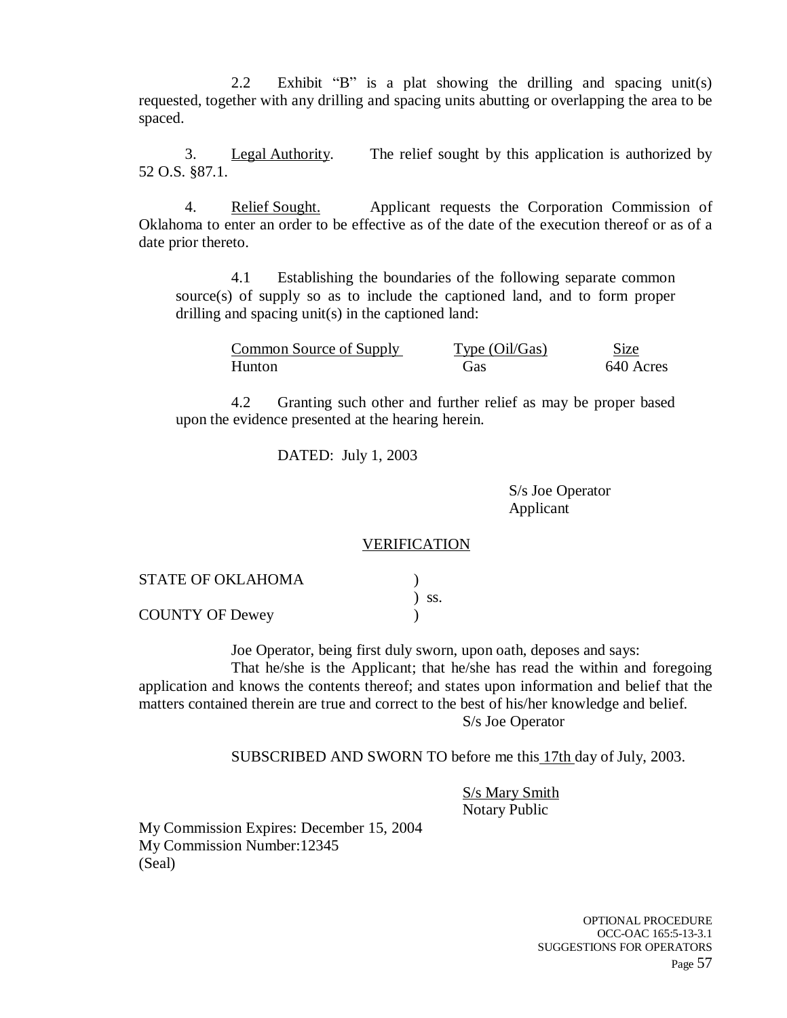2.2 Exhibit "B" is a plat showing the drilling and spacing unit(s) requested, together with any drilling and spacing units abutting or overlapping the area to be spaced.

3. Legal Authority. The relief sought by this application is authorized by 52 O.S. §87.1.

4. Relief Sought. Applicant requests the Corporation Commission of Oklahoma to enter an order to be effective as of the date of the execution thereof or as of a date prior thereto.

4.1 Establishing the boundaries of the following separate common source(s) of supply so as to include the captioned land, and to form proper drilling and spacing unit(s) in the captioned land:

| Common Source of Supply | Type $(Oil/Gas)$ | Size      |
|-------------------------|------------------|-----------|
| Hunton                  | Gas              | 640 Acres |

4.2 Granting such other and further relief as may be proper based upon the evidence presented at the hearing herein.

DATED: July 1, 2003

S/s Joe Operator Applicant

#### **VERIFICATION**

| <b>STATE OF OKLAHOMA</b> |            |
|--------------------------|------------|
|                          | $\sum$ SS. |
| <b>COUNTY OF Dewey</b>   |            |

Joe Operator, being first duly sworn, upon oath, deposes and says:

That he/she is the Applicant; that he/she has read the within and foregoing application and knows the contents thereof; and states upon information and belief that the matters contained therein are true and correct to the best of his/her knowledge and belief. S/s Joe Operator

SUBSCRIBED AND SWORN TO before me this 17th day of July, 2003.

S/s Mary Smith Notary Public

My Commission Expires: December 15, 2004 My Commission Number:12345 (Seal)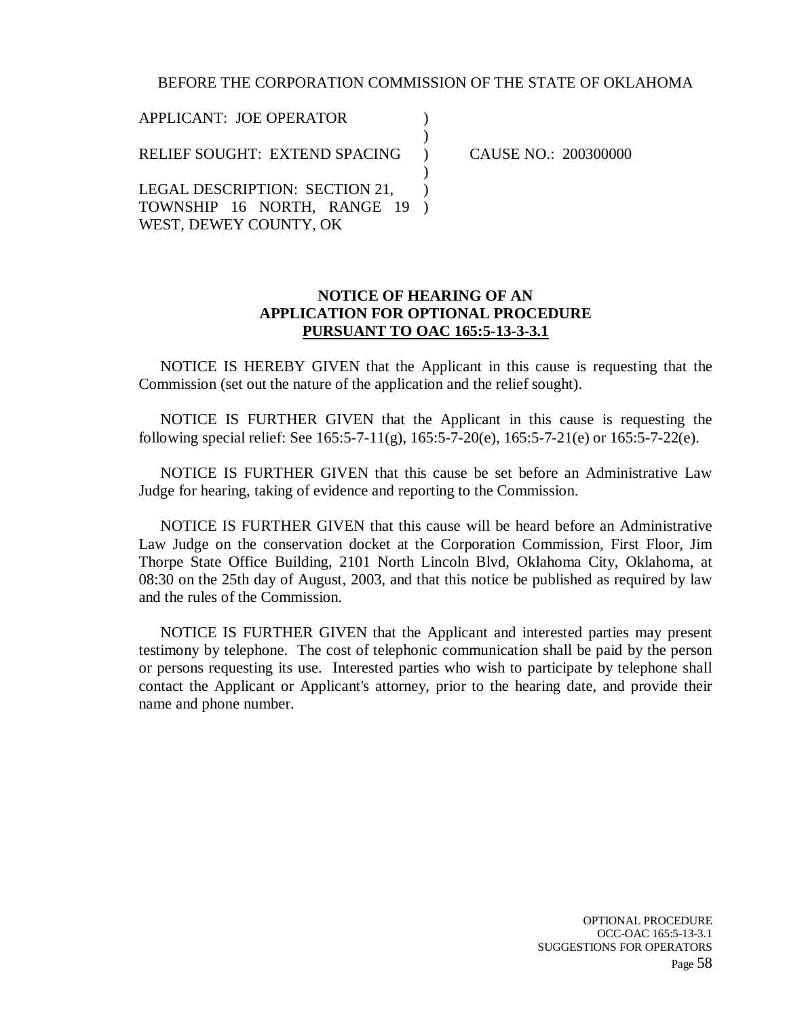#### BEFORE THE CORPORATION COMMISSION OF THE STATE OF OKLAHOMA

APPLICANT: JOE OPERATOR RELIEF SOUGHT: EXTEND SPACING LEGAL DESCRIPTION: SECTION 21, TOWNSHIP 16 NORTH, RANGE 19 WEST, DEWEY COUNTY, OK )  $\lambda$  $\lambda$ )  $\mathcal{L}$  $\lambda$ 

CAUSE NO.: 200300000

#### **NOTICE OF HEARING OF AN APPLICATION FOR OPTIONAL PROCEDURE PURSUANT TO OAC 165:5-13-3-3.1**

NOTICE IS HEREBY GIVEN that the Applicant in this cause is requesting that the Commission (set out the nature of the application and the relief sought).

NOTICE IS FURTHER GIVEN that the Applicant in this cause is requesting the following special relief: See 165:5-7-11(g), 165:5-7-20(e), 165:5-7-21(e) or 165:5-7-22(e).

NOTICE IS FURTHER GIVEN that this cause be set before an Administrative Law Judge for hearing, taking of evidence and reporting to the Commission.

NOTICE IS FURTHER GIVEN that this cause will be heard before an Administrative Law Judge on the conservation docket at the Corporation Commission, First Floor, Jim Thorpe State Office Building, 2101 North Lincoln Blvd, Oklahoma City, Oklahoma, at 08:30 on the 25th day of August, 2003, and that this notice be published as required by law and the rules of the Commission.

NOTICE IS FURTHER GIVEN that the Applicant and interested parties may present testimony by telephone. The cost of telephonic communication shall be paid by the person or persons requesting its use. Interested parties who wish to participate by telephone shall contact the Applicant or Applicant's attorney, prior to the hearing date, and provide their name and phone number.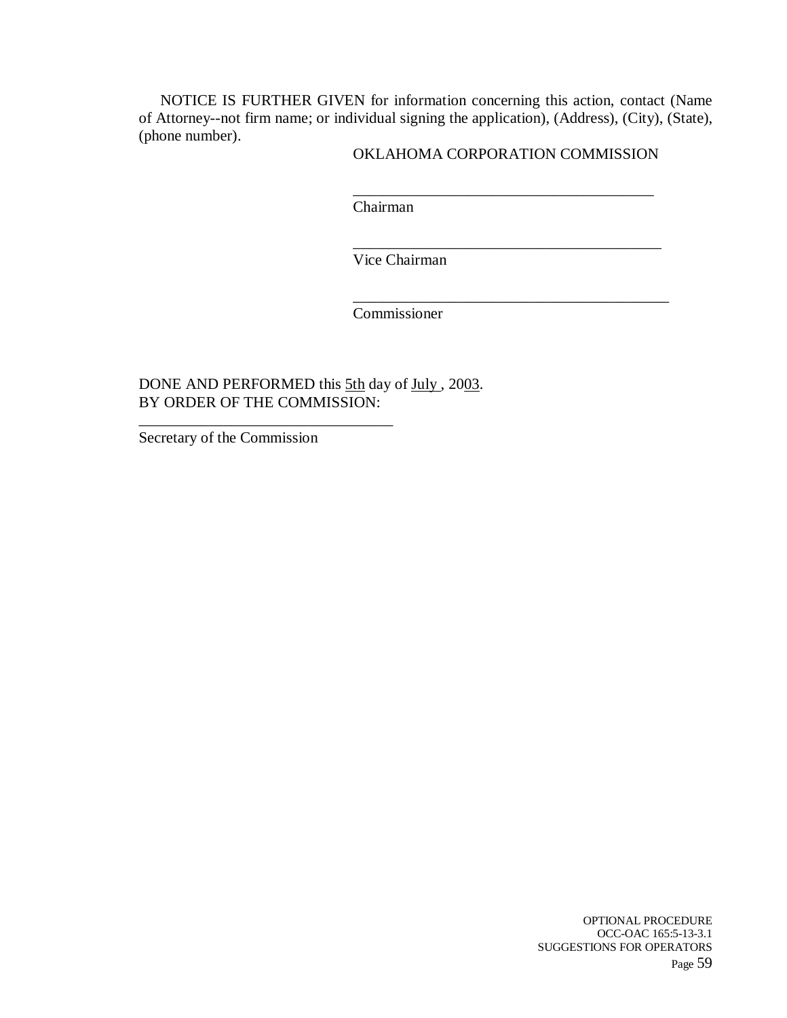NOTICE IS FURTHER GIVEN for information concerning this action, contact (Name of Attorney--not firm name; or individual signing the application), (Address), (City), (State), (phone number).

#### OKLAHOMA CORPORATION COMMISSION

\_\_\_\_\_\_\_\_\_\_\_\_\_\_\_\_\_\_\_\_\_\_\_\_\_\_\_\_\_\_\_\_\_\_\_\_\_\_\_

\_\_\_\_\_\_\_\_\_\_\_\_\_\_\_\_\_\_\_\_\_\_\_\_\_\_\_\_\_\_\_\_\_\_\_\_\_\_\_\_

\_\_\_\_\_\_\_\_\_\_\_\_\_\_\_\_\_\_\_\_\_\_\_\_\_\_\_\_\_\_\_\_\_\_\_\_\_\_\_\_\_

Chairman

Vice Chairman

Commissioner

DONE AND PERFORMED this 5th day of July, 2003. BY ORDER OF THE COMMISSION:

Secretary of the Commission

\_\_\_\_\_\_\_\_\_\_\_\_\_\_\_\_\_\_\_\_\_\_\_\_\_\_\_\_\_\_\_\_\_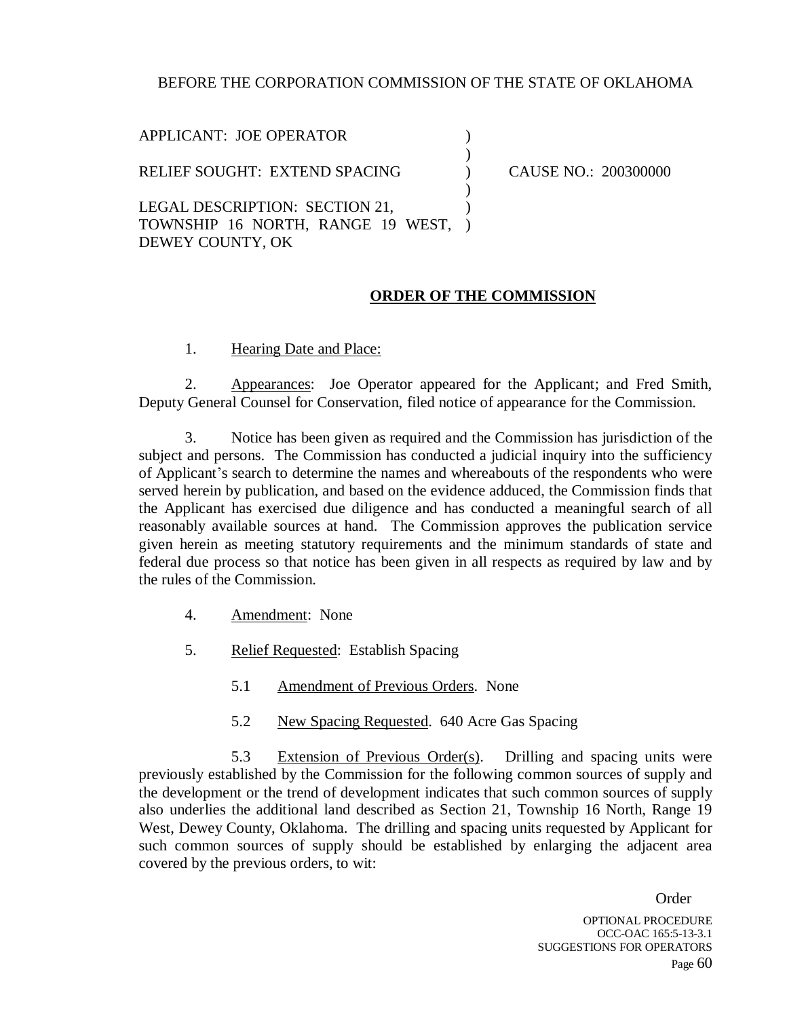#### BEFORE THE CORPORATION COMMISSION OF THE STATE OF OKLAHOMA

| APPLICANT: JOE OPERATOR                                 |                      |
|---------------------------------------------------------|----------------------|
| RELIEF SOUGHT: EXTEND SPACING                           | CAUSE NO.: 200300000 |
|                                                         |                      |
| LEGAL DESCRIPTION: SECTION 21,                          |                      |
| TOWNSHIP 16 NORTH, RANGE 19 WEST, )<br>DEWEY COUNTY, OK |                      |

#### **ORDER OF THE COMMISSION**

1. Hearing Date and Place:

2. Appearances: Joe Operator appeared for the Applicant; and Fred Smith, Deputy General Counsel for Conservation, filed notice of appearance for the Commission.

3. Notice has been given as required and the Commission has jurisdiction of the subject and persons. The Commission has conducted a judicial inquiry into the sufficiency of Applicant's search to determine the names and whereabouts of the respondents who were served herein by publication, and based on the evidence adduced, the Commission finds that the Applicant has exercised due diligence and has conducted a meaningful search of all reasonably available sources at hand. The Commission approves the publication service given herein as meeting statutory requirements and the minimum standards of state and federal due process so that notice has been given in all respects as required by law and by the rules of the Commission.

- 4. Amendment: None
- 5. Relief Requested: Establish Spacing
	- 5.1 Amendment of Previous Orders. None
	- 5.2 New Spacing Requested. 640 Acre Gas Spacing

5.3 Extension of Previous Order(s). Drilling and spacing units were previously established by the Commission for the following common sources of supply and the development or the trend of development indicates that such common sources of supply also underlies the additional land described as Section 21, Township 16 North, Range 19 West, Dewey County, Oklahoma. The drilling and spacing units requested by Applicant for such common sources of supply should be established by enlarging the adjacent area covered by the previous orders, to wit:

Order

OPTIONAL PROCEDURE OCC-OAC 165:5-13-3.1 SUGGESTIONS FOR OPERATORS Page 60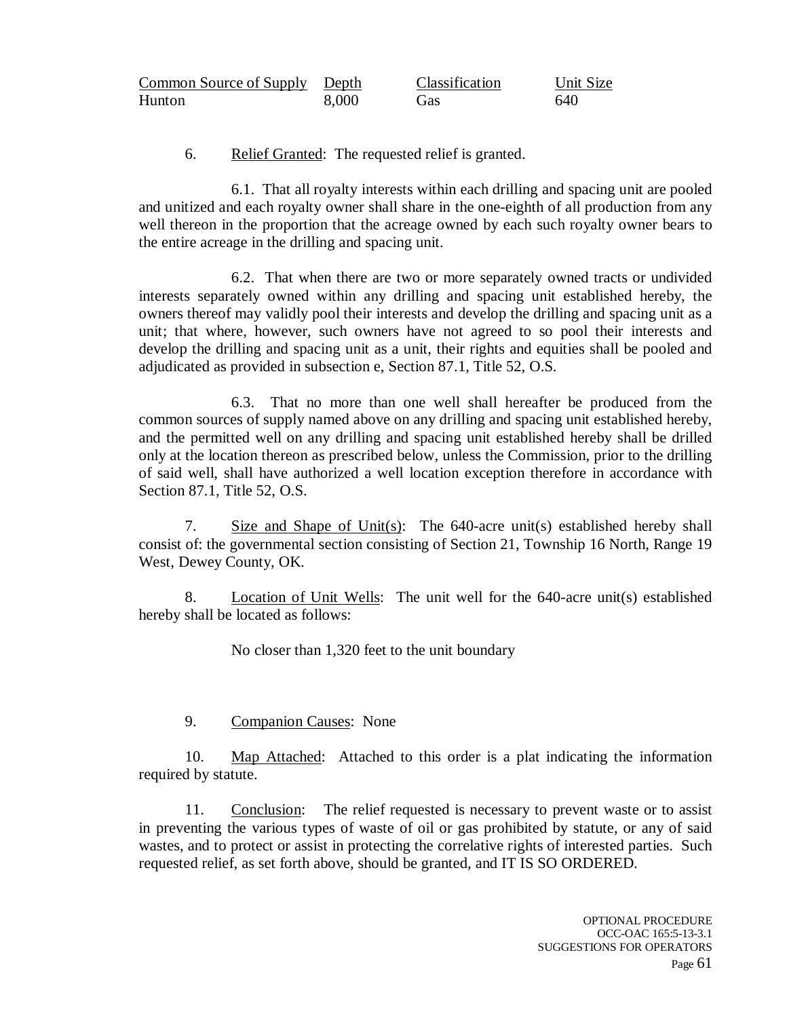| Common Source of Supply Depth |       | Classification | Unit Size |
|-------------------------------|-------|----------------|-----------|
| Hunton                        | 8,000 | Gas            | 640       |

6. Relief Granted: The requested relief is granted.

6.1. That all royalty interests within each drilling and spacing unit are pooled and unitized and each royalty owner shall share in the one-eighth of all production from any well thereon in the proportion that the acreage owned by each such royalty owner bears to the entire acreage in the drilling and spacing unit.

6.2. That when there are two or more separately owned tracts or undivided interests separately owned within any drilling and spacing unit established hereby, the owners thereof may validly pool their interests and develop the drilling and spacing unit as a unit; that where, however, such owners have not agreed to so pool their interests and develop the drilling and spacing unit as a unit, their rights and equities shall be pooled and adjudicated as provided in subsection e, Section 87.1, Title 52, O.S.

6.3. That no more than one well shall hereafter be produced from the common sources of supply named above on any drilling and spacing unit established hereby, and the permitted well on any drilling and spacing unit established hereby shall be drilled only at the location thereon as prescribed below, unless the Commission, prior to the drilling of said well, shall have authorized a well location exception therefore in accordance with Section 87.1, Title 52, O.S.

7. Size and Shape of Unit(s): The 640-acre unit(s) established hereby shall consist of: the governmental section consisting of Section 21, Township 16 North, Range 19 West, Dewey County, OK.

8. Location of Unit Wells: The unit well for the 640-acre unit(s) established hereby shall be located as follows:

No closer than 1,320 feet to the unit boundary

### 9. Companion Causes: None

10. Map Attached: Attached to this order is a plat indicating the information required by statute.

11. Conclusion: The relief requested is necessary to prevent waste or to assist in preventing the various types of waste of oil or gas prohibited by statute, or any of said wastes, and to protect or assist in protecting the correlative rights of interested parties. Such requested relief, as set forth above, should be granted, and IT IS SO ORDERED.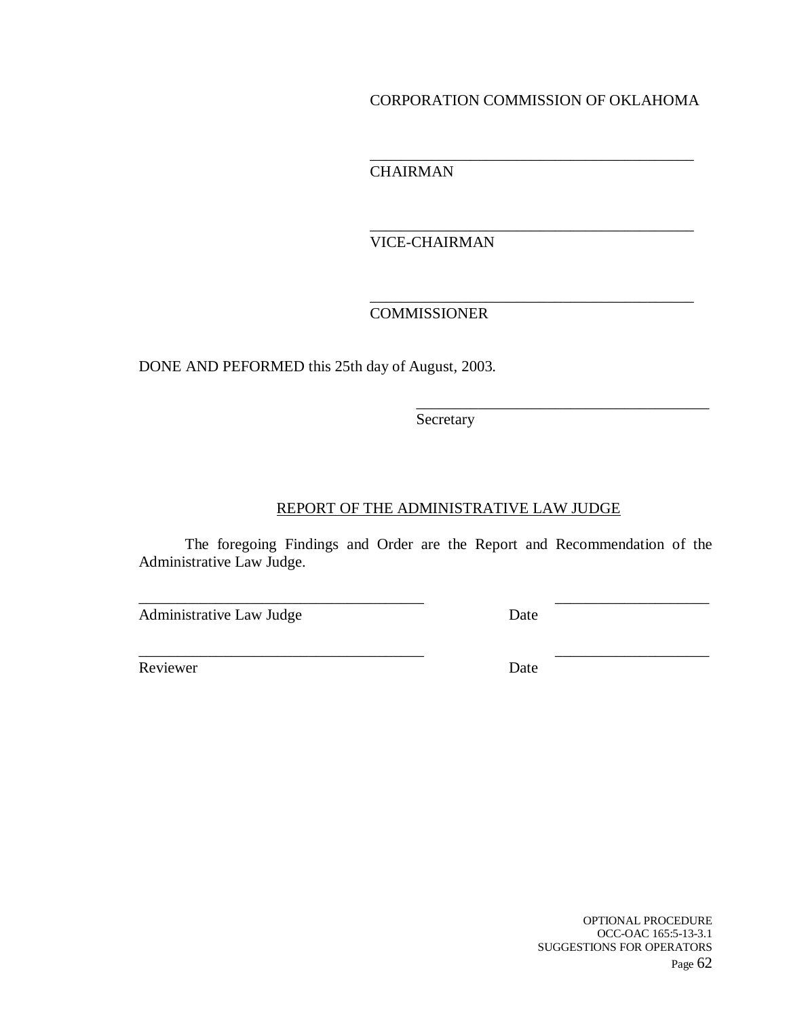### CORPORATION COMMISSION OF OKLAHOMA

\_\_\_\_\_\_\_\_\_\_\_\_\_\_\_\_\_\_\_\_\_\_\_\_\_\_\_\_\_\_\_\_\_\_\_\_\_\_\_\_\_\_

\_\_\_\_\_\_\_\_\_\_\_\_\_\_\_\_\_\_\_\_\_\_\_\_\_\_\_\_\_\_\_\_\_\_\_\_\_\_\_\_\_\_

\_\_\_\_\_\_\_\_\_\_\_\_\_\_\_\_\_\_\_\_\_\_\_\_\_\_\_\_\_\_\_\_\_\_\_\_\_\_\_\_\_\_

\_\_\_\_\_\_\_\_\_\_\_\_\_\_\_\_\_\_\_\_\_\_\_\_\_\_\_\_\_\_\_\_\_\_\_\_\_\_

**CHAIRMAN** 

VICE-CHAIRMAN

## COMMISSIONER

DONE AND PEFORMED this 25th day of August, 2003.

Secretary

### REPORT OF THE ADMINISTRATIVE LAW JUDGE

The foregoing Findings and Order are the Report and Recommendation of the Administrative Law Judge.

\_\_\_\_\_\_\_\_\_\_\_\_\_\_\_\_\_\_\_\_\_\_\_\_\_\_\_\_\_\_\_\_\_\_\_\_\_ \_\_\_\_\_\_\_\_\_\_\_\_\_\_\_\_\_\_\_\_

\_\_\_\_\_\_\_\_\_\_\_\_\_\_\_\_\_\_\_\_\_\_\_\_\_\_\_\_\_\_\_\_\_\_\_\_\_ \_\_\_\_\_\_\_\_\_\_\_\_\_\_\_\_\_\_\_\_

Administrative Law Judge Date

Reviewer Date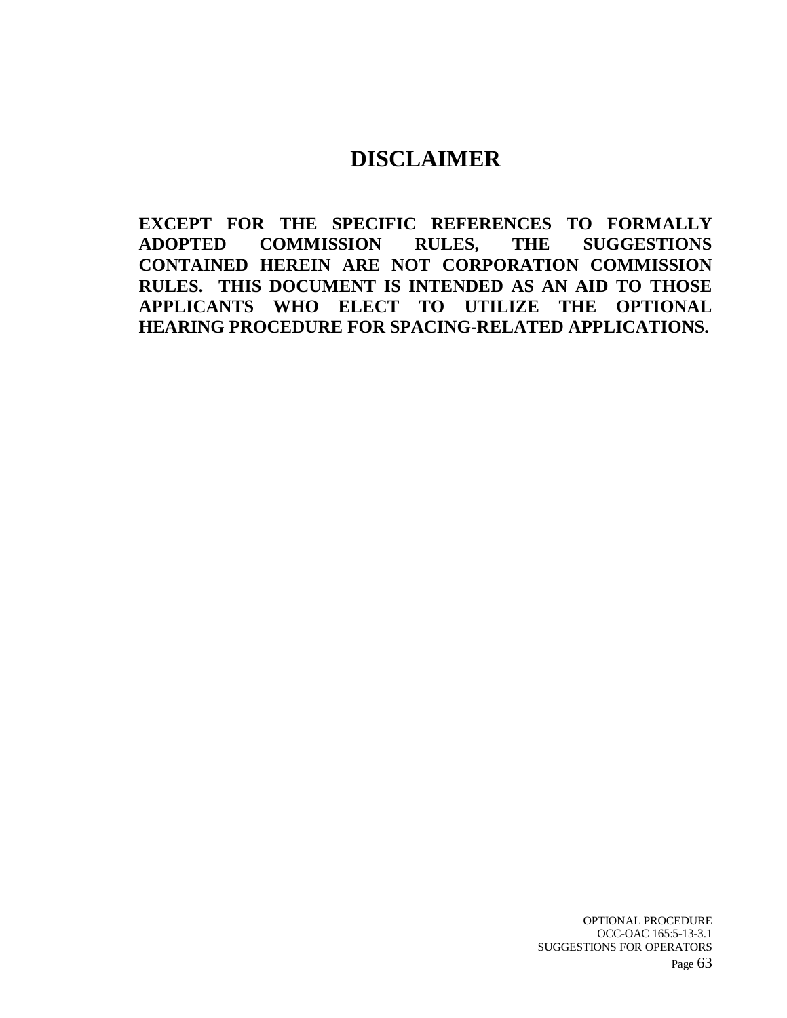# **DISCLAIMER**

**EXCEPT FOR THE SPECIFIC REFERENCES TO FORMALLY ADOPTED COMMISSION RULES, THE SUGGESTIONS CONTAINED HEREIN ARE NOT CORPORATION COMMISSION RULES. THIS DOCUMENT IS INTENDED AS AN AID TO THOSE APPLICANTS WHO ELECT TO UTILIZE THE OPTIONAL HEARING PROCEDURE FOR SPACING-RELATED APPLICATIONS.**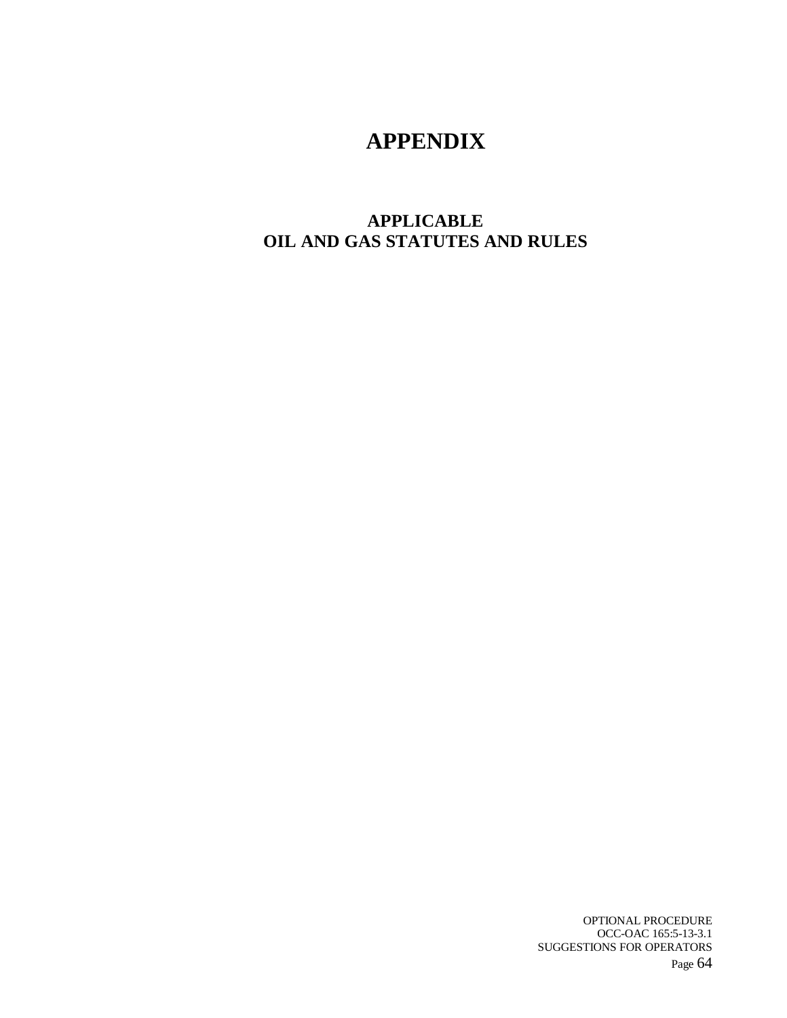# **APPENDIX**

## **APPLICABLE OIL AND GAS STATUTES AND RULES**

OPTIONAL PROCEDURE OCC-OAC 165:5-13-3.1 SUGGESTIONS FOR OPERATORS Page 64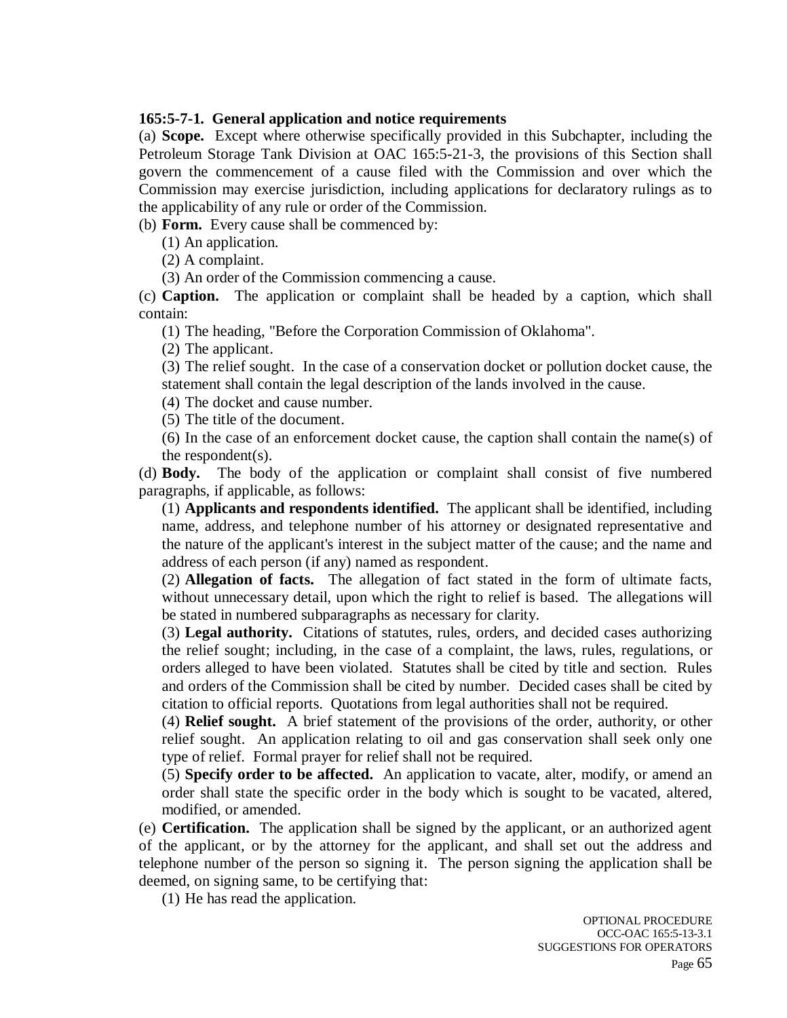#### **165:5-7-1. General application and notice requirements**

(a) **Scope.** Except where otherwise specifically provided in this Subchapter, including the Petroleum Storage Tank Division at OAC 165:5-21-3, the provisions of this Section shall govern the commencement of a cause filed with the Commission and over which the Commission may exercise jurisdiction, including applications for declaratory rulings as to the applicability of any rule or order of the Commission.

(b) **Form.** Every cause shall be commenced by:

(1) An application.

(2) A complaint.

(3) An order of the Commission commencing a cause.

(c) **Caption.** The application or complaint shall be headed by a caption, which shall contain:

(1) The heading, "Before the Corporation Commission of Oklahoma".

(2) The applicant.

(3) The relief sought. In the case of a conservation docket or pollution docket cause, the statement shall contain the legal description of the lands involved in the cause.

(4) The docket and cause number.

(5) The title of the document.

(6) In the case of an enforcement docket cause, the caption shall contain the name(s) of the respondent(s).

(d) **Body.** The body of the application or complaint shall consist of five numbered paragraphs, if applicable, as follows:

(1) **Applicants and respondents identified.** The applicant shall be identified, including name, address, and telephone number of his attorney or designated representative and the nature of the applicant's interest in the subject matter of the cause; and the name and address of each person (if any) named as respondent.

(2) **Allegation of facts.** The allegation of fact stated in the form of ultimate facts, without unnecessary detail, upon which the right to relief is based. The allegations will be stated in numbered subparagraphs as necessary for clarity.

(3) **Legal authority.** Citations of statutes, rules, orders, and decided cases authorizing the relief sought; including, in the case of a complaint, the laws, rules, regulations, or orders alleged to have been violated. Statutes shall be cited by title and section. Rules and orders of the Commission shall be cited by number. Decided cases shall be cited by citation to official reports. Quotations from legal authorities shall not be required.

(4) **Relief sought.** A brief statement of the provisions of the order, authority, or other relief sought. An application relating to oil and gas conservation shall seek only one type of relief. Formal prayer for relief shall not be required.

(5) **Specify order to be affected.** An application to vacate, alter, modify, or amend an order shall state the specific order in the body which is sought to be vacated, altered, modified, or amended.

(e) **Certification.** The application shall be signed by the applicant, or an authorized agent of the applicant, or by the attorney for the applicant, and shall set out the address and telephone number of the person so signing it. The person signing the application shall be deemed, on signing same, to be certifying that:

(1) He has read the application.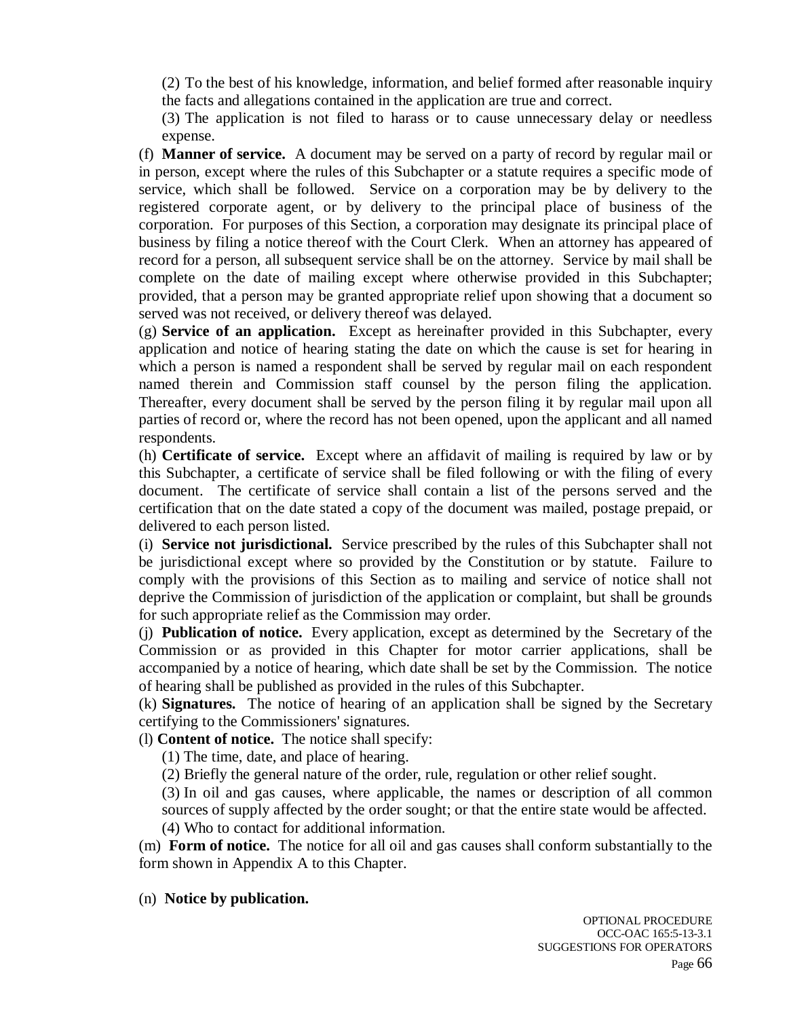(2) To the best of his knowledge, information, and belief formed after reasonable inquiry the facts and allegations contained in the application are true and correct.

(3) The application is not filed to harass or to cause unnecessary delay or needless expense.

(f) **Manner of service.** A document may be served on a party of record by regular mail or in person, except where the rules of this Subchapter or a statute requires a specific mode of service, which shall be followed. Service on a corporation may be by delivery to the registered corporate agent, or by delivery to the principal place of business of the corporation. For purposes of this Section, a corporation may designate its principal place of business by filing a notice thereof with the Court Clerk. When an attorney has appeared of record for a person, all subsequent service shall be on the attorney. Service by mail shall be complete on the date of mailing except where otherwise provided in this Subchapter; provided, that a person may be granted appropriate relief upon showing that a document so served was not received, or delivery thereof was delayed.

(g) **Service of an application.** Except as hereinafter provided in this Subchapter, every application and notice of hearing stating the date on which the cause is set for hearing in which a person is named a respondent shall be served by regular mail on each respondent named therein and Commission staff counsel by the person filing the application. Thereafter, every document shall be served by the person filing it by regular mail upon all parties of record or, where the record has not been opened, upon the applicant and all named respondents.

(h) **Certificate of service.** Except where an affidavit of mailing is required by law or by this Subchapter, a certificate of service shall be filed following or with the filing of every document. The certificate of service shall contain a list of the persons served and the certification that on the date stated a copy of the document was mailed, postage prepaid, or delivered to each person listed.

(i) **Service not jurisdictional.** Service prescribed by the rules of this Subchapter shall not be jurisdictional except where so provided by the Constitution or by statute. Failure to comply with the provisions of this Section as to mailing and service of notice shall not deprive the Commission of jurisdiction of the application or complaint, but shall be grounds for such appropriate relief as the Commission may order.

(j) **Publication of notice.** Every application, except as determined by the Secretary of the Commission or as provided in this Chapter for motor carrier applications, shall be accompanied by a notice of hearing, which date shall be set by the Commission. The notice of hearing shall be published as provided in the rules of this Subchapter.

(k) **Signatures.** The notice of hearing of an application shall be signed by the Secretary certifying to the Commissioners' signatures.

(l) **Content of notice.** The notice shall specify:

(1) The time, date, and place of hearing.

(2) Briefly the general nature of the order, rule, regulation or other relief sought.

(3) In oil and gas causes, where applicable, the names or description of all common sources of supply affected by the order sought; or that the entire state would be affected. (4) Who to contact for additional information.

(m) **Form of notice.** The notice for all oil and gas causes shall conform substantially to the form shown in Appendix A to this Chapter.

#### (n) **Notice by publication.**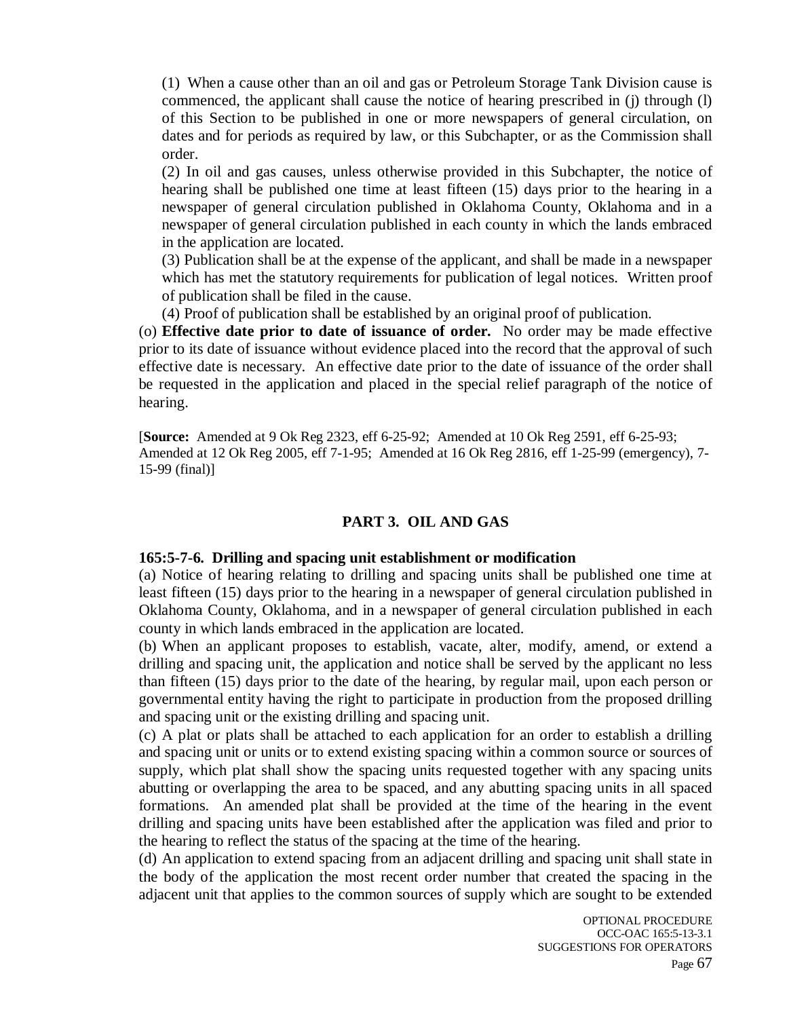(1) When a cause other than an oil and gas or Petroleum Storage Tank Division cause is commenced, the applicant shall cause the notice of hearing prescribed in (j) through (l) of this Section to be published in one or more newspapers of general circulation, on dates and for periods as required by law, or this Subchapter, or as the Commission shall order.

(2) In oil and gas causes, unless otherwise provided in this Subchapter, the notice of hearing shall be published one time at least fifteen (15) days prior to the hearing in a newspaper of general circulation published in Oklahoma County, Oklahoma and in a newspaper of general circulation published in each county in which the lands embraced in the application are located.

(3) Publication shall be at the expense of the applicant, and shall be made in a newspaper which has met the statutory requirements for publication of legal notices. Written proof of publication shall be filed in the cause.

(4) Proof of publication shall be established by an original proof of publication.

(o) **Effective date prior to date of issuance of order.** No order may be made effective prior to its date of issuance without evidence placed into the record that the approval of such effective date is necessary. An effective date prior to the date of issuance of the order shall be requested in the application and placed in the special relief paragraph of the notice of hearing.

[**Source:** Amended at 9 Ok Reg 2323, eff 6-25-92; Amended at 10 Ok Reg 2591, eff 6-25-93; Amended at 12 Ok Reg 2005, eff 7-1-95; Amended at 16 Ok Reg 2816, eff 1-25-99 (emergency), 7- 15-99 (final)]

### **PART 3. OIL AND GAS**

#### **165:5-7-6. Drilling and spacing unit establishment or modification**

(a) Notice of hearing relating to drilling and spacing units shall be published one time at least fifteen (15) days prior to the hearing in a newspaper of general circulation published in Oklahoma County, Oklahoma, and in a newspaper of general circulation published in each county in which lands embraced in the application are located.

(b) When an applicant proposes to establish, vacate, alter, modify, amend, or extend a drilling and spacing unit, the application and notice shall be served by the applicant no less than fifteen (15) days prior to the date of the hearing, by regular mail, upon each person or governmental entity having the right to participate in production from the proposed drilling and spacing unit or the existing drilling and spacing unit.

(c) A plat or plats shall be attached to each application for an order to establish a drilling and spacing unit or units or to extend existing spacing within a common source or sources of supply, which plat shall show the spacing units requested together with any spacing units abutting or overlapping the area to be spaced, and any abutting spacing units in all spaced formations. An amended plat shall be provided at the time of the hearing in the event drilling and spacing units have been established after the application was filed and prior to the hearing to reflect the status of the spacing at the time of the hearing.

(d) An application to extend spacing from an adjacent drilling and spacing unit shall state in the body of the application the most recent order number that created the spacing in the adjacent unit that applies to the common sources of supply which are sought to be extended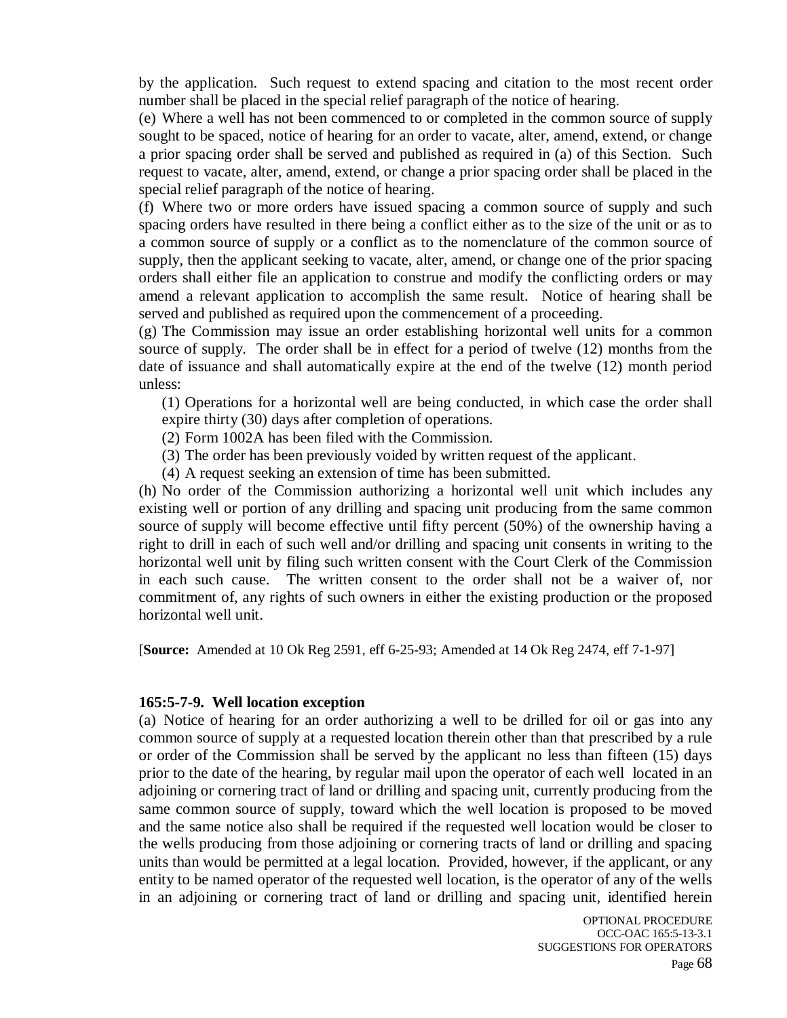by the application. Such request to extend spacing and citation to the most recent order number shall be placed in the special relief paragraph of the notice of hearing.

(e) Where a well has not been commenced to or completed in the common source of supply sought to be spaced, notice of hearing for an order to vacate, alter, amend, extend, or change a prior spacing order shall be served and published as required in (a) of this Section. Such request to vacate, alter, amend, extend, or change a prior spacing order shall be placed in the special relief paragraph of the notice of hearing.

(f) Where two or more orders have issued spacing a common source of supply and such spacing orders have resulted in there being a conflict either as to the size of the unit or as to a common source of supply or a conflict as to the nomenclature of the common source of supply, then the applicant seeking to vacate, alter, amend, or change one of the prior spacing orders shall either file an application to construe and modify the conflicting orders or may amend a relevant application to accomplish the same result. Notice of hearing shall be served and published as required upon the commencement of a proceeding.

(g) The Commission may issue an order establishing horizontal well units for a common source of supply. The order shall be in effect for a period of twelve (12) months from the date of issuance and shall automatically expire at the end of the twelve (12) month period unless:

(1) Operations for a horizontal well are being conducted, in which case the order shall expire thirty (30) days after completion of operations.

- (2) Form 1002A has been filed with the Commission.
- (3) The order has been previously voided by written request of the applicant.
- (4) A request seeking an extension of time has been submitted.

(h) No order of the Commission authorizing a horizontal well unit which includes any existing well or portion of any drilling and spacing unit producing from the same common source of supply will become effective until fifty percent (50%) of the ownership having a right to drill in each of such well and/or drilling and spacing unit consents in writing to the horizontal well unit by filing such written consent with the Court Clerk of the Commission in each such cause. The written consent to the order shall not be a waiver of, nor commitment of, any rights of such owners in either the existing production or the proposed horizontal well unit.

[**Source:** Amended at 10 Ok Reg 2591, eff 6-25-93; Amended at 14 Ok Reg 2474, eff 7-1-97]

#### **165:5-7-9. Well location exception**

(a) Notice of hearing for an order authorizing a well to be drilled for oil or gas into any common source of supply at a requested location therein other than that prescribed by a rule or order of the Commission shall be served by the applicant no less than fifteen (15) days prior to the date of the hearing, by regular mail upon the operator of each well located in an adjoining or cornering tract of land or drilling and spacing unit, currently producing from the same common source of supply, toward which the well location is proposed to be moved and the same notice also shall be required if the requested well location would be closer to the wells producing from those adjoining or cornering tracts of land or drilling and spacing units than would be permitted at a legal location. Provided, however, if the applicant, or any entity to be named operator of the requested well location, is the operator of any of the wells in an adjoining or cornering tract of land or drilling and spacing unit, identified herein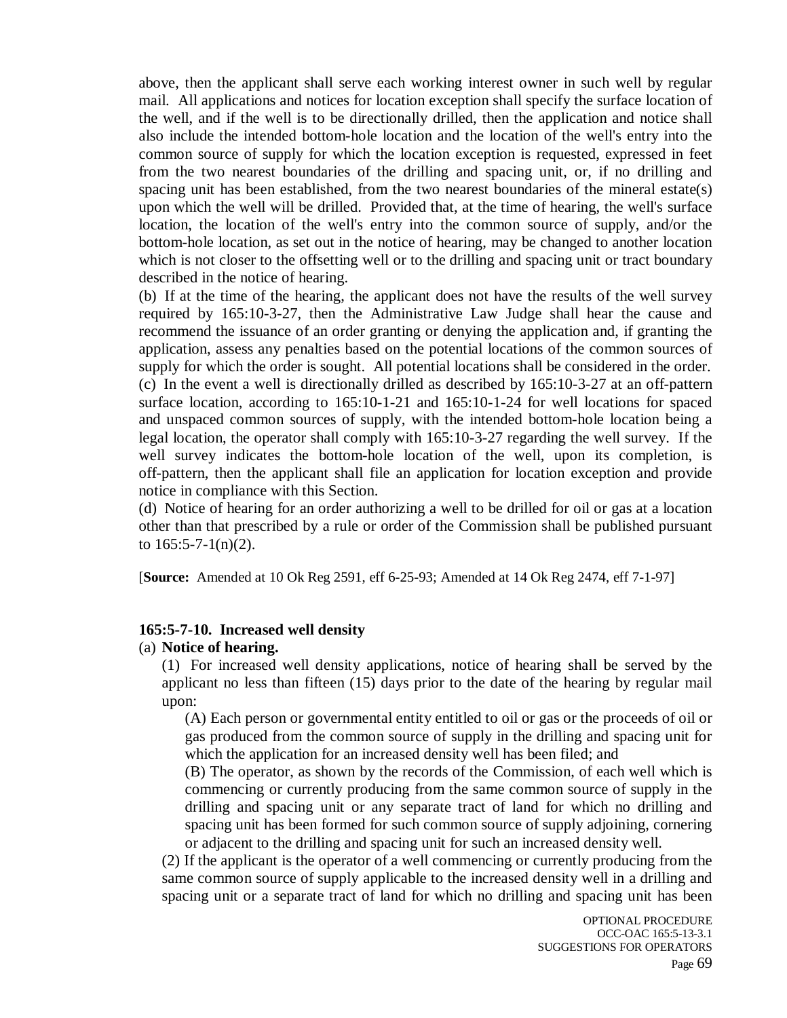above, then the applicant shall serve each working interest owner in such well by regular mail. All applications and notices for location exception shall specify the surface location of the well, and if the well is to be directionally drilled, then the application and notice shall also include the intended bottom-hole location and the location of the well's entry into the common source of supply for which the location exception is requested, expressed in feet from the two nearest boundaries of the drilling and spacing unit, or, if no drilling and spacing unit has been established, from the two nearest boundaries of the mineral estate(s) upon which the well will be drilled. Provided that, at the time of hearing, the well's surface location, the location of the well's entry into the common source of supply, and/or the bottom-hole location, as set out in the notice of hearing, may be changed to another location which is not closer to the offsetting well or to the drilling and spacing unit or tract boundary described in the notice of hearing.

(b) If at the time of the hearing, the applicant does not have the results of the well survey required by 165:10-3-27, then the Administrative Law Judge shall hear the cause and recommend the issuance of an order granting or denying the application and, if granting the application, assess any penalties based on the potential locations of the common sources of supply for which the order is sought. All potential locations shall be considered in the order. (c) In the event a well is directionally drilled as described by 165:10-3-27 at an off-pattern surface location, according to 165:10-1-21 and 165:10-1-24 for well locations for spaced and unspaced common sources of supply, with the intended bottom-hole location being a legal location, the operator shall comply with 165:10-3-27 regarding the well survey. If the well survey indicates the bottom-hole location of the well, upon its completion, is off-pattern, then the applicant shall file an application for location exception and provide notice in compliance with this Section.

(d) Notice of hearing for an order authorizing a well to be drilled for oil or gas at a location other than that prescribed by a rule or order of the Commission shall be published pursuant to  $165:5-7-1(n)(2)$ .

[**Source:** Amended at 10 Ok Reg 2591, eff 6-25-93; Amended at 14 Ok Reg 2474, eff 7-1-97]

#### **165:5-7-10. Increased well density**

#### (a) **Notice of hearing.**

(1) For increased well density applications, notice of hearing shall be served by the applicant no less than fifteen (15) days prior to the date of the hearing by regular mail upon:

(A) Each person or governmental entity entitled to oil or gas or the proceeds of oil or gas produced from the common source of supply in the drilling and spacing unit for which the application for an increased density well has been filed; and

(B) The operator, as shown by the records of the Commission, of each well which is commencing or currently producing from the same common source of supply in the drilling and spacing unit or any separate tract of land for which no drilling and spacing unit has been formed for such common source of supply adjoining, cornering or adjacent to the drilling and spacing unit for such an increased density well.

(2) If the applicant is the operator of a well commencing or currently producing from the same common source of supply applicable to the increased density well in a drilling and spacing unit or a separate tract of land for which no drilling and spacing unit has been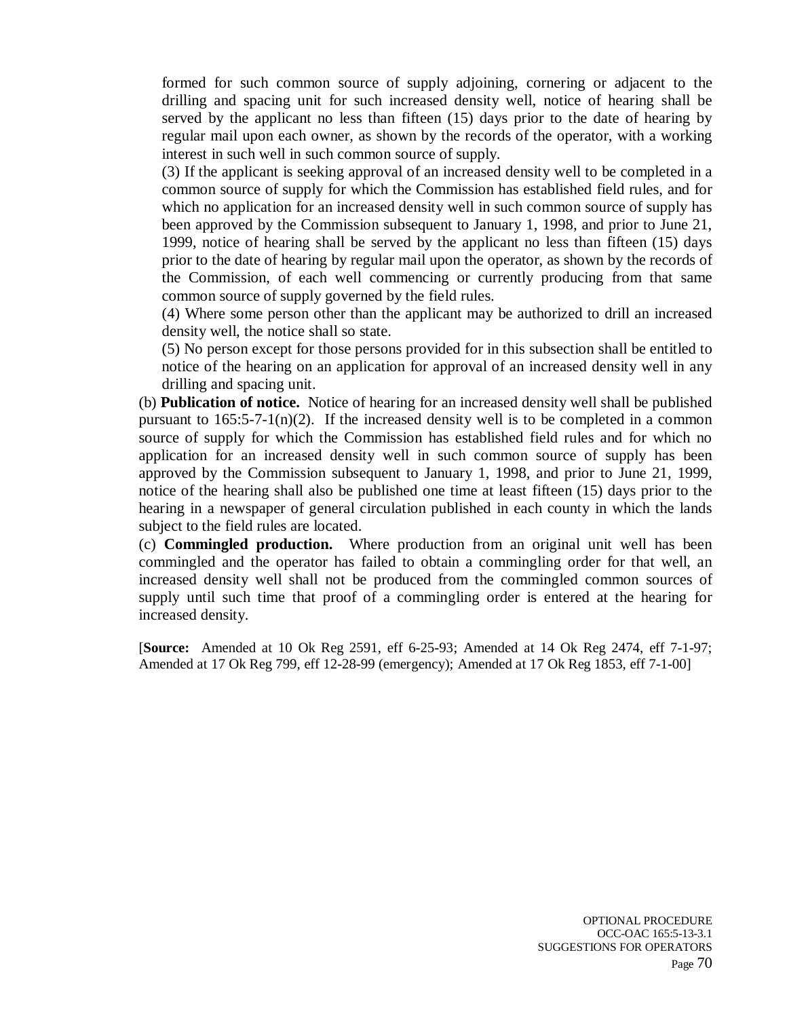formed for such common source of supply adjoining, cornering or adjacent to the drilling and spacing unit for such increased density well, notice of hearing shall be served by the applicant no less than fifteen (15) days prior to the date of hearing by regular mail upon each owner, as shown by the records of the operator, with a working interest in such well in such common source of supply.

(3) If the applicant is seeking approval of an increased density well to be completed in a common source of supply for which the Commission has established field rules, and for which no application for an increased density well in such common source of supply has been approved by the Commission subsequent to January 1, 1998, and prior to June 21, 1999, notice of hearing shall be served by the applicant no less than fifteen (15) days prior to the date of hearing by regular mail upon the operator, as shown by the records of the Commission, of each well commencing or currently producing from that same common source of supply governed by the field rules.

(4) Where some person other than the applicant may be authorized to drill an increased density well, the notice shall so state.

(5) No person except for those persons provided for in this subsection shall be entitled to notice of the hearing on an application for approval of an increased density well in any drilling and spacing unit.

(b) **Publication of notice.** Notice of hearing for an increased density well shall be published pursuant to  $165:5-7-1(n)(2)$ . If the increased density well is to be completed in a common source of supply for which the Commission has established field rules and for which no application for an increased density well in such common source of supply has been approved by the Commission subsequent to January 1, 1998, and prior to June 21, 1999, notice of the hearing shall also be published one time at least fifteen (15) days prior to the hearing in a newspaper of general circulation published in each county in which the lands subject to the field rules are located.

(c) **Commingled production.** Where production from an original unit well has been commingled and the operator has failed to obtain a commingling order for that well, an increased density well shall not be produced from the commingled common sources of supply until such time that proof of a commingling order is entered at the hearing for increased density.

[**Source:** Amended at 10 Ok Reg 2591, eff 6-25-93; Amended at 14 Ok Reg 2474, eff 7-1-97; Amended at 17 Ok Reg 799, eff 12-28-99 (emergency); Amended at 17 Ok Reg 1853, eff 7-1-00]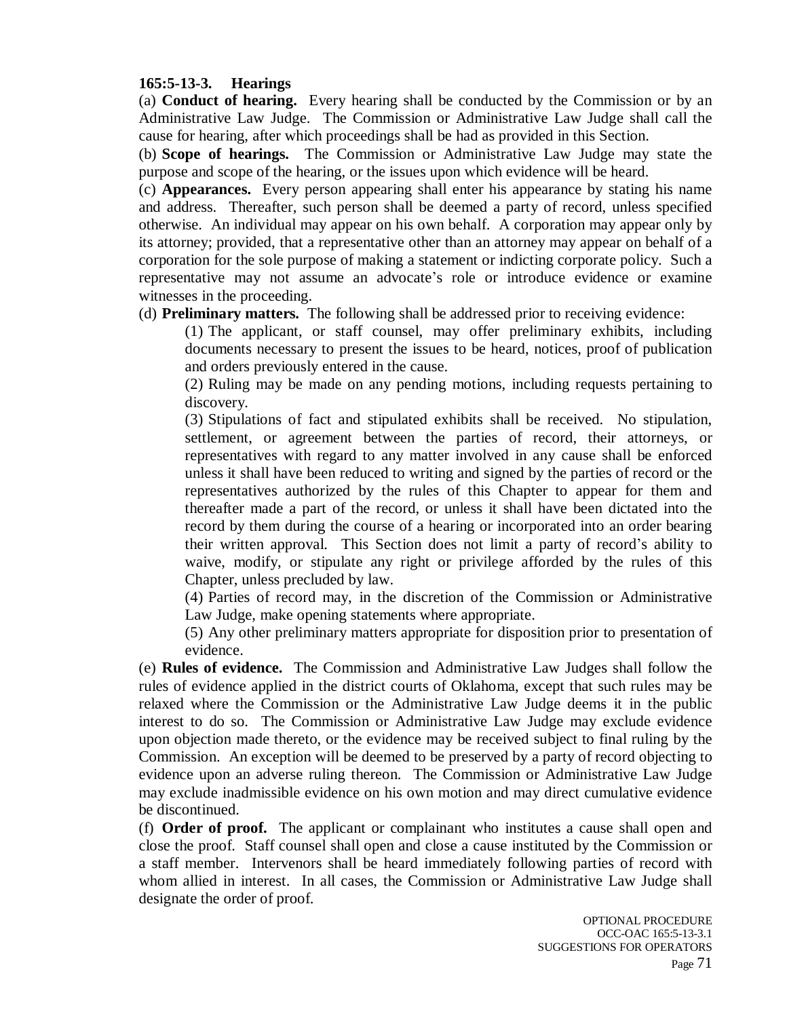### **165:5-13-3. Hearings**

(a) **Conduct of hearing.** Every hearing shall be conducted by the Commission or by an Administrative Law Judge. The Commission or Administrative Law Judge shall call the cause for hearing, after which proceedings shall be had as provided in this Section.

(b) **Scope of hearings.** The Commission or Administrative Law Judge may state the purpose and scope of the hearing, or the issues upon which evidence will be heard.

(c) **Appearances.** Every person appearing shall enter his appearance by stating his name and address. Thereafter, such person shall be deemed a party of record, unless specified otherwise. An individual may appear on his own behalf. A corporation may appear only by its attorney; provided, that a representative other than an attorney may appear on behalf of a corporation for the sole purpose of making a statement or indicting corporate policy. Such a representative may not assume an advocate's role or introduce evidence or examine witnesses in the proceeding.

(d) **Preliminary matters.** The following shall be addressed prior to receiving evidence:

(1) The applicant, or staff counsel, may offer preliminary exhibits, including documents necessary to present the issues to be heard, notices, proof of publication and orders previously entered in the cause.

(2) Ruling may be made on any pending motions, including requests pertaining to discovery.

(3) Stipulations of fact and stipulated exhibits shall be received. No stipulation, settlement, or agreement between the parties of record, their attorneys, or representatives with regard to any matter involved in any cause shall be enforced unless it shall have been reduced to writing and signed by the parties of record or the representatives authorized by the rules of this Chapter to appear for them and thereafter made a part of the record, or unless it shall have been dictated into the record by them during the course of a hearing or incorporated into an order bearing their written approval. This Section does not limit a party of record's ability to waive, modify, or stipulate any right or privilege afforded by the rules of this Chapter, unless precluded by law.

(4) Parties of record may, in the discretion of the Commission or Administrative Law Judge, make opening statements where appropriate.

(5) Any other preliminary matters appropriate for disposition prior to presentation of evidence.

(e) **Rules of evidence.** The Commission and Administrative Law Judges shall follow the rules of evidence applied in the district courts of Oklahoma, except that such rules may be relaxed where the Commission or the Administrative Law Judge deems it in the public interest to do so. The Commission or Administrative Law Judge may exclude evidence upon objection made thereto, or the evidence may be received subject to final ruling by the Commission. An exception will be deemed to be preserved by a party of record objecting to evidence upon an adverse ruling thereon. The Commission or Administrative Law Judge may exclude inadmissible evidence on his own motion and may direct cumulative evidence be discontinued.

(f) **Order of proof.** The applicant or complainant who institutes a cause shall open and close the proof. Staff counsel shall open and close a cause instituted by the Commission or a staff member. Intervenors shall be heard immediately following parties of record with whom allied in interest. In all cases, the Commission or Administrative Law Judge shall designate the order of proof.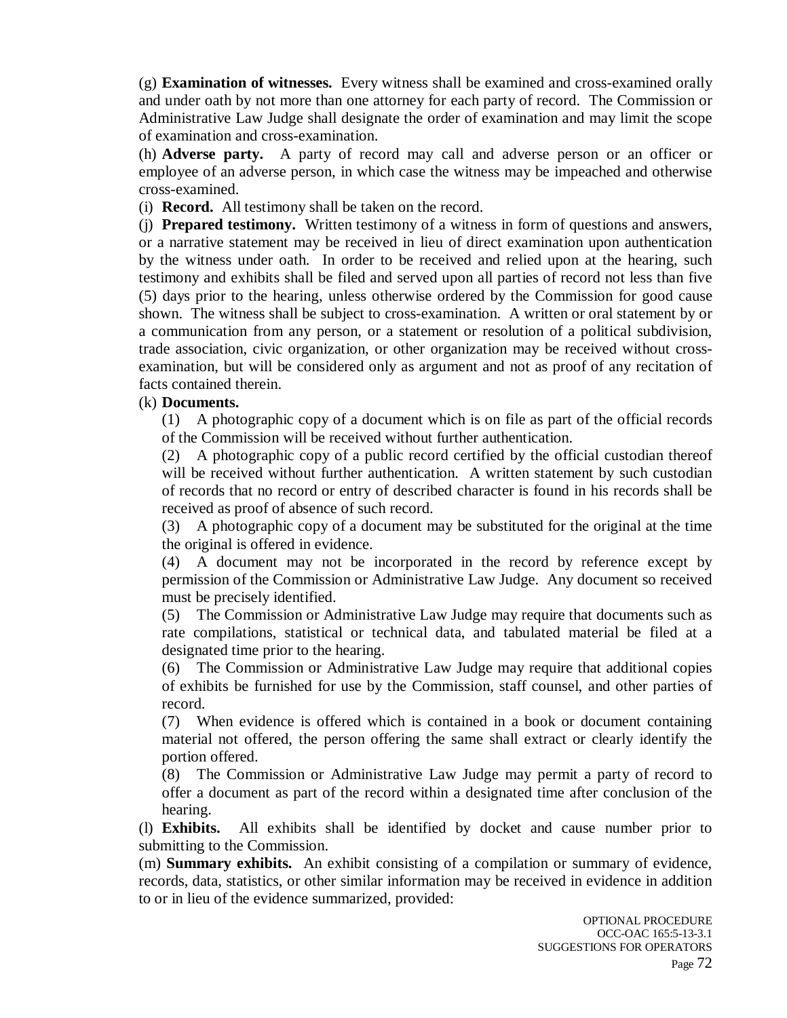(g) **Examination of witnesses.** Every witness shall be examined and cross-examined orally and under oath by not more than one attorney for each party of record. The Commission or Administrative Law Judge shall designate the order of examination and may limit the scope of examination and cross-examination.

(h) **Adverse party.** A party of record may call and adverse person or an officer or employee of an adverse person, in which case the witness may be impeached and otherwise cross-examined.

(i) **Record.** All testimony shall be taken on the record.

(j) **Prepared testimony.** Written testimony of a witness in form of questions and answers, or a narrative statement may be received in lieu of direct examination upon authentication by the witness under oath. In order to be received and relied upon at the hearing, such testimony and exhibits shall be filed and served upon all parties of record not less than five (5) days prior to the hearing, unless otherwise ordered by the Commission for good cause shown. The witness shall be subject to cross-examination. A written or oral statement by or a communication from any person, or a statement or resolution of a political subdivision, trade association, civic organization, or other organization may be received without crossexamination, but will be considered only as argument and not as proof of any recitation of facts contained therein.

#### (k) **Documents.**

(1) A photographic copy of a document which is on file as part of the official records of the Commission will be received without further authentication.

(2) A photographic copy of a public record certified by the official custodian thereof will be received without further authentication. A written statement by such custodian of records that no record or entry of described character is found in his records shall be received as proof of absence of such record.

(3) A photographic copy of a document may be substituted for the original at the time the original is offered in evidence.

(4) A document may not be incorporated in the record by reference except by permission of the Commission or Administrative Law Judge. Any document so received must be precisely identified.

(5) The Commission or Administrative Law Judge may require that documents such as rate compilations, statistical or technical data, and tabulated material be filed at a designated time prior to the hearing.

(6) The Commission or Administrative Law Judge may require that additional copies of exhibits be furnished for use by the Commission, staff counsel, and other parties of record.

(7) When evidence is offered which is contained in a book or document containing material not offered, the person offering the same shall extract or clearly identify the portion offered.

(8) The Commission or Administrative Law Judge may permit a party of record to offer a document as part of the record within a designated time after conclusion of the hearing.

(l) **Exhibits.** All exhibits shall be identified by docket and cause number prior to submitting to the Commission.

(m) **Summary exhibits.** An exhibit consisting of a compilation or summary of evidence, records, data, statistics, or other similar information may be received in evidence in addition to or in lieu of the evidence summarized, provided: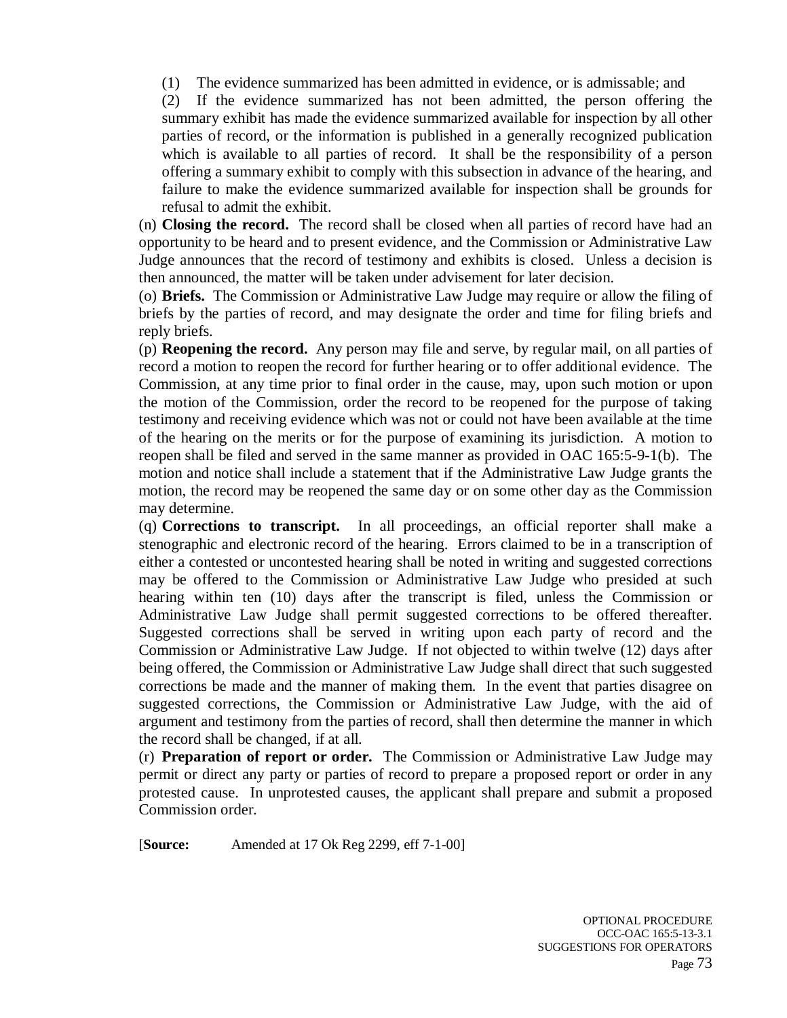(1) The evidence summarized has been admitted in evidence, or is admissable; and

(2) If the evidence summarized has not been admitted, the person offering the summary exhibit has made the evidence summarized available for inspection by all other parties of record, or the information is published in a generally recognized publication which is available to all parties of record. It shall be the responsibility of a person offering a summary exhibit to comply with this subsection in advance of the hearing, and failure to make the evidence summarized available for inspection shall be grounds for refusal to admit the exhibit.

(n) **Closing the record.** The record shall be closed when all parties of record have had an opportunity to be heard and to present evidence, and the Commission or Administrative Law Judge announces that the record of testimony and exhibits is closed. Unless a decision is then announced, the matter will be taken under advisement for later decision.

(o) **Briefs.** The Commission or Administrative Law Judge may require or allow the filing of briefs by the parties of record, and may designate the order and time for filing briefs and reply briefs.

(p) **Reopening the record.** Any person may file and serve, by regular mail, on all parties of record a motion to reopen the record for further hearing or to offer additional evidence. The Commission, at any time prior to final order in the cause, may, upon such motion or upon the motion of the Commission, order the record to be reopened for the purpose of taking testimony and receiving evidence which was not or could not have been available at the time of the hearing on the merits or for the purpose of examining its jurisdiction. A motion to reopen shall be filed and served in the same manner as provided in OAC 165:5-9-1(b). The motion and notice shall include a statement that if the Administrative Law Judge grants the motion, the record may be reopened the same day or on some other day as the Commission may determine.

(q) **Corrections to transcript.** In all proceedings, an official reporter shall make a stenographic and electronic record of the hearing. Errors claimed to be in a transcription of either a contested or uncontested hearing shall be noted in writing and suggested corrections may be offered to the Commission or Administrative Law Judge who presided at such hearing within ten (10) days after the transcript is filed, unless the Commission or Administrative Law Judge shall permit suggested corrections to be offered thereafter. Suggested corrections shall be served in writing upon each party of record and the Commission or Administrative Law Judge. If not objected to within twelve (12) days after being offered, the Commission or Administrative Law Judge shall direct that such suggested corrections be made and the manner of making them. In the event that parties disagree on suggested corrections, the Commission or Administrative Law Judge, with the aid of argument and testimony from the parties of record, shall then determine the manner in which the record shall be changed, if at all.

(r) **Preparation of report or order.** The Commission or Administrative Law Judge may permit or direct any party or parties of record to prepare a proposed report or order in any protested cause. In unprotested causes, the applicant shall prepare and submit a proposed Commission order.

[**Source:** Amended at 17 Ok Reg 2299, eff 7-1-00]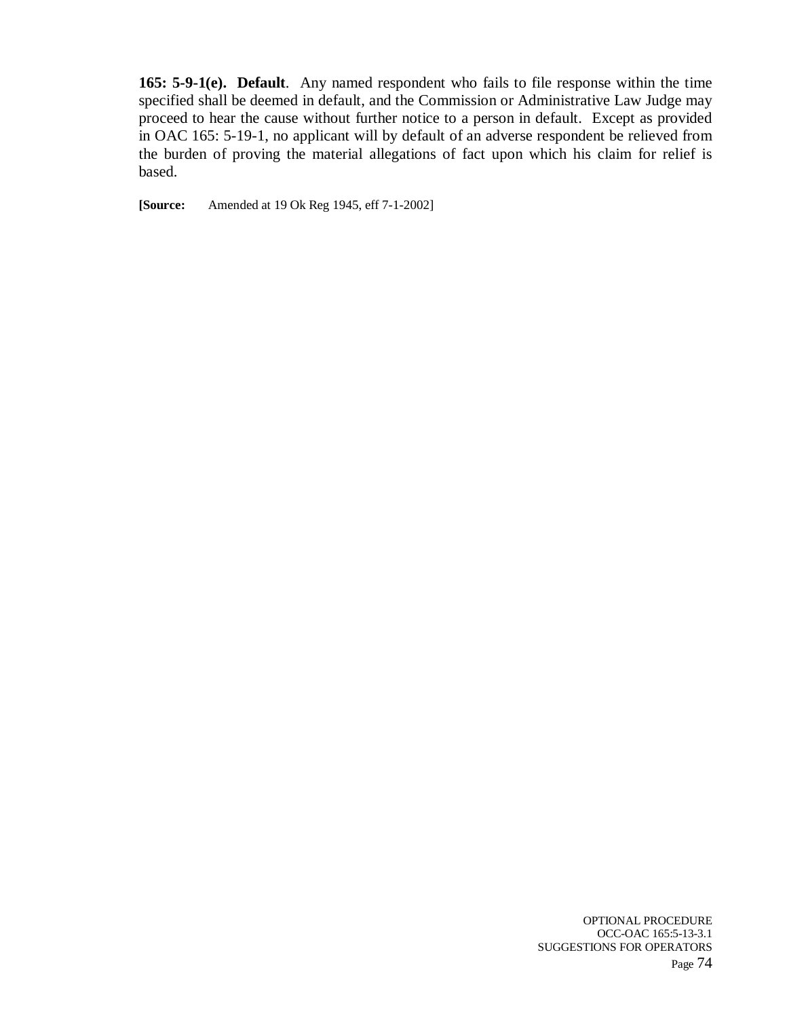**165: 5-9-1(e). Default**. Any named respondent who fails to file response within the time specified shall be deemed in default, and the Commission or Administrative Law Judge may proceed to hear the cause without further notice to a person in default. Except as provided in OAC 165: 5-19-1, no applicant will by default of an adverse respondent be relieved from the burden of proving the material allegations of fact upon which his claim for relief is based.

**[Source:** Amended at 19 Ok Reg 1945, eff 7-1-2002]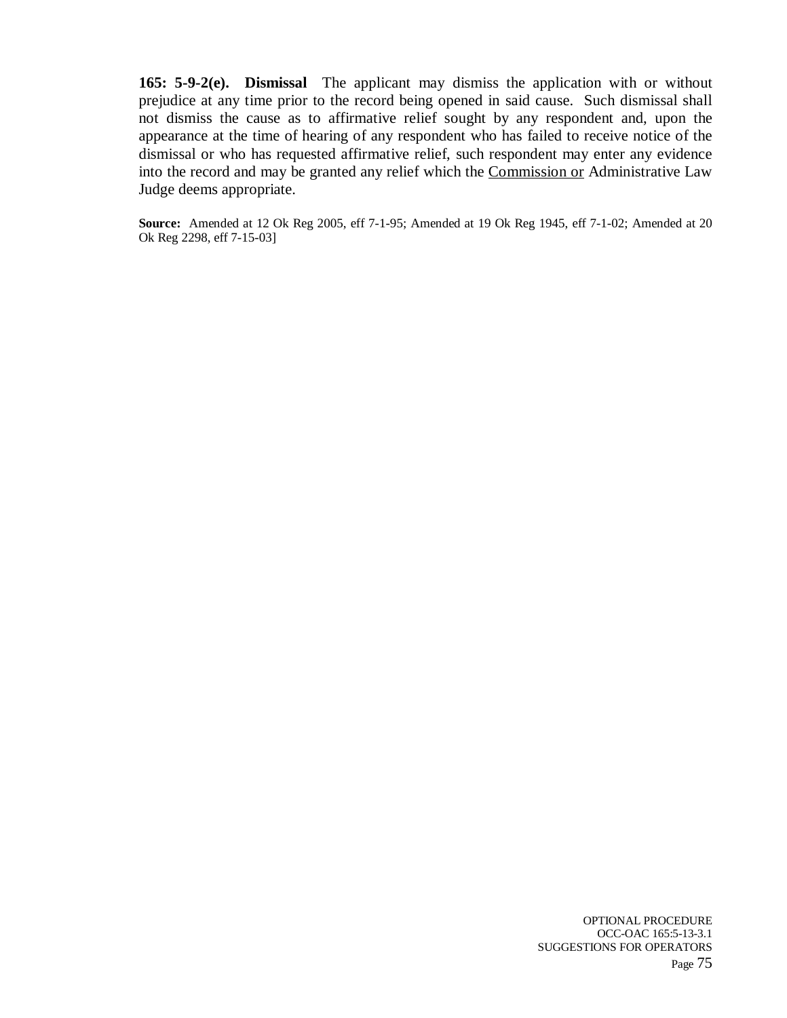**165: 5-9-2(e). Dismissal** The applicant may dismiss the application with or without prejudice at any time prior to the record being opened in said cause. Such dismissal shall not dismiss the cause as to affirmative relief sought by any respondent and, upon the appearance at the time of hearing of any respondent who has failed to receive notice of the dismissal or who has requested affirmative relief, such respondent may enter any evidence into the record and may be granted any relief which the Commission or Administrative Law Judge deems appropriate.

**Source:** Amended at 12 Ok Reg 2005, eff 7-1-95; Amended at 19 Ok Reg 1945, eff 7-1-02; Amended at 20 Ok Reg 2298, eff 7-15-03]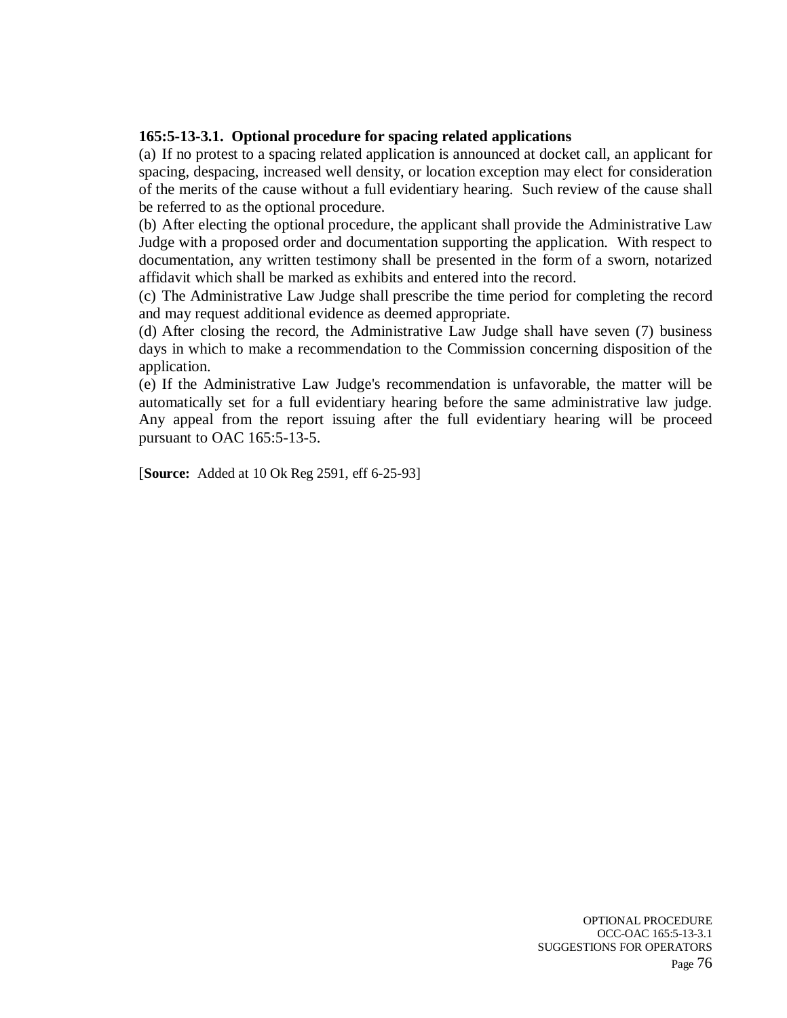### **165:5-13-3.1. Optional procedure for spacing related applications**

(a) If no protest to a spacing related application is announced at docket call, an applicant for spacing, despacing, increased well density, or location exception may elect for consideration of the merits of the cause without a full evidentiary hearing. Such review of the cause shall be referred to as the optional procedure.

(b) After electing the optional procedure, the applicant shall provide the Administrative Law Judge with a proposed order and documentation supporting the application. With respect to documentation, any written testimony shall be presented in the form of a sworn, notarized affidavit which shall be marked as exhibits and entered into the record.

(c) The Administrative Law Judge shall prescribe the time period for completing the record and may request additional evidence as deemed appropriate.

(d) After closing the record, the Administrative Law Judge shall have seven (7) business days in which to make a recommendation to the Commission concerning disposition of the application.

(e) If the Administrative Law Judge's recommendation is unfavorable, the matter will be automatically set for a full evidentiary hearing before the same administrative law judge. Any appeal from the report issuing after the full evidentiary hearing will be proceed pursuant to OAC 165:5-13-5.

[**Source:** Added at 10 Ok Reg 2591, eff 6-25-93]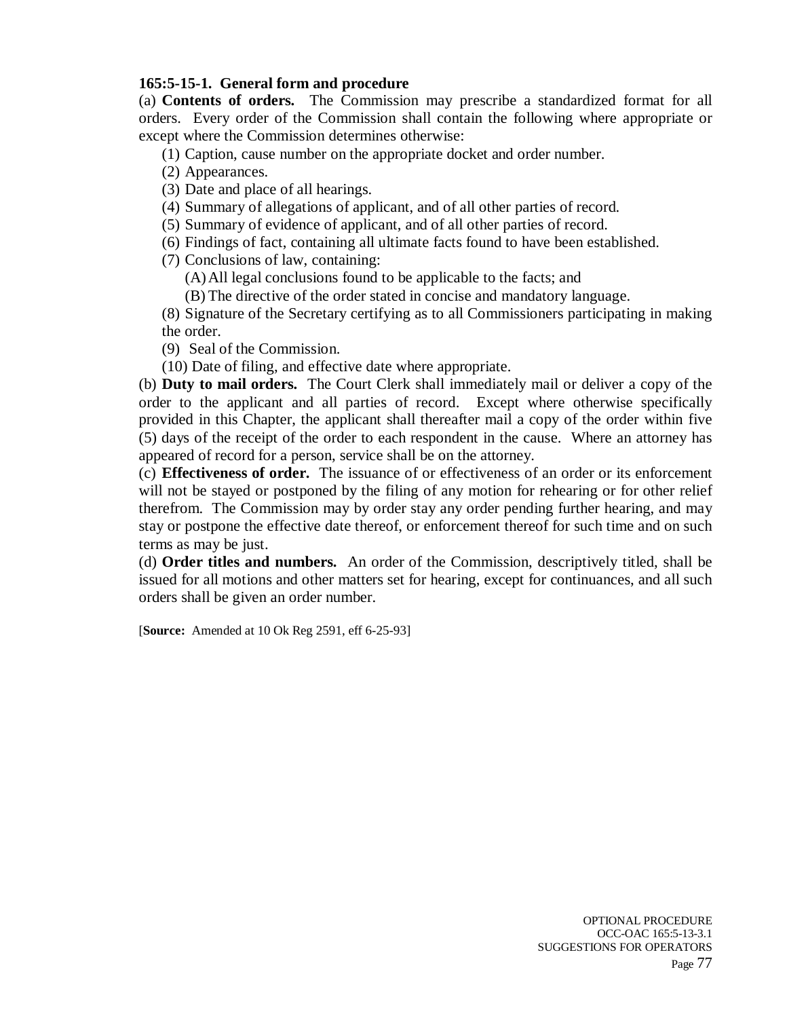### **165:5-15-1. General form and procedure**

(a) **Contents of orders.** The Commission may prescribe a standardized format for all orders. Every order of the Commission shall contain the following where appropriate or except where the Commission determines otherwise:

(1) Caption, cause number on the appropriate docket and order number.

(2) Appearances.

(3) Date and place of all hearings.

(4) Summary of allegations of applicant, and of all other parties of record.

(5) Summary of evidence of applicant, and of all other parties of record.

(6) Findings of fact, containing all ultimate facts found to have been established.

(7) Conclusions of law, containing:

(A)All legal conclusions found to be applicable to the facts; and

(B) The directive of the order stated in concise and mandatory language.

(8) Signature of the Secretary certifying as to all Commissioners participating in making the order.

(9) Seal of the Commission.

(10) Date of filing, and effective date where appropriate.

(b) **Duty to mail orders.** The Court Clerk shall immediately mail or deliver a copy of the order to the applicant and all parties of record. Except where otherwise specifically provided in this Chapter, the applicant shall thereafter mail a copy of the order within five (5) days of the receipt of the order to each respondent in the cause. Where an attorney has appeared of record for a person, service shall be on the attorney.

(c) **Effectiveness of order.** The issuance of or effectiveness of an order or its enforcement will not be stayed or postponed by the filing of any motion for rehearing or for other relief therefrom. The Commission may by order stay any order pending further hearing, and may stay or postpone the effective date thereof, or enforcement thereof for such time and on such terms as may be just.

(d) **Order titles and numbers.** An order of the Commission, descriptively titled, shall be issued for all motions and other matters set for hearing, except for continuances, and all such orders shall be given an order number.

[**Source:** Amended at 10 Ok Reg 2591, eff 6-25-93]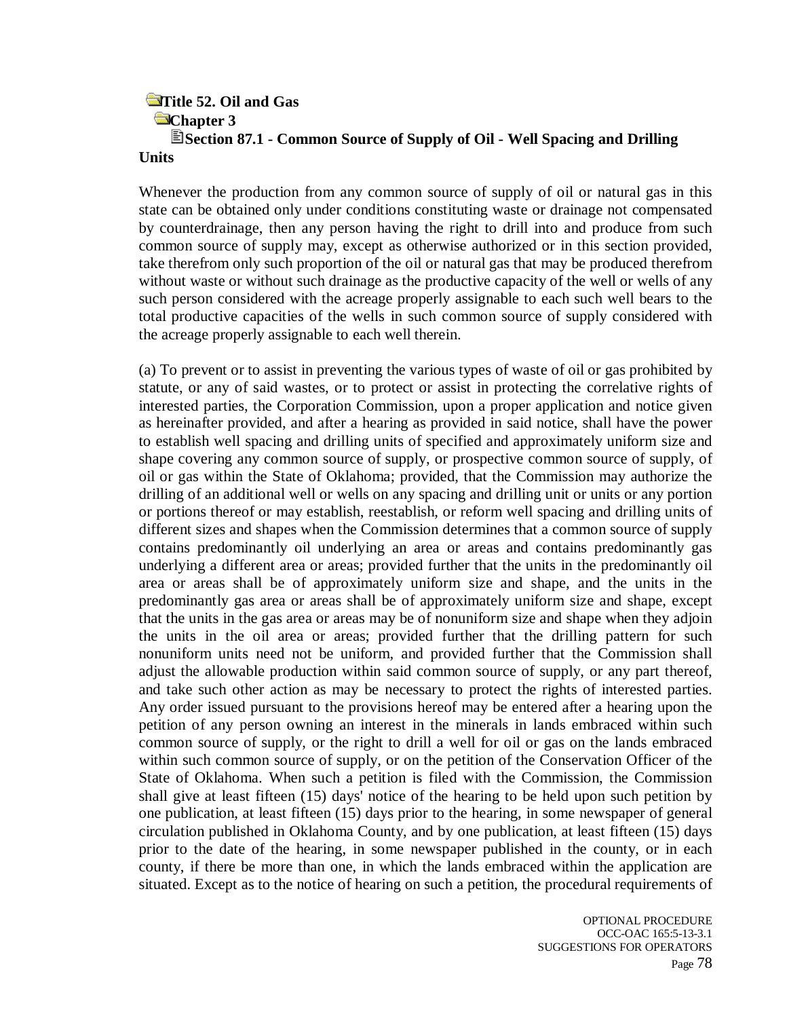### **Title 52. Oil and Gas Chapter 3 Section 87.1 - Common Source of Supply of Oil - Well Spacing and Drilling Units**

Whenever the production from any common source of supply of oil or natural gas in this state can be obtained only under conditions constituting waste or drainage not compensated by counterdrainage, then any person having the right to drill into and produce from such common source of supply may, except as otherwise authorized or in this section provided, take therefrom only such proportion of the oil or natural gas that may be produced therefrom without waste or without such drainage as the productive capacity of the well or wells of any such person considered with the acreage properly assignable to each such well bears to the total productive capacities of the wells in such common source of supply considered with the acreage properly assignable to each well therein.

(a) To prevent or to assist in preventing the various types of waste of oil or gas prohibited by statute, or any of said wastes, or to protect or assist in protecting the correlative rights of interested parties, the Corporation Commission, upon a proper application and notice given as hereinafter provided, and after a hearing as provided in said notice, shall have the power to establish well spacing and drilling units of specified and approximately uniform size and shape covering any common source of supply, or prospective common source of supply, of oil or gas within the State of Oklahoma; provided, that the Commission may authorize the drilling of an additional well or wells on any spacing and drilling unit or units or any portion or portions thereof or may establish, reestablish, or reform well spacing and drilling units of different sizes and shapes when the Commission determines that a common source of supply contains predominantly oil underlying an area or areas and contains predominantly gas underlying a different area or areas; provided further that the units in the predominantly oil area or areas shall be of approximately uniform size and shape, and the units in the predominantly gas area or areas shall be of approximately uniform size and shape, except that the units in the gas area or areas may be of nonuniform size and shape when they adjoin the units in the oil area or areas; provided further that the drilling pattern for such nonuniform units need not be uniform, and provided further that the Commission shall adjust the allowable production within said common source of supply, or any part thereof, and take such other action as may be necessary to protect the rights of interested parties. Any order issued pursuant to the provisions hereof may be entered after a hearing upon the petition of any person owning an interest in the minerals in lands embraced within such common source of supply, or the right to drill a well for oil or gas on the lands embraced within such common source of supply, or on the petition of the Conservation Officer of the State of Oklahoma. When such a petition is filed with the Commission, the Commission shall give at least fifteen (15) days' notice of the hearing to be held upon such petition by one publication, at least fifteen (15) days prior to the hearing, in some newspaper of general circulation published in Oklahoma County, and by one publication, at least fifteen (15) days prior to the date of the hearing, in some newspaper published in the county, or in each county, if there be more than one, in which the lands embraced within the application are situated. Except as to the notice of hearing on such a petition, the procedural requirements of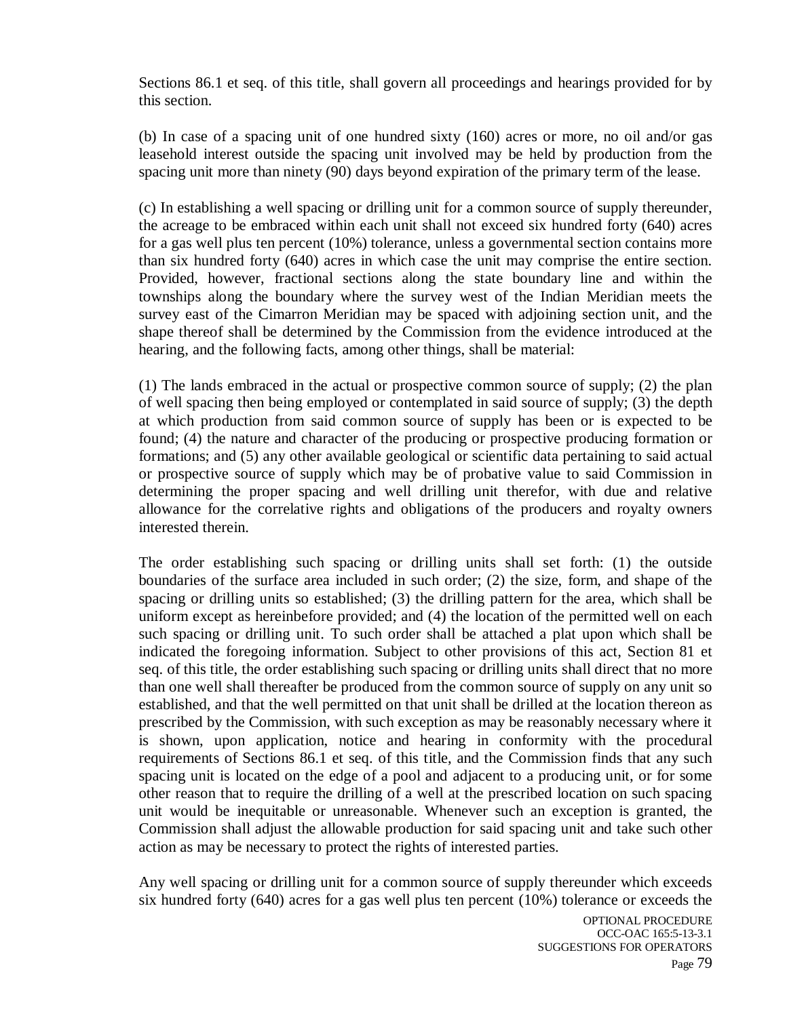Sections 86.1 et seq. of this title, shall govern all proceedings and hearings provided for by this section.

(b) In case of a spacing unit of one hundred sixty (160) acres or more, no oil and/or gas leasehold interest outside the spacing unit involved may be held by production from the spacing unit more than ninety (90) days beyond expiration of the primary term of the lease.

(c) In establishing a well spacing or drilling unit for a common source of supply thereunder, the acreage to be embraced within each unit shall not exceed six hundred forty (640) acres for a gas well plus ten percent (10%) tolerance, unless a governmental section contains more than six hundred forty (640) acres in which case the unit may comprise the entire section. Provided, however, fractional sections along the state boundary line and within the townships along the boundary where the survey west of the Indian Meridian meets the survey east of the Cimarron Meridian may be spaced with adjoining section unit, and the shape thereof shall be determined by the Commission from the evidence introduced at the hearing, and the following facts, among other things, shall be material:

(1) The lands embraced in the actual or prospective common source of supply; (2) the plan of well spacing then being employed or contemplated in said source of supply; (3) the depth at which production from said common source of supply has been or is expected to be found; (4) the nature and character of the producing or prospective producing formation or formations; and (5) any other available geological or scientific data pertaining to said actual or prospective source of supply which may be of probative value to said Commission in determining the proper spacing and well drilling unit therefor, with due and relative allowance for the correlative rights and obligations of the producers and royalty owners interested therein.

The order establishing such spacing or drilling units shall set forth: (1) the outside boundaries of the surface area included in such order; (2) the size, form, and shape of the spacing or drilling units so established; (3) the drilling pattern for the area, which shall be uniform except as hereinbefore provided; and (4) the location of the permitted well on each such spacing or drilling unit. To such order shall be attached a plat upon which shall be indicated the foregoing information. Subject to other provisions of this act, Section 81 et seq. of this title, the order establishing such spacing or drilling units shall direct that no more than one well shall thereafter be produced from the common source of supply on any unit so established, and that the well permitted on that unit shall be drilled at the location thereon as prescribed by the Commission, with such exception as may be reasonably necessary where it is shown, upon application, notice and hearing in conformity with the procedural requirements of Sections 86.1 et seq. of this title, and the Commission finds that any such spacing unit is located on the edge of a pool and adjacent to a producing unit, or for some other reason that to require the drilling of a well at the prescribed location on such spacing unit would be inequitable or unreasonable. Whenever such an exception is granted, the Commission shall adjust the allowable production for said spacing unit and take such other action as may be necessary to protect the rights of interested parties.

Any well spacing or drilling unit for a common source of supply thereunder which exceeds six hundred forty (640) acres for a gas well plus ten percent (10%) tolerance or exceeds the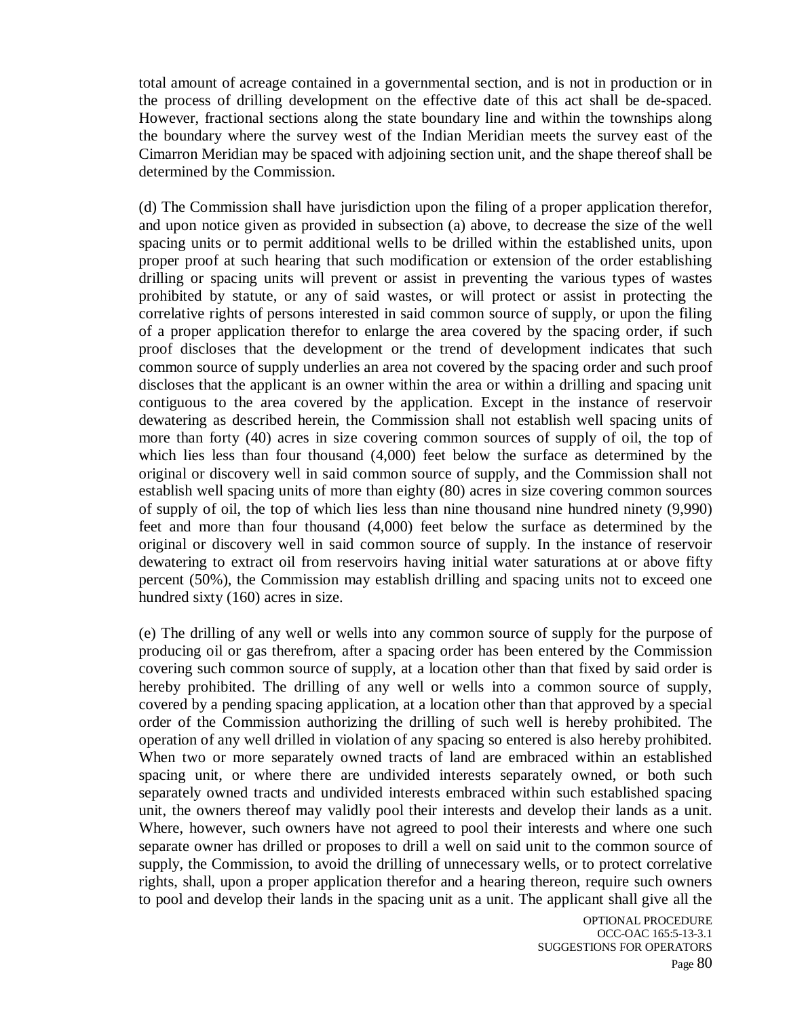total amount of acreage contained in a governmental section, and is not in production or in the process of drilling development on the effective date of this act shall be de-spaced. However, fractional sections along the state boundary line and within the townships along the boundary where the survey west of the Indian Meridian meets the survey east of the Cimarron Meridian may be spaced with adjoining section unit, and the shape thereof shall be determined by the Commission.

(d) The Commission shall have jurisdiction upon the filing of a proper application therefor, and upon notice given as provided in subsection (a) above, to decrease the size of the well spacing units or to permit additional wells to be drilled within the established units, upon proper proof at such hearing that such modification or extension of the order establishing drilling or spacing units will prevent or assist in preventing the various types of wastes prohibited by statute, or any of said wastes, or will protect or assist in protecting the correlative rights of persons interested in said common source of supply, or upon the filing of a proper application therefor to enlarge the area covered by the spacing order, if such proof discloses that the development or the trend of development indicates that such common source of supply underlies an area not covered by the spacing order and such proof discloses that the applicant is an owner within the area or within a drilling and spacing unit contiguous to the area covered by the application. Except in the instance of reservoir dewatering as described herein, the Commission shall not establish well spacing units of more than forty (40) acres in size covering common sources of supply of oil, the top of which lies less than four thousand (4,000) feet below the surface as determined by the original or discovery well in said common source of supply, and the Commission shall not establish well spacing units of more than eighty (80) acres in size covering common sources of supply of oil, the top of which lies less than nine thousand nine hundred ninety (9,990) feet and more than four thousand (4,000) feet below the surface as determined by the original or discovery well in said common source of supply. In the instance of reservoir dewatering to extract oil from reservoirs having initial water saturations at or above fifty percent (50%), the Commission may establish drilling and spacing units not to exceed one hundred sixty (160) acres in size.

(e) The drilling of any well or wells into any common source of supply for the purpose of producing oil or gas therefrom, after a spacing order has been entered by the Commission covering such common source of supply, at a location other than that fixed by said order is hereby prohibited. The drilling of any well or wells into a common source of supply, covered by a pending spacing application, at a location other than that approved by a special order of the Commission authorizing the drilling of such well is hereby prohibited. The operation of any well drilled in violation of any spacing so entered is also hereby prohibited. When two or more separately owned tracts of land are embraced within an established spacing unit, or where there are undivided interests separately owned, or both such separately owned tracts and undivided interests embraced within such established spacing unit, the owners thereof may validly pool their interests and develop their lands as a unit. Where, however, such owners have not agreed to pool their interests and where one such separate owner has drilled or proposes to drill a well on said unit to the common source of supply, the Commission, to avoid the drilling of unnecessary wells, or to protect correlative rights, shall, upon a proper application therefor and a hearing thereon, require such owners to pool and develop their lands in the spacing unit as a unit. The applicant shall give all the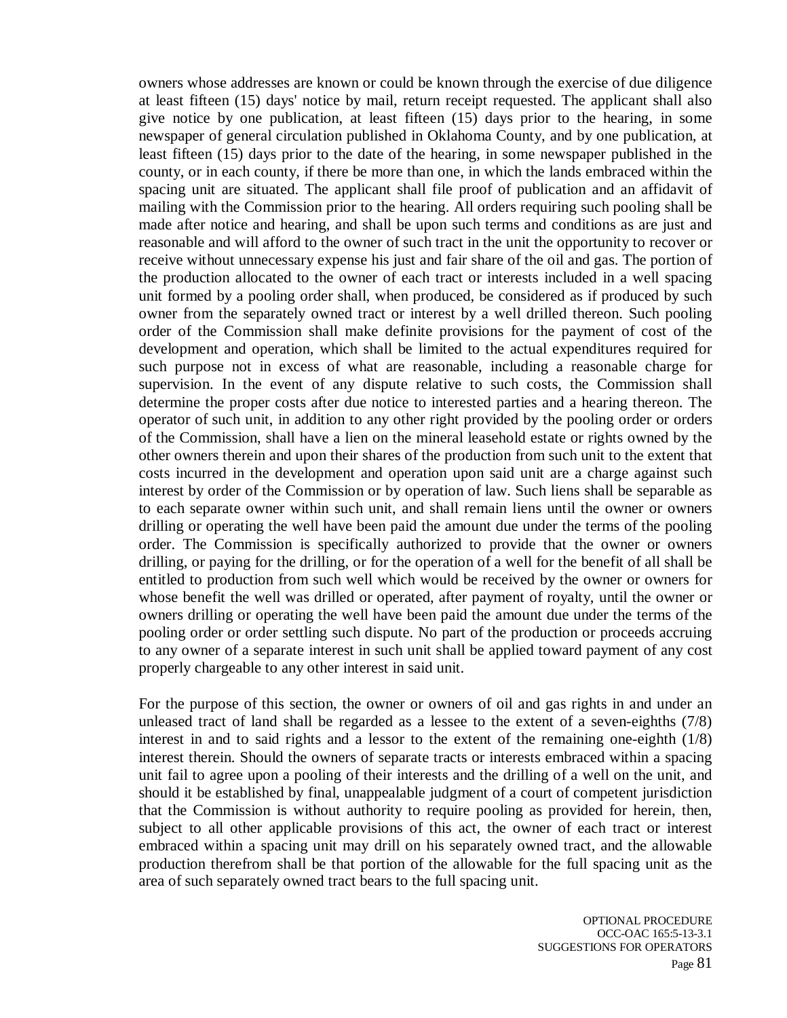owners whose addresses are known or could be known through the exercise of due diligence at least fifteen (15) days' notice by mail, return receipt requested. The applicant shall also give notice by one publication, at least fifteen (15) days prior to the hearing, in some newspaper of general circulation published in Oklahoma County, and by one publication, at least fifteen (15) days prior to the date of the hearing, in some newspaper published in the county, or in each county, if there be more than one, in which the lands embraced within the spacing unit are situated. The applicant shall file proof of publication and an affidavit of mailing with the Commission prior to the hearing. All orders requiring such pooling shall be made after notice and hearing, and shall be upon such terms and conditions as are just and reasonable and will afford to the owner of such tract in the unit the opportunity to recover or receive without unnecessary expense his just and fair share of the oil and gas. The portion of the production allocated to the owner of each tract or interests included in a well spacing unit formed by a pooling order shall, when produced, be considered as if produced by such owner from the separately owned tract or interest by a well drilled thereon. Such pooling order of the Commission shall make definite provisions for the payment of cost of the development and operation, which shall be limited to the actual expenditures required for such purpose not in excess of what are reasonable, including a reasonable charge for supervision. In the event of any dispute relative to such costs, the Commission shall determine the proper costs after due notice to interested parties and a hearing thereon. The operator of such unit, in addition to any other right provided by the pooling order or orders of the Commission, shall have a lien on the mineral leasehold estate or rights owned by the other owners therein and upon their shares of the production from such unit to the extent that costs incurred in the development and operation upon said unit are a charge against such interest by order of the Commission or by operation of law. Such liens shall be separable as to each separate owner within such unit, and shall remain liens until the owner or owners drilling or operating the well have been paid the amount due under the terms of the pooling order. The Commission is specifically authorized to provide that the owner or owners drilling, or paying for the drilling, or for the operation of a well for the benefit of all shall be entitled to production from such well which would be received by the owner or owners for whose benefit the well was drilled or operated, after payment of royalty, until the owner or owners drilling or operating the well have been paid the amount due under the terms of the pooling order or order settling such dispute. No part of the production or proceeds accruing to any owner of a separate interest in such unit shall be applied toward payment of any cost properly chargeable to any other interest in said unit.

For the purpose of this section, the owner or owners of oil and gas rights in and under an unleased tract of land shall be regarded as a lessee to the extent of a seven-eighths (7/8) interest in and to said rights and a lessor to the extent of the remaining one-eighth (1/8) interest therein. Should the owners of separate tracts or interests embraced within a spacing unit fail to agree upon a pooling of their interests and the drilling of a well on the unit, and should it be established by final, unappealable judgment of a court of competent jurisdiction that the Commission is without authority to require pooling as provided for herein, then, subject to all other applicable provisions of this act, the owner of each tract or interest embraced within a spacing unit may drill on his separately owned tract, and the allowable production therefrom shall be that portion of the allowable for the full spacing unit as the area of such separately owned tract bears to the full spacing unit.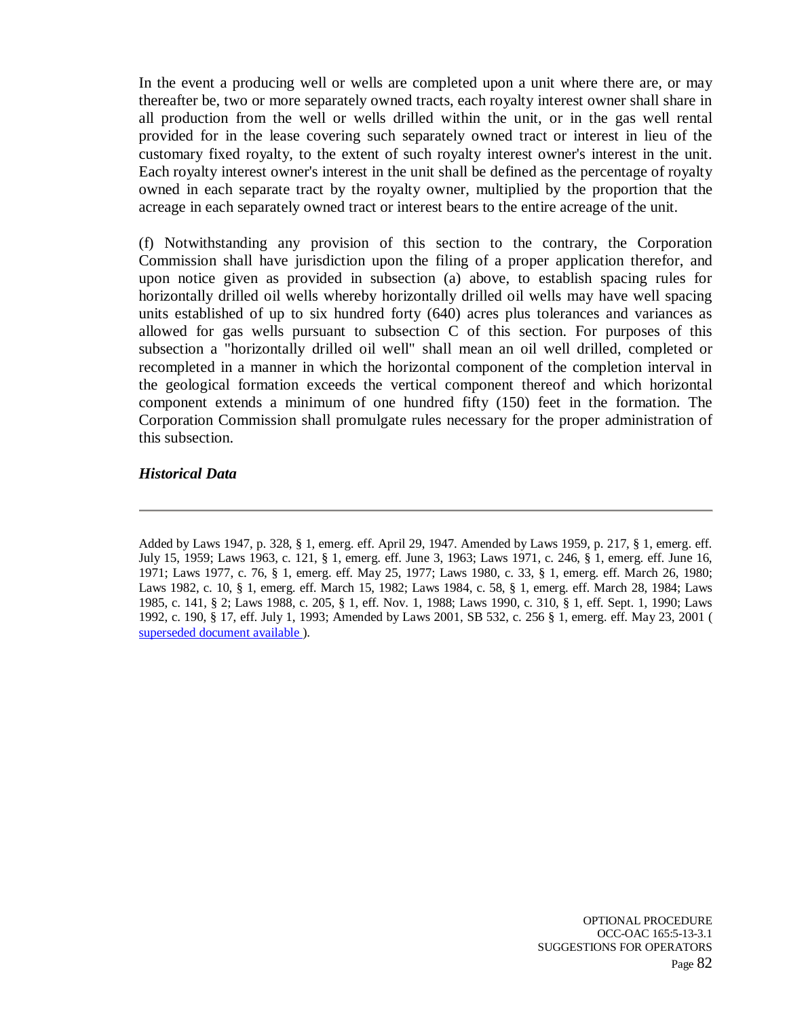In the event a producing well or wells are completed upon a unit where there are, or may thereafter be, two or more separately owned tracts, each royalty interest owner shall share in all production from the well or wells drilled within the unit, or in the gas well rental provided for in the lease covering such separately owned tract or interest in lieu of the customary fixed royalty, to the extent of such royalty interest owner's interest in the unit. Each royalty interest owner's interest in the unit shall be defined as the percentage of royalty owned in each separate tract by the royalty owner, multiplied by the proportion that the acreage in each separately owned tract or interest bears to the entire acreage of the unit.

(f) Notwithstanding any provision of this section to the contrary, the Corporation Commission shall have jurisdiction upon the filing of a proper application therefor, and upon notice given as provided in subsection (a) above, to establish spacing rules for horizontally drilled oil wells whereby horizontally drilled oil wells may have well spacing units established of up to six hundred forty (640) acres plus tolerances and variances as allowed for gas wells pursuant to subsection C of this section. For purposes of this subsection a "horizontally drilled oil well" shall mean an oil well drilled, completed or recompleted in a manner in which the horizontal component of the completion interval in the geological formation exceeds the vertical component thereof and which horizontal component extends a minimum of one hundred fifty (150) feet in the formation. The Corporation Commission shall promulgate rules necessary for the proper administration of this subsection.

### *Historical Data*

Added by Laws 1947, p. 328, § 1, emerg. eff. April 29, 1947. Amended by Laws 1959, p. 217, § 1, emerg. eff. July 15, 1959; Laws 1963, c. 121, § 1, emerg. eff. June 3, 1963; Laws 1971, c. 246, § 1, emerg. eff. June 16, 1971; Laws 1977, c. 76, § 1, emerg. eff. May 25, 1977; Laws 1980, c. 33, § 1, emerg. eff. March 26, 1980; Laws 1982, c. 10, § 1, emerg. eff. March 15, 1982; Laws 1984, c. 58, § 1, emerg. eff. March 28, 1984; Laws 1985, c. 141, § 2; Laws 1988, c. 205, § 1, eff. Nov. 1, 1988; Laws 1990, c. 310, § 1, eff. Sept. 1, 1990; Laws 1992, c. 190, § 17, eff. July 1, 1993; Amended by Laws 2001, SB 532, c. 256 § 1, emerg. eff. May 23, 2001 ( superseded document available ).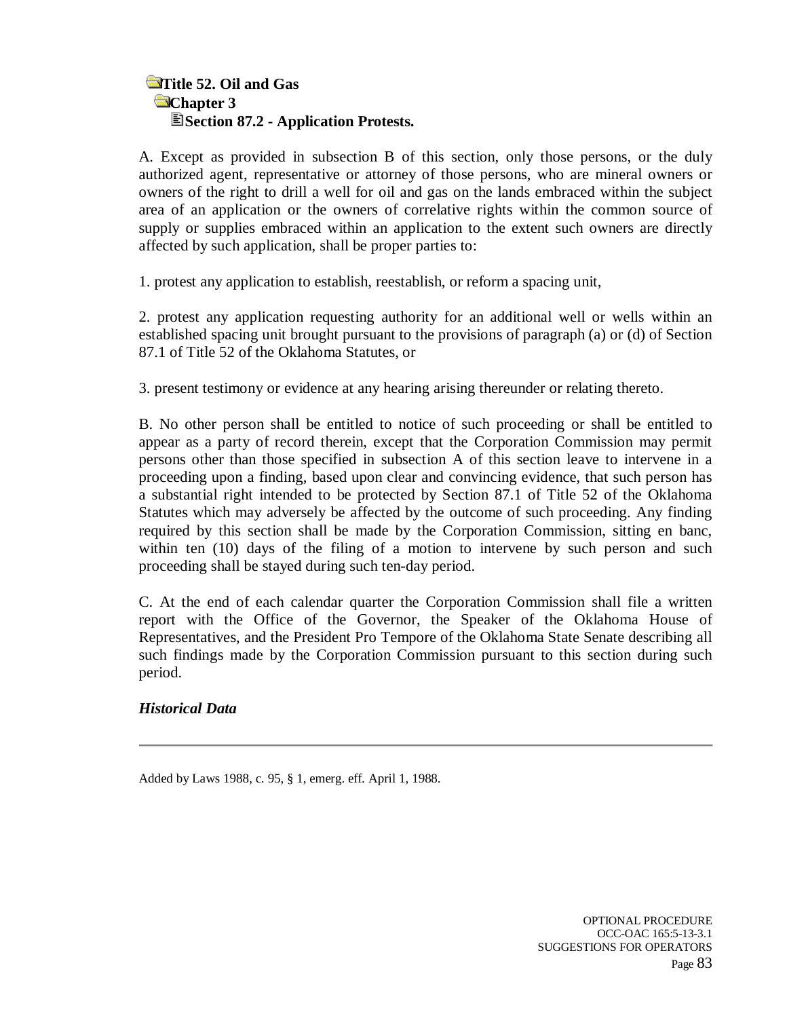# **Title 52. Oil and Gas Chapter 3 Section 87.2 - Application Protests.**

A. Except as provided in subsection B of this section, only those persons, or the duly authorized agent, representative or attorney of those persons, who are mineral owners or owners of the right to drill a well for oil and gas on the lands embraced within the subject area of an application or the owners of correlative rights within the common source of supply or supplies embraced within an application to the extent such owners are directly affected by such application, shall be proper parties to:

1. protest any application to establish, reestablish, or reform a spacing unit,

2. protest any application requesting authority for an additional well or wells within an established spacing unit brought pursuant to the provisions of paragraph (a) or (d) of Section 87.1 of Title 52 of the Oklahoma Statutes, or

3. present testimony or evidence at any hearing arising thereunder or relating thereto.

B. No other person shall be entitled to notice of such proceeding or shall be entitled to appear as a party of record therein, except that the Corporation Commission may permit persons other than those specified in subsection A of this section leave to intervene in a proceeding upon a finding, based upon clear and convincing evidence, that such person has a substantial right intended to be protected by Section 87.1 of Title 52 of the Oklahoma Statutes which may adversely be affected by the outcome of such proceeding. Any finding required by this section shall be made by the Corporation Commission, sitting en banc, within ten (10) days of the filing of a motion to intervene by such person and such proceeding shall be stayed during such ten-day period.

C. At the end of each calendar quarter the Corporation Commission shall file a written report with the Office of the Governor, the Speaker of the Oklahoma House of Representatives, and the President Pro Tempore of the Oklahoma State Senate describing all such findings made by the Corporation Commission pursuant to this section during such period.

## *Historical Data*

Added by Laws 1988, c. 95, § 1, emerg. eff. April 1, 1988.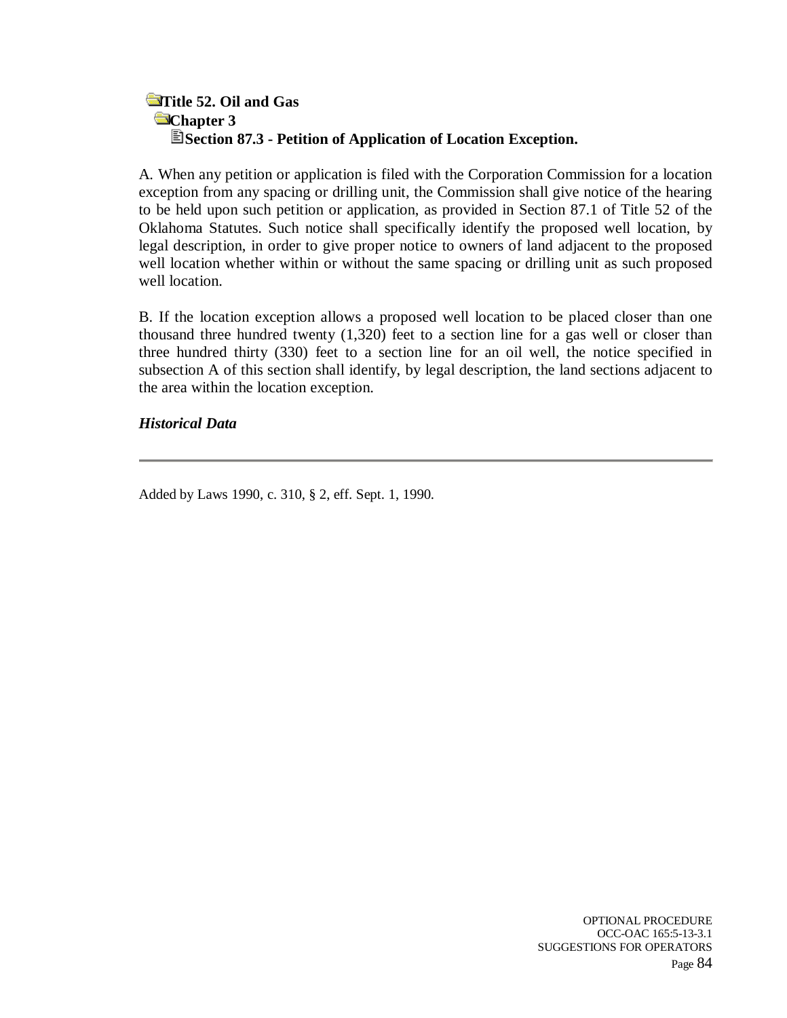# **Title 52. Oil and Gas Chapter 3 Section 87.3 - Petition of Application of Location Exception.**

A. When any petition or application is filed with the Corporation Commission for a location exception from any spacing or drilling unit, the Commission shall give notice of the hearing to be held upon such petition or application, as provided in Section 87.1 of Title 52 of the Oklahoma Statutes. Such notice shall specifically identify the proposed well location, by legal description, in order to give proper notice to owners of land adjacent to the proposed well location whether within or without the same spacing or drilling unit as such proposed well location.

B. If the location exception allows a proposed well location to be placed closer than one thousand three hundred twenty (1,320) feet to a section line for a gas well or closer than three hundred thirty (330) feet to a section line for an oil well, the notice specified in subsection A of this section shall identify, by legal description, the land sections adjacent to the area within the location exception.

## *Historical Data*

Added by Laws 1990, c. 310, § 2, eff. Sept. 1, 1990.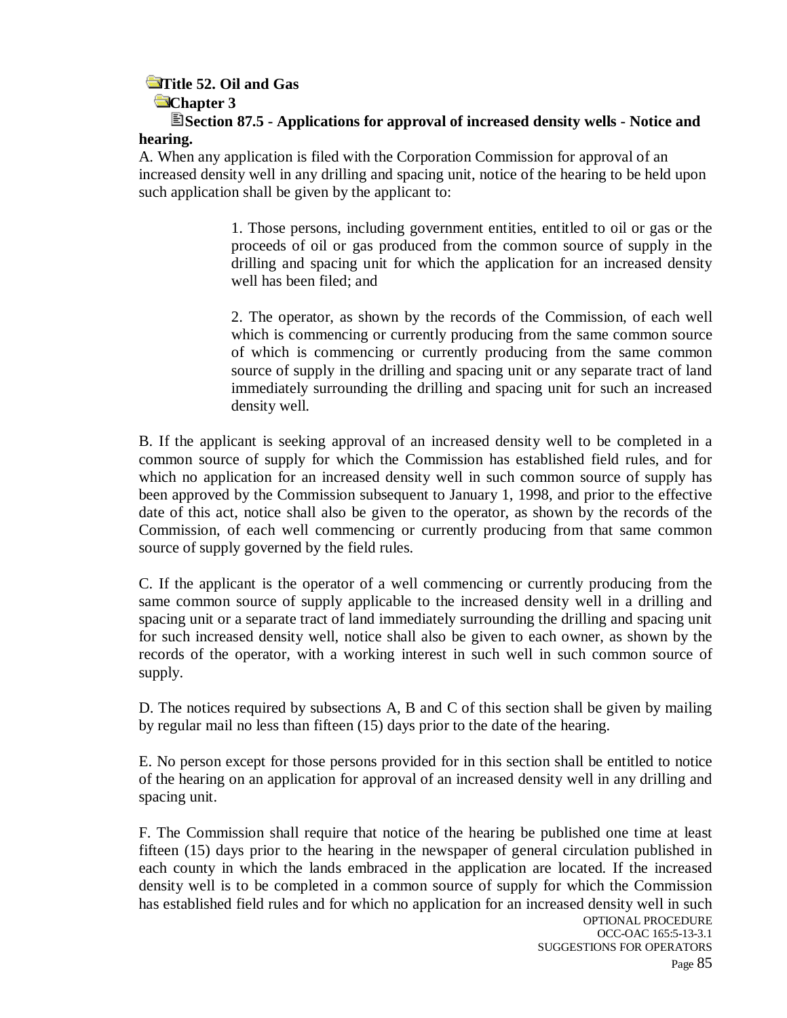# **Title 52. Oil and Gas**

## **Chapter 3**

**Section 87.5 - Applications for approval of increased density wells - Notice and hearing.** 

A. When any application is filed with the Corporation Commission for approval of an increased density well in any drilling and spacing unit, notice of the hearing to be held upon such application shall be given by the applicant to:

> 1. Those persons, including government entities, entitled to oil or gas or the proceeds of oil or gas produced from the common source of supply in the drilling and spacing unit for which the application for an increased density well has been filed; and

> 2. The operator, as shown by the records of the Commission, of each well which is commencing or currently producing from the same common source of which is commencing or currently producing from the same common source of supply in the drilling and spacing unit or any separate tract of land immediately surrounding the drilling and spacing unit for such an increased density well.

B. If the applicant is seeking approval of an increased density well to be completed in a common source of supply for which the Commission has established field rules, and for which no application for an increased density well in such common source of supply has been approved by the Commission subsequent to January 1, 1998, and prior to the effective date of this act, notice shall also be given to the operator, as shown by the records of the Commission, of each well commencing or currently producing from that same common source of supply governed by the field rules.

C. If the applicant is the operator of a well commencing or currently producing from the same common source of supply applicable to the increased density well in a drilling and spacing unit or a separate tract of land immediately surrounding the drilling and spacing unit for such increased density well, notice shall also be given to each owner, as shown by the records of the operator, with a working interest in such well in such common source of supply.

D. The notices required by subsections A, B and C of this section shall be given by mailing by regular mail no less than fifteen (15) days prior to the date of the hearing.

E. No person except for those persons provided for in this section shall be entitled to notice of the hearing on an application for approval of an increased density well in any drilling and spacing unit.

F. The Commission shall require that notice of the hearing be published one time at least fifteen (15) days prior to the hearing in the newspaper of general circulation published in each county in which the lands embraced in the application are located. If the increased density well is to be completed in a common source of supply for which the Commission has established field rules and for which no application for an increased density well in such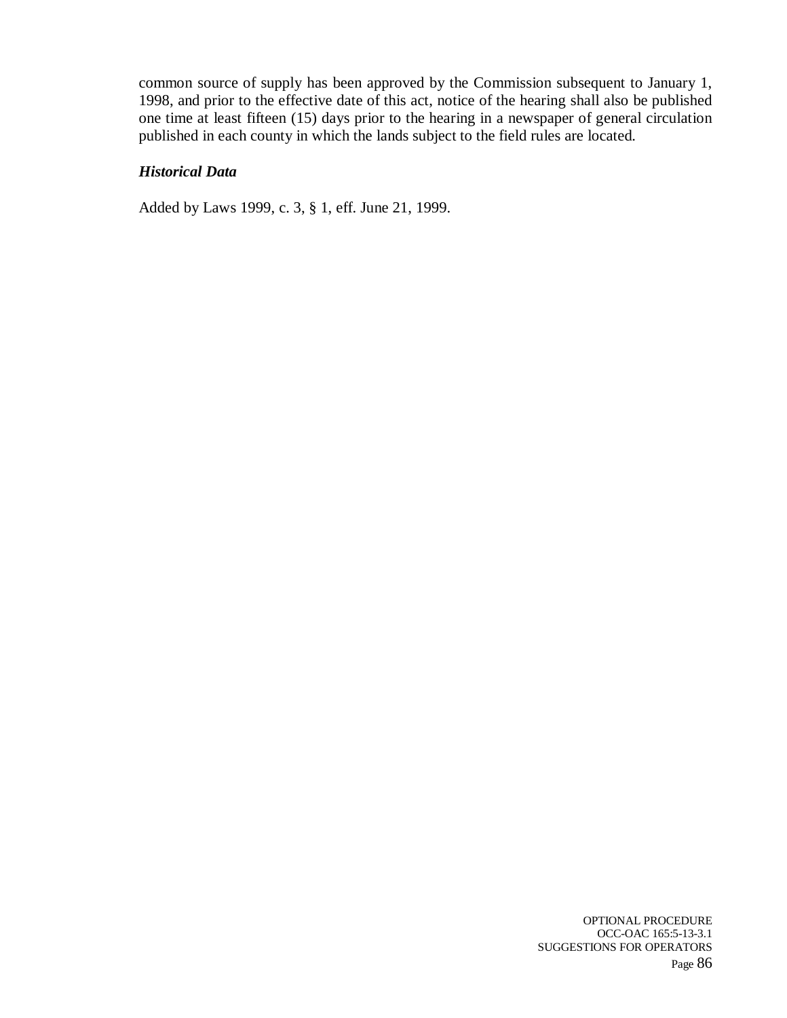common source of supply has been approved by the Commission subsequent to January 1, 1998, and prior to the effective date of this act, notice of the hearing shall also be published one time at least fifteen (15) days prior to the hearing in a newspaper of general circulation published in each county in which the lands subject to the field rules are located.

## *Historical Data*

Added by Laws 1999, c. 3, § 1, eff. June 21, 1999.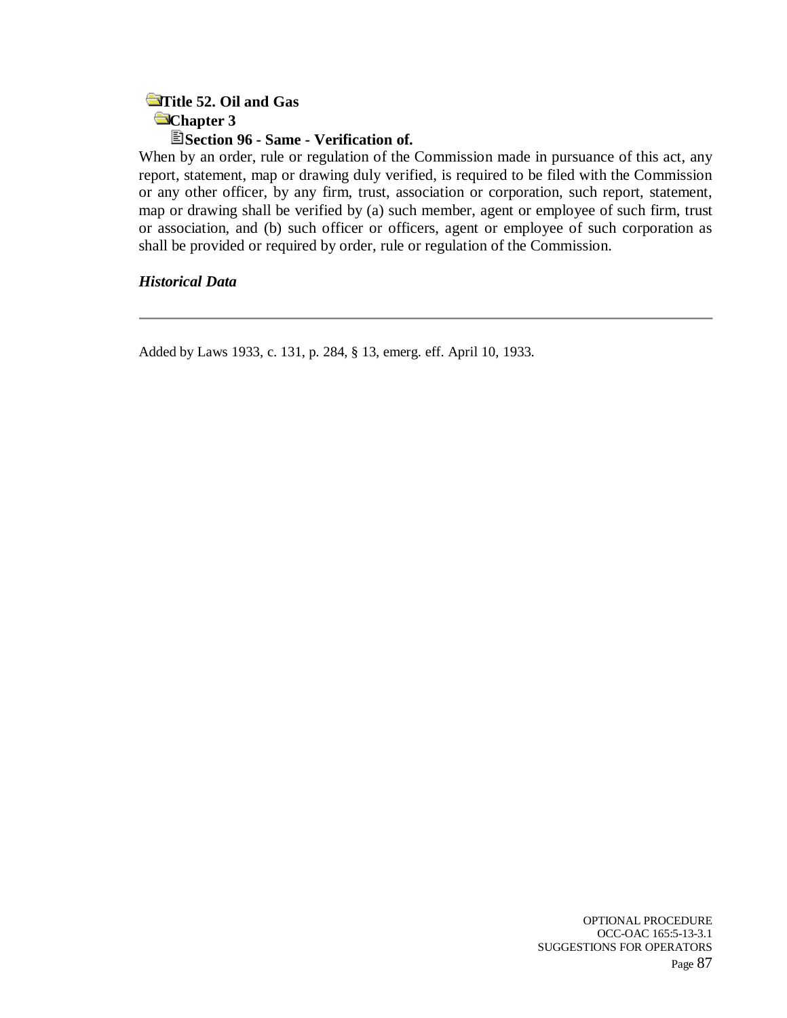## **Title 52. Oil and Gas Chapter 3 Section 96 - Same - Verification of.**

When by an order, rule or regulation of the Commission made in pursuance of this act, any report, statement, map or drawing duly verified, is required to be filed with the Commission or any other officer, by any firm, trust, association or corporation, such report, statement, map or drawing shall be verified by (a) such member, agent or employee of such firm, trust or association, and (b) such officer or officers, agent or employee of such corporation as shall be provided or required by order, rule or regulation of the Commission.

*Historical Data*

Added by Laws 1933, c. 131, p. 284, § 13, emerg. eff. April 10, 1933.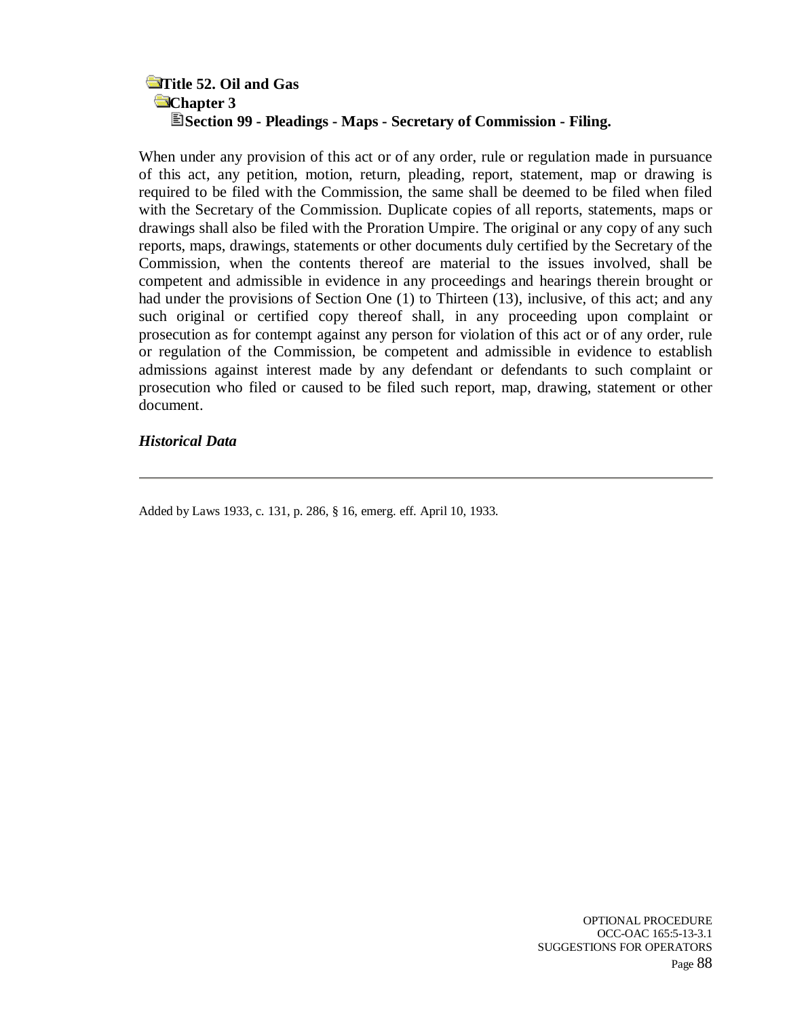## **Title 52. Oil and Gas Chapter 3 Section 99 - Pleadings - Maps - Secretary of Commission - Filing.**

When under any provision of this act or of any order, rule or regulation made in pursuance of this act, any petition, motion, return, pleading, report, statement, map or drawing is required to be filed with the Commission, the same shall be deemed to be filed when filed with the Secretary of the Commission. Duplicate copies of all reports, statements, maps or drawings shall also be filed with the Proration Umpire. The original or any copy of any such reports, maps, drawings, statements or other documents duly certified by the Secretary of the Commission, when the contents thereof are material to the issues involved, shall be competent and admissible in evidence in any proceedings and hearings therein brought or had under the provisions of Section One (1) to Thirteen (13), inclusive, of this act; and any such original or certified copy thereof shall, in any proceeding upon complaint or prosecution as for contempt against any person for violation of this act or of any order, rule or regulation of the Commission, be competent and admissible in evidence to establish admissions against interest made by any defendant or defendants to such complaint or prosecution who filed or caused to be filed such report, map, drawing, statement or other document.

### *Historical Data*

Added by Laws 1933, c. 131, p. 286, § 16, emerg. eff. April 10, 1933.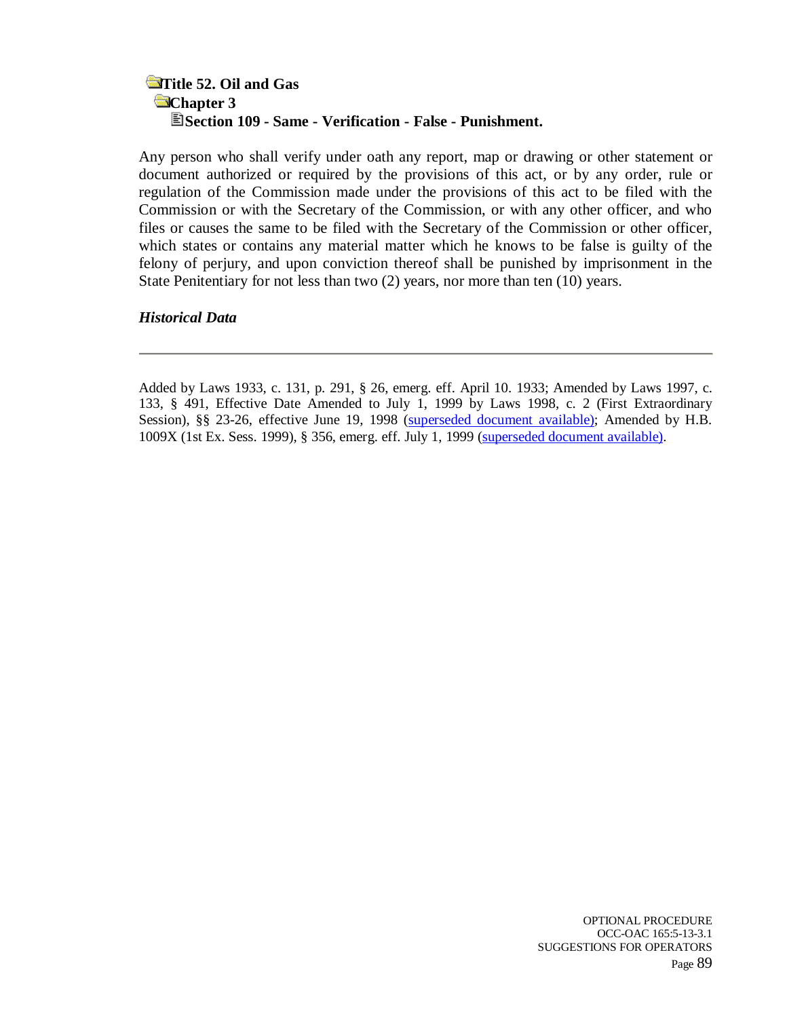## **Title 52. Oil and Gas Chapter 3 Section 109 - Same - Verification - False - Punishment.**

Any person who shall verify under oath any report, map or drawing or other statement or document authorized or required by the provisions of this act, or by any order, rule or regulation of the Commission made under the provisions of this act to be filed with the Commission or with the Secretary of the Commission, or with any other officer, and who files or causes the same to be filed with the Secretary of the Commission or other officer, which states or contains any material matter which he knows to be false is guilty of the felony of perjury, and upon conviction thereof shall be punished by imprisonment in the State Penitentiary for not less than two (2) years, nor more than ten (10) years.

### *Historical Data*

Added by Laws 1933, c. 131, p. 291, § 26, emerg. eff. April 10. 1933; Amended by Laws 1997, c. 133, § 491, Effective Date Amended to July 1, 1999 by Laws 1998, c. 2 (First Extraordinary Session), §§ 23-26, effective June 19, 1998 (superseded document available); Amended by H.B. 1009X (1st Ex. Sess. 1999), § 356, emerg. eff. July 1, 1999 (superseded document available).